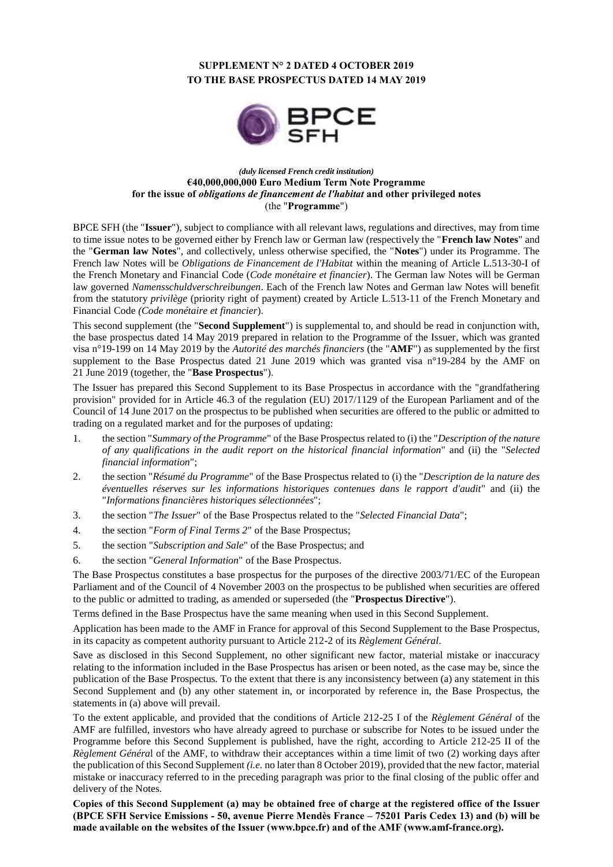#### **SUPPLEMENT N° 2 DATED 4 OCTOBER 2019 TO THE BASE PROSPECTUS DATED 14 MAY 2019**



#### *(duly licensed French credit institution)* **€40,000,000,000 Euro Medium Term Note Programme for the issue of** *obligations de financement de l'habitat* **and other privileged notes** (the "**Programme**")

BPCE SFH (the "**Issuer**"), subject to compliance with all relevant laws, regulations and directives, may from time to time issue notes to be governed either by French law or German law (respectively the "**French law Notes**" and the "**German law Notes**", and collectively, unless otherwise specified, the "**Notes**") under its Programme. The French law Notes will be *Obligations de Financement de l'Habitat* within the meaning of Article L.513-30-I of the French Monetary and Financial Code (*Code monétaire et financier*). The German law Notes will be German law governed *Namensschuldverschreibungen*. Each of the French law Notes and German law Notes will benefit from the statutory *privilège* (priority right of payment) created by Article L.513-11 of the French Monetary and Financial Code *(Code monétaire et financier*).

This second supplement (the "**Second Supplement**") is supplemental to, and should be read in conjunction with, the base prospectus dated 14 May 2019 prepared in relation to the Programme of the Issuer, which was granted visa n°19-199 on 14 May 2019 by the *Autorité des marchés financiers* (the "**AMF**") as supplemented by the first supplement to the Base Prospectus dated 21 June 2019 which was granted visa n°19-284 by the AMF on 21 June 2019 (together, the "**Base Prospectus**").

The Issuer has prepared this Second Supplement to its Base Prospectus in accordance with the "grandfathering provision" provided for in Article 46.3 of the regulation (EU) 2017/1129 of the European Parliament and of the Council of 14 June 2017 on the prospectus to be published when securities are offered to the public or admitted to trading on a regulated market and for the purposes of updating:

- 1. the section "*Summary of the Programme*" of the Base Prospectus related to (i) the "*Description of the nature of any qualifications in the audit report on the historical financial information*" and (ii) the "*Selected financial information*";
- 2. the section "*Résumé du Programme*" of the Base Prospectus related to (i) the "*Description de la nature des éventuelles réserves sur les informations historiques contenues dans le rapport d'audit*" and (ii) the "*Informations financières historiques sélectionnées*";
- 3. the section "*The Issuer*" of the Base Prospectus related to the "*Selected Financial Data*";
- 4. the section "*Form of Final Terms 2*" of the Base Prospectus;
- 5. the section "*Subscription and Sale*" of the Base Prospectus; and
- 6. the section "*General Information*" of the Base Prospectus.

The Base Prospectus constitutes a base prospectus for the purposes of the directive 2003/71/EC of the European Parliament and of the Council of 4 November 2003 on the prospectus to be published when securities are offered to the public or admitted to trading, as amended or superseded (the "**Prospectus Directive**").

Terms defined in the Base Prospectus have the same meaning when used in this Second Supplement.

Application has been made to the AMF in France for approval of this Second Supplement to the Base Prospectus, in its capacity as competent authority pursuant to Article 212-2 of its *Règlement Général*.

Save as disclosed in this Second Supplement, no other significant new factor, material mistake or inaccuracy relating to the information included in the Base Prospectus has arisen or been noted, as the case may be, since the publication of the Base Prospectus. To the extent that there is any inconsistency between (a) any statement in this Second Supplement and (b) any other statement in, or incorporated by reference in, the Base Prospectus, the statements in (a) above will prevail.

To the extent applicable, and provided that the conditions of Article 212-25 I of the *Règlement Général* of the AMF are fulfilled, investors who have already agreed to purchase or subscribe for Notes to be issued under the Programme before this Second Supplement is published, have the right, according to Article 212-25 II of the *Règlement Généra*l of the AMF, to withdraw their acceptances within a time limit of two (2) working days after the publication of this Second Supplement *(i.e.* no later than 8 October 2019), provided that the new factor, material mistake or inaccuracy referred to in the preceding paragraph was prior to the final closing of the public offer and delivery of the Notes.

**Copies of this Second Supplement (a) may be obtained free of charge at the registered office of the Issuer (BPCE SFH Service Emissions - 50, avenue Pierre Mendès France – 75201 Paris Cedex 13) and (b) will be made available on the websites of the Issuer [\(www.bpce.fr\)](http://www.bpce.fr/) and of the AMF [\(www.amf-france.org\)](http://www.amf-france.org/).**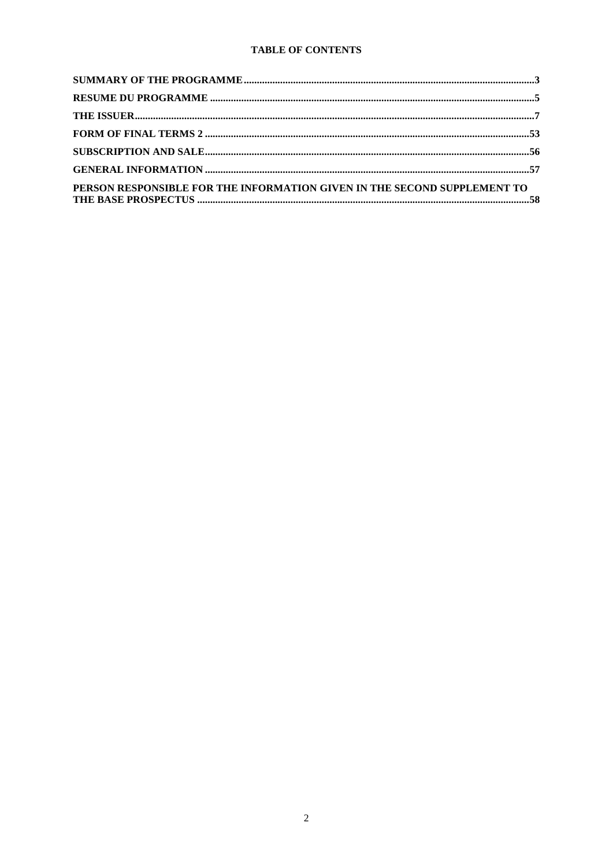#### **TABLE OF CONTENTS**

| PERSON RESPONSIBLE FOR THE INFORMATION GIVEN IN THE SECOND SUPPLEMENT TO |  |
|--------------------------------------------------------------------------|--|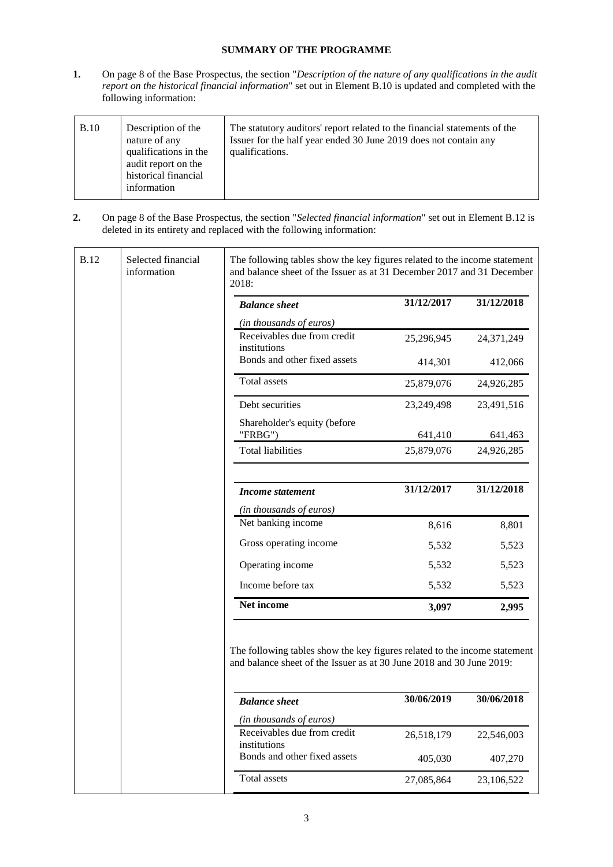#### **SUMMARY OF THE PROGRAMME**

<span id="page-2-0"></span>**1.** On page 8 of the Base Prospectus, the section "*Description of the nature of any qualifications in the audit report on the historical financial information*" set out in Element B.10 is updated and completed with the following information:

| B.10 | Description of the<br>nature of any<br>qualifications in the<br>audit report on the<br>historical financial<br>information | The statutory auditors' report related to the financial statements of the<br>Issuer for the half year ended 30 June 2019 does not contain any<br>qualifications. |
|------|----------------------------------------------------------------------------------------------------------------------------|------------------------------------------------------------------------------------------------------------------------------------------------------------------|
|------|----------------------------------------------------------------------------------------------------------------------------|------------------------------------------------------------------------------------------------------------------------------------------------------------------|

**2.** On page 8 of the Base Prospectus, the section "*Selected financial information*" set out in Element B.12 is deleted in its entirety and replaced with the following information:

| <b>B.12</b><br>information | Selected financial | The following tables show the key figures related to the income statement<br>and balance sheet of the Issuer as at 31 December 2017 and 31 December<br>2018: |            |            |
|----------------------------|--------------------|--------------------------------------------------------------------------------------------------------------------------------------------------------------|------------|------------|
|                            |                    | <b>Balance</b> sheet                                                                                                                                         | 31/12/2017 | 31/12/2018 |
|                            |                    | (in thousands of euros)                                                                                                                                      |            |            |
|                            |                    | Receivables due from credit                                                                                                                                  | 25,296,945 | 24,371,249 |
|                            |                    | institutions<br>Bonds and other fixed assets                                                                                                                 | 414,301    | 412,066    |
|                            |                    | Total assets                                                                                                                                                 | 25,879,076 | 24,926,285 |
|                            |                    | Debt securities                                                                                                                                              | 23,249,498 | 23,491,516 |
|                            |                    | Shareholder's equity (before<br>"FRBG")                                                                                                                      | 641,410    | 641,463    |
|                            |                    | <b>Total liabilities</b>                                                                                                                                     | 25,879,076 | 24,926,285 |
|                            |                    | <b>Income statement</b>                                                                                                                                      | 31/12/2017 | 31/12/2018 |
|                            |                    | (in thousands of euros)                                                                                                                                      |            |            |
|                            |                    | Net banking income                                                                                                                                           | 8,616      | 8,801      |
|                            |                    | Gross operating income                                                                                                                                       | 5,532      | 5,523      |
|                            |                    | Operating income                                                                                                                                             | 5,532      | 5,523      |
|                            |                    | Income before tax                                                                                                                                            | 5,532      | 5,523      |
|                            |                    | Net income                                                                                                                                                   | 3,097      | 2,995      |
|                            |                    | The following tables show the key figures related to the income statement<br>and balance sheet of the Issuer as at 30 June 2018 and 30 June 2019:            |            |            |
|                            |                    | <b>Balance</b> sheet                                                                                                                                         | 30/06/2019 | 30/06/2018 |
|                            |                    | (in thousands of euros)                                                                                                                                      |            |            |
|                            |                    | Receivables due from credit<br>institutions                                                                                                                  | 26,518,179 | 22,546,003 |
|                            |                    | Bonds and other fixed assets                                                                                                                                 | 405,030    | 407,270    |
|                            |                    |                                                                                                                                                              |            |            |
|                            |                    | Total assets                                                                                                                                                 | 27,085,864 | 23,106,522 |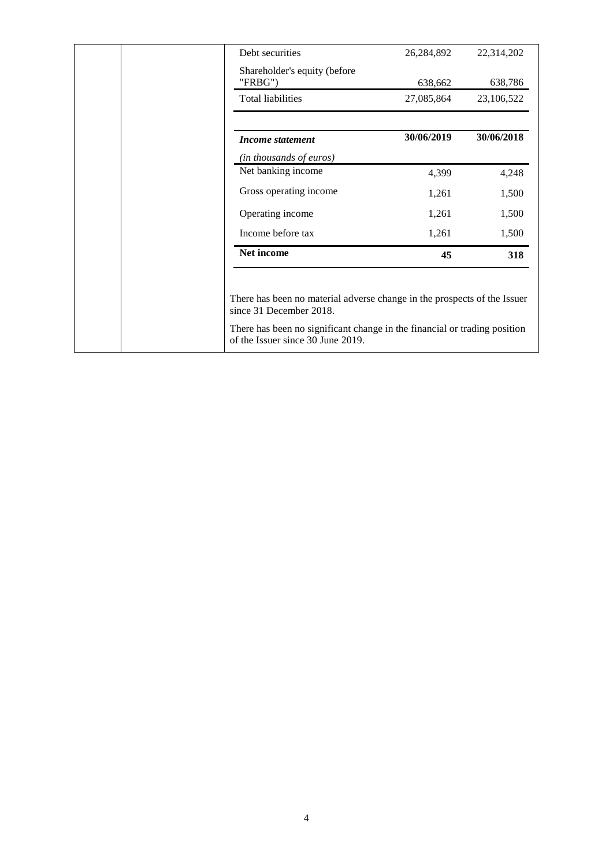|                                         | 26,284,892 | 22,314,202 |
|-----------------------------------------|------------|------------|
| Shareholder's equity (before<br>"FRBG") | 638,662    | 638,786    |
| <b>Total liabilities</b>                | 27,085,864 | 23,106,522 |
| Income statement                        | 30/06/2019 | 30/06/2018 |
| (in thousands of euros)                 |            |            |
| Net banking income                      | 4,399      | 4,248      |
| Gross operating income                  | 1,261      | 1,500      |
| Operating income                        | 1,261      | 1,500      |
| Income before tax                       | 1,261      | 1,500      |
| Net income                              | 45         | 318        |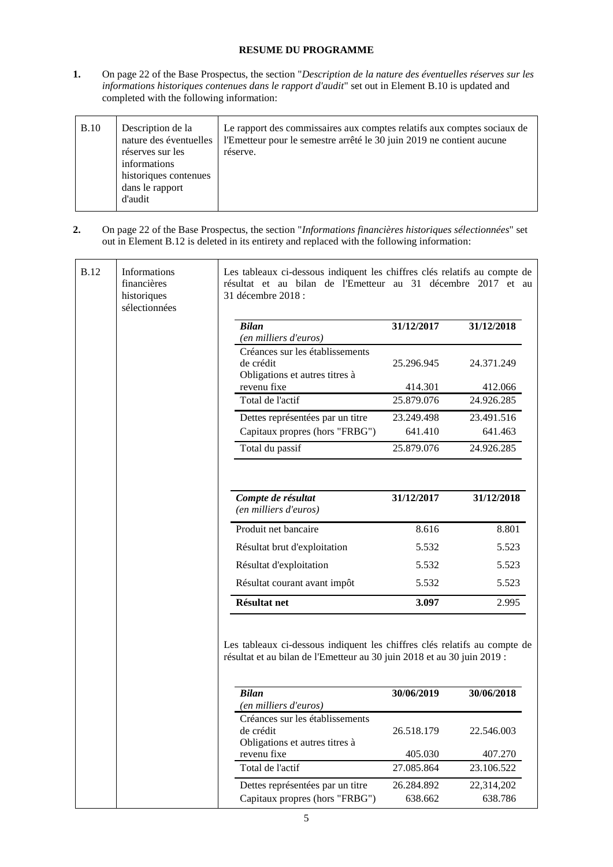#### **RESUME DU PROGRAMME**

<span id="page-4-0"></span>**1.** On page 22 of the Base Prospectus, the section "*Description de la nature des éventuelles réserves sur les informations historiques contenues dans le rapport d'audit*" set out in Element B.10 is updated and completed with the following information:

| <b>B.10</b> | Description de la<br>nature des éventuelles<br>réserves sur les<br>informations<br>historiques contenues<br>dans le rapport<br>d'audit | Le rapport des commissaires aux comptes relatifs aux comptes sociaux de<br>l'Emetteur pour le semestre arrêté le 30 juin 2019 ne contient aucune<br>réserve. |
|-------------|----------------------------------------------------------------------------------------------------------------------------------------|--------------------------------------------------------------------------------------------------------------------------------------------------------------|
|-------------|----------------------------------------------------------------------------------------------------------------------------------------|--------------------------------------------------------------------------------------------------------------------------------------------------------------|

**2.** On page 22 of the Base Prospectus, the section "*Informations financières historiques sélectionnées*" set out in Element B.12 is deleted in its entirety and replaced with the following information:

| <b>B.12</b> | <b>Informations</b><br>financières<br>historiques<br>sélectionnées | Les tableaux ci-dessous indiquent les chiffres clés relatifs au compte de<br>résultat et au bilan de l'Emetteur au 31 décembre 2017 et au<br>31 décembre 2018 :      |            |            |
|-------------|--------------------------------------------------------------------|----------------------------------------------------------------------------------------------------------------------------------------------------------------------|------------|------------|
|             |                                                                    | <b>Bilan</b>                                                                                                                                                         | 31/12/2017 | 31/12/2018 |
|             |                                                                    | (en milliers d'euros)                                                                                                                                                |            |            |
|             |                                                                    | Créances sur les établissements<br>de crédit<br>Obligations et autres titres à                                                                                       | 25.296.945 | 24.371.249 |
|             |                                                                    | revenu fixe                                                                                                                                                          | 414.301    | 412.066    |
|             |                                                                    | Total de l'actif                                                                                                                                                     | 25.879.076 | 24.926.285 |
|             |                                                                    | Dettes représentées par un titre                                                                                                                                     | 23.249.498 | 23.491.516 |
|             |                                                                    | Capitaux propres (hors "FRBG")                                                                                                                                       | 641.410    | 641.463    |
|             |                                                                    | Total du passif                                                                                                                                                      | 25.879.076 | 24.926.285 |
|             |                                                                    | Compte de résultat<br>(en milliers d'euros)                                                                                                                          | 31/12/2017 | 31/12/2018 |
|             |                                                                    | Produit net bancaire                                                                                                                                                 | 8.616      | 8.801      |
|             |                                                                    | Résultat brut d'exploitation                                                                                                                                         | 5.532      | 5.523      |
|             | Résultat d'exploitation                                            | 5.532                                                                                                                                                                | 5.523      |            |
|             |                                                                    | Résultat courant avant impôt                                                                                                                                         | 5.532      | 5.523      |
|             |                                                                    | Résultat net                                                                                                                                                         | 3.097      | 2.995      |
|             |                                                                    | Les tableaux ci-dessous indiquent les chiffres clés relatifs au compte de<br>résultat et au bilan de l'Emetteur au 30 juin 2018 et au 30 juin 2019 :<br><b>Bilan</b> |            |            |
|             |                                                                    | (en milliers d'euros)                                                                                                                                                | 30/06/2019 | 30/06/2018 |
|             |                                                                    | Créances sur les établissements<br>de crédit<br>Obligations et autres titres à                                                                                       | 26.518.179 | 22.546.003 |
|             |                                                                    | revenu fixe                                                                                                                                                          | 405.030    | 407.270    |
|             |                                                                    | Total de l'actif                                                                                                                                                     | 27.085.864 | 23.106.522 |
|             |                                                                    | Dettes représentées par un titre                                                                                                                                     | 26.284.892 | 22,314,202 |
|             |                                                                    | Capitaux propres (hors "FRBG")                                                                                                                                       | 638.662    | 638.786    |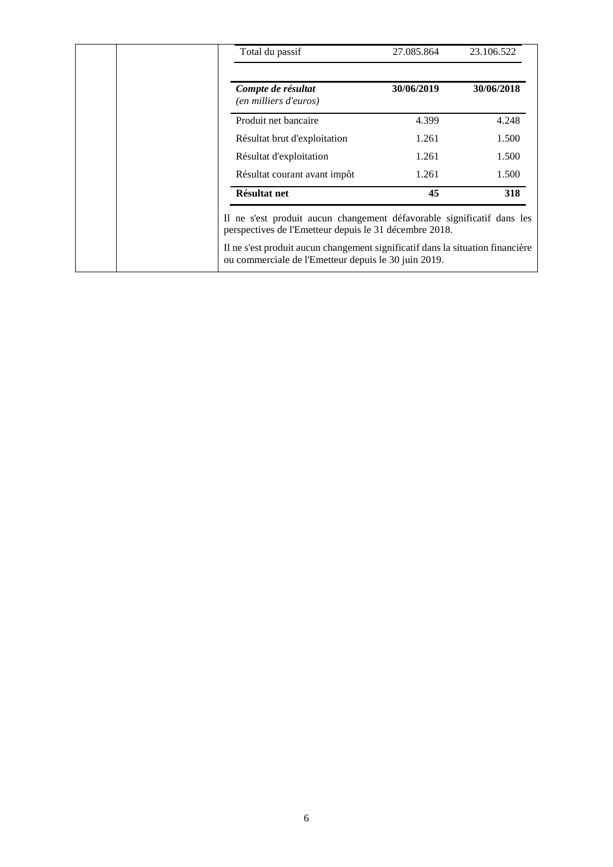| Total du passif                             | 27.085.864 | 23.106.522 |
|---------------------------------------------|------------|------------|
| Compte de résultat<br>(en milliers d'euros) | 30/06/2019 | 30/06/2018 |
| Produit net bancaire                        | 4.399      | 4.248      |
| Résultat brut d'exploitation                | 1.261      | 1.500      |
| Résultat d'exploitation                     | 1.261      | 1.500      |
| Résultat courant avant impôt                | 1.261      | 1.500      |
| <b>Résultat net</b>                         | 45         | 318        |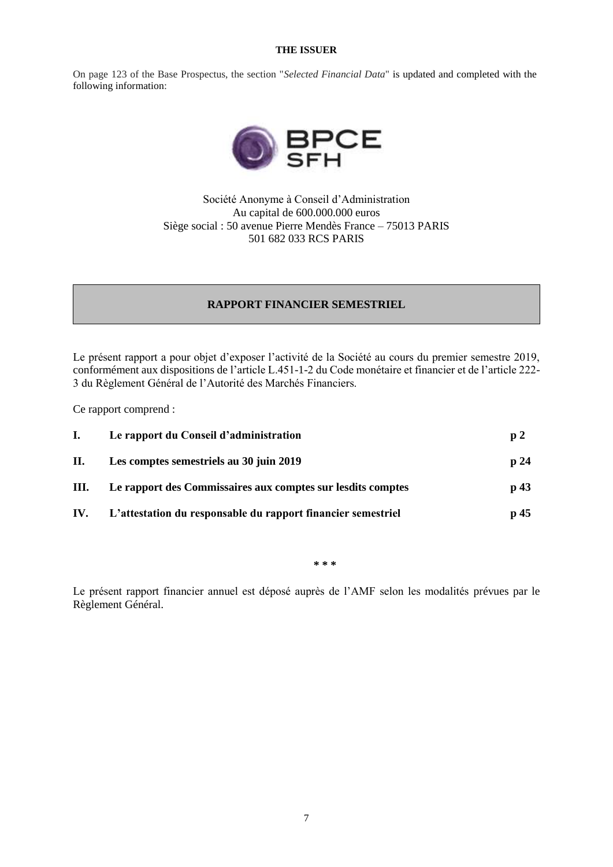#### **THE ISSUER**

<span id="page-6-0"></span>On page 123 of the Base Prospectus, the section "*Selected Financial Data*" is updated and completed with the following information:



Société Anonyme à Conseil d'Administration Au capital de 600.000.000 euros Siège social : 50 avenue Pierre Mendès France – 75013 PARIS 501 682 033 RCS PARIS

#### **RAPPORT FINANCIER SEMESTRIEL**

Le présent rapport a pour objet d'exposer l'activité de la Société au cours du premier semestre 2019, conformément aux dispositions de l'article L.451-1-2 du Code monétaire et financier et de l'article 222- 3 du Règlement Général de l'Autorité des Marchés Financiers.

Ce rapport comprend :

| I. | Le rapport du Conseil d'administration                           | p2   |
|----|------------------------------------------------------------------|------|
| П. | Les comptes semestriels au 30 juin 2019                          | p24  |
| Ш. | Le rapport des Commissaires aux comptes sur les dits comptes     | p 43 |
|    | IV. L'attestation du responsable du rapport financier semestriel | p 45 |

**\* \* \***

Le présent rapport financier annuel est déposé auprès de l'AMF selon les modalités prévues par le Règlement Général.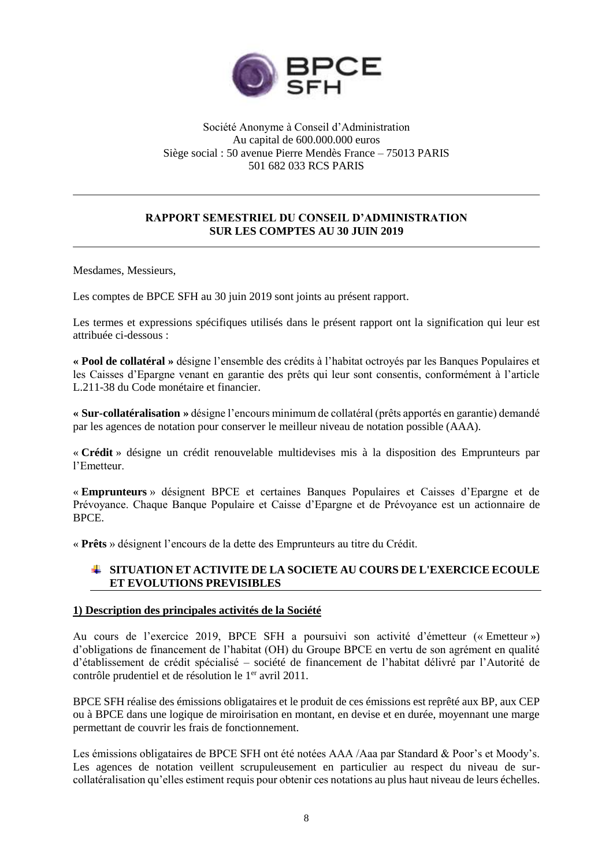

# Société Anonyme à Conseil d'Administration Au capital de 600.000.000 euros Siège social : 50 avenue Pierre Mendès France – 75013 PARIS 501 682 033 RCS PARIS

# **RAPPORT SEMESTRIEL DU CONSEIL D'ADMINISTRATION SUR LES COMPTES AU 30 JUIN 2019**

Mesdames, Messieurs,

Les comptes de BPCE SFH au 30 juin 2019 sont joints au présent rapport.

Les termes et expressions spécifiques utilisés dans le présent rapport ont la signification qui leur est attribuée ci-dessous :

**« Pool de collatéral »** désigne l'ensemble des crédits à l'habitat octroyés par les Banques Populaires et les Caisses d'Epargne venant en garantie des prêts qui leur sont consentis, conformément à l'article L.211-38 du Code monétaire et financier.

**« Sur-collatéralisation »** désigne l'encours minimum de collatéral (prêts apportés en garantie) demandé par les agences de notation pour conserver le meilleur niveau de notation possible (AAA).

« **Crédit** » désigne un crédit renouvelable multidevises mis à la disposition des Emprunteurs par l'Emetteur.

« **Emprunteurs** » désignent BPCE et certaines Banques Populaires et Caisses d'Epargne et de Prévoyance. Chaque Banque Populaire et Caisse d'Epargne et de Prévoyance est un actionnaire de BPCE.

« **Prêts** » désignent l'encours de la dette des Emprunteurs au titre du Crédit.

# **SITUATION ET ACTIVITE DE LA SOCIETE AU COURS DE L'EXERCICE ECOULE ET EVOLUTIONS PREVISIBLES**

#### **1) Description des principales activités de la Société**

Au cours de l'exercice 2019, BPCE SFH a poursuivi son activité d'émetteur (« Emetteur ») d'obligations de financement de l'habitat (OH) du Groupe BPCE en vertu de son agrément en qualité d'établissement de crédit spécialisé – société de financement de l'habitat délivré par l'Autorité de contrôle prudentiel et de résolution le 1<sup>er</sup> avril 2011.

BPCE SFH réalise des émissions obligataires et le produit de ces émissions est reprêté aux BP, aux CEP ou à BPCE dans une logique de miroirisation en montant, en devise et en durée, moyennant une marge permettant de couvrir les frais de fonctionnement.

Les émissions obligataires de BPCE SFH ont été notées AAA /Aaa par Standard & Poor's et Moody's. Les agences de notation veillent scrupuleusement en particulier au respect du niveau de surcollatéralisation qu'elles estiment requis pour obtenir ces notations au plus haut niveau de leurs échelles.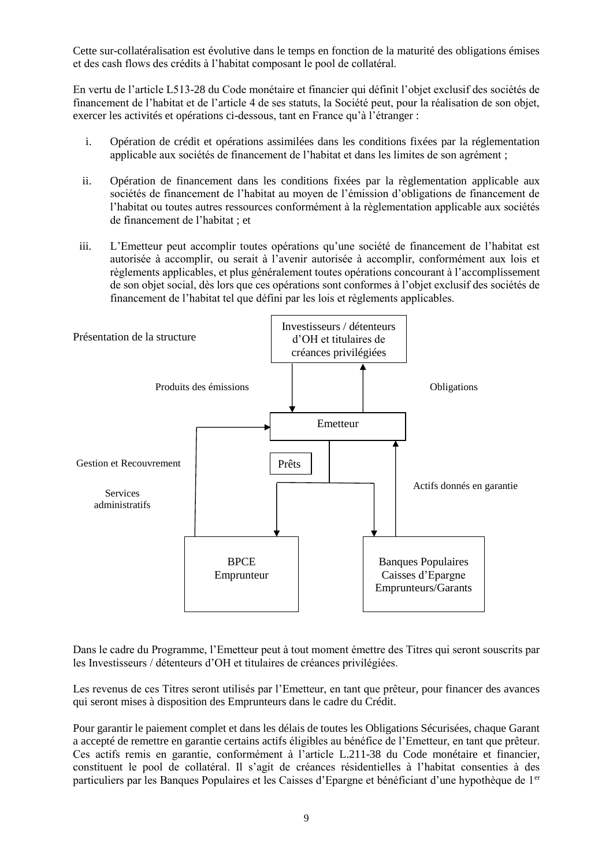Cette sur-collatéralisation est évolutive dans le temps en fonction de la maturité des obligations émises et des cash flows des crédits à l'habitat composant le pool de collatéral.

En vertu de l'article L513-28 du Code monétaire et financier qui définit l'objet exclusif des sociétés de financement de l'habitat et de l'article 4 de ses statuts, la Société peut, pour la réalisation de son objet, exercer les activités et opérations ci-dessous, tant en France qu'à l'étranger :

- i. Opération de crédit et opérations assimilées dans les conditions fixées par la réglementation applicable aux sociétés de financement de l'habitat et dans les limites de son agrément ;
- ii. Opération de financement dans les conditions fixées par la règlementation applicable aux sociétés de financement de l'habitat au moyen de l'émission d'obligations de financement de l'habitat ou toutes autres ressources conformément à la règlementation applicable aux sociétés de financement de l'habitat ; et
- iii. L'Emetteur peut accomplir toutes opérations qu'une société de financement de l'habitat est autorisée à accomplir, ou serait à l'avenir autorisée à accomplir, conformément aux lois et règlements applicables, et plus généralement toutes opérations concourant à l'accomplissement de son objet social, dès lors que ces opérations sont conformes à l'objet exclusif des sociétés de financement de l'habitat tel que défini par les lois et règlements applicables.



Dans le cadre du Programme, l'Emetteur peut à tout moment émettre des Titres qui seront souscrits par les Investisseurs / détenteurs d'OH et titulaires de créances privilégiées.

Les revenus de ces Titres seront utilisés par l'Emetteur, en tant que prêteur, pour financer des avances qui seront mises à disposition des Emprunteurs dans le cadre du Crédit.

Pour garantir le paiement complet et dans les délais de toutes les Obligations Sécurisées, chaque Garant a accepté de remettre en garantie certains actifs éligibles au bénéfice de l'Emetteur, en tant que prêteur. Ces actifs remis en garantie, conformément à l'article L.211-38 du Code monétaire et financier, constituent le pool de collatéral. Il s'agit de créances résidentielles à l'habitat consenties à des particuliers par les Banques Populaires et les Caisses d'Epargne et bénéficiant d'une hypothèque de 1er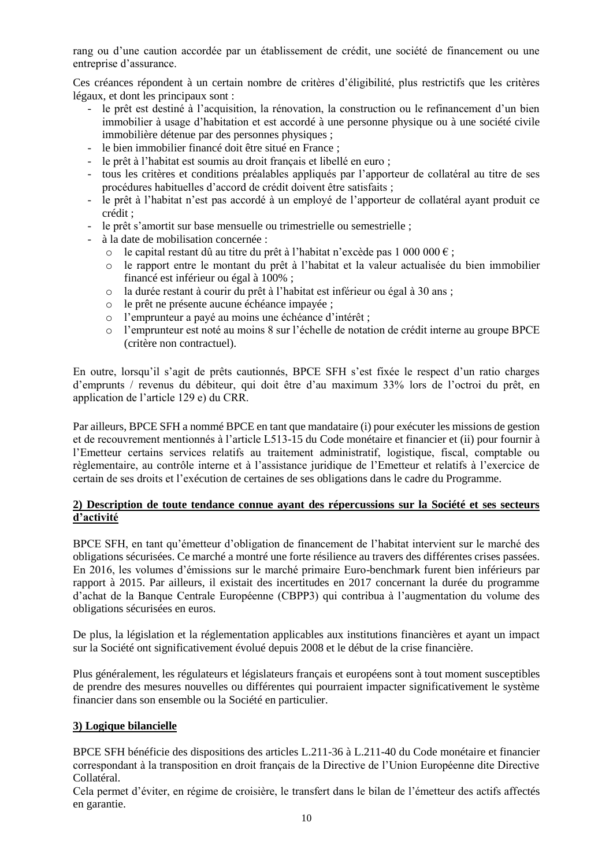rang ou d'une caution accordée par un établissement de crédit, une société de financement ou une entreprise d'assurance.

Ces créances répondent à un certain nombre de critères d'éligibilité, plus restrictifs que les critères légaux, et dont les principaux sont :

- le prêt est destiné à l'acquisition, la rénovation, la construction ou le refinancement d'un bien immobilier à usage d'habitation et est accordé à une personne physique ou à une société civile immobilière détenue par des personnes physiques ;
- le bien immobilier financé doit être situé en France ;
- le prêt à l'habitat est soumis au droit français et libellé en euro ;
- tous les critères et conditions préalables appliqués par l'apporteur de collatéral au titre de ses procédures habituelles d'accord de crédit doivent être satisfaits ;
- le prêt à l'habitat n'est pas accordé à un employé de l'apporteur de collatéral ayant produit ce crédit ;
- le prêt s'amortit sur base mensuelle ou trimestrielle ou semestrielle ;
- à la date de mobilisation concernée :
	- o le capital restant dû au titre du prêt à l'habitat n'excède pas 1 000 000  $\epsilon$ ;
	- o le rapport entre le montant du prêt à l'habitat et la valeur actualisée du bien immobilier financé est inférieur ou égal à 100% ;
	- o la durée restant à courir du prêt à l'habitat est inférieur ou égal à 30 ans ;
	- o le prêt ne présente aucune échéance impayée ;
	- o l'emprunteur a payé au moins une échéance d'intérêt ;
	- o l'emprunteur est noté au moins 8 sur l'échelle de notation de crédit interne au groupe BPCE (critère non contractuel).

En outre, lorsqu'il s'agit de prêts cautionnés, BPCE SFH s'est fixée le respect d'un ratio charges d'emprunts / revenus du débiteur, qui doit être d'au maximum 33% lors de l'octroi du prêt, en application de l'article 129 e) du CRR.

Par ailleurs, BPCE SFH a nommé BPCE en tant que mandataire (i) pour exécuter les missions de gestion et de recouvrement mentionnés à l'article L513-15 du Code monétaire et financier et (ii) pour fournir à l'Emetteur certains services relatifs au traitement administratif, logistique, fiscal, comptable ou règlementaire, au contrôle interne et à l'assistance juridique de l'Emetteur et relatifs à l'exercice de certain de ses droits et l'exécution de certaines de ses obligations dans le cadre du Programme.

# **2) Description de toute tendance connue ayant des répercussions sur la Société et ses secteurs d'activité**

BPCE SFH, en tant qu'émetteur d'obligation de financement de l'habitat intervient sur le marché des obligations sécurisées. Ce marché a montré une forte résilience au travers des différentes crises passées. En 2016, les volumes d'émissions sur le marché primaire Euro-benchmark furent bien inférieurs par rapport à 2015. Par ailleurs, il existait des incertitudes en 2017 concernant la durée du programme d'achat de la Banque Centrale Européenne (CBPP3) qui contribua à l'augmentation du volume des obligations sécurisées en euros.

De plus, la législation et la réglementation applicables aux institutions financières et ayant un impact sur la Société ont significativement évolué depuis 2008 et le début de la crise financière.

Plus généralement, les régulateurs et législateurs français et européens sont à tout moment susceptibles de prendre des mesures nouvelles ou différentes qui pourraient impacter significativement le système financier dans son ensemble ou la Société en particulier.

# **3) Logique bilancielle**

BPCE SFH bénéficie des dispositions des articles L.211-36 à L.211-40 du Code monétaire et financier correspondant à la transposition en droit français de la Directive de l'Union Européenne dite Directive Collatéral.

Cela permet d'éviter, en régime de croisière, le transfert dans le bilan de l'émetteur des actifs affectés en garantie.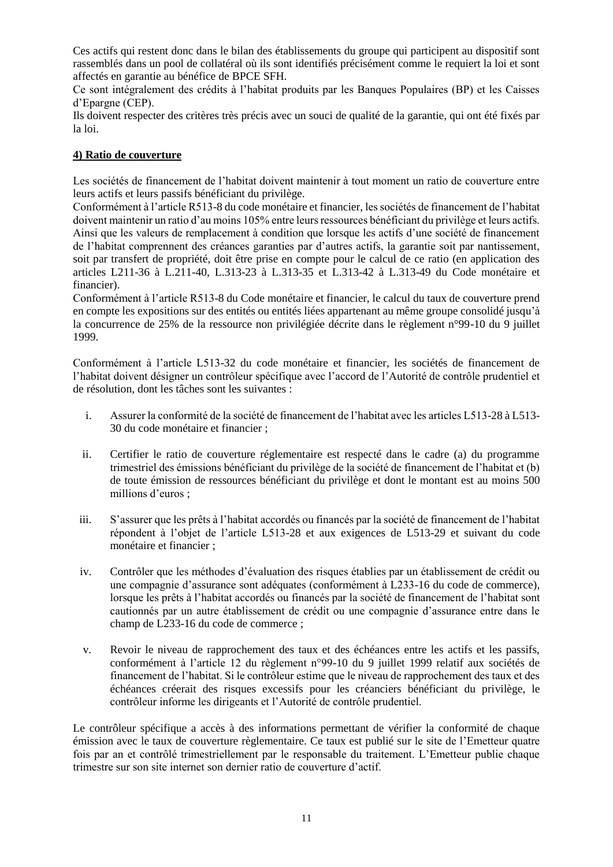Ces actifs qui restent donc dans le bilan des établissements du groupe qui participent au dispositif sont rassemblés dans un pool de collatéral où ils sont identifiés précisément comme le requiert la loi et sont affectés en garantie au bénéfice de BPCE SFH.

Ce sont intégralement des crédits à l'habitat produits par les Banques Populaires (BP) et les Caisses d'Epargne (CEP).

Ils doivent respecter des critères très précis avec un souci de qualité de la garantie, qui ont été fixés par la loi.

# **4) Ratio de couverture**

Les sociétés de financement de l'habitat doivent maintenir à tout moment un ratio de couverture entre leurs actifs et leurs passifs bénéficiant du privilège.

Conformément à l'article R513-8 du code monétaire et financier, les sociétés de financement de l'habitat doivent maintenir un ratio d'au moins 105% entre leurs ressources bénéficiant du privilège et leurs actifs. Ainsi que les valeurs de remplacement à condition que lorsque les actifs d'une société de financement de l'habitat comprennent des créances garanties par d'autres actifs, la garantie soit par nantissement, soit par transfert de propriété, doit être prise en compte pour le calcul de ce ratio (en application des articles L211-36 à L.211-40, L.313-23 à L.313-35 et L.313-42 à L.313-49 du Code monétaire et financier).

Conformément à l'article R513-8 du Code monétaire et financier, le calcul du taux de couverture prend en compte les expositions sur des entités ou entités liées appartenant au même groupe consolidé jusqu'à la concurrence de 25% de la ressource non privilégiée décrite dans le règlement n°99-10 du 9 juillet 1999.

Conformément à l'article L513-32 du code monétaire et financier, les sociétés de financement de l'habitat doivent désigner un contrôleur spécifique avec l'accord de l'Autorité de contrôle prudentiel et de résolution, dont les tâches sont les suivantes :

- i. Assurer la conformité de la société de financement de l'habitat avec les articles L513-28 à L513- 30 du code monétaire et financier ;
- ii. Certifier le ratio de couverture réglementaire est respecté dans le cadre (a) du programme trimestriel des émissions bénéficiant du privilège de la société de financement de l'habitat et (b) de toute émission de ressources bénéficiant du privilège et dont le montant est au moins 500 millions d'euros ;
- iii. S'assurer que les prêts à l'habitat accordés ou financés par la société de financement de l'habitat répondent à l'objet de l'article L513-28 et aux exigences de L513-29 et suivant du code monétaire et financier ;
- iv. Contrôler que les méthodes d'évaluation des risques établies par un établissement de crédit ou une compagnie d'assurance sont adéquates (conformément à L233-16 du code de commerce), lorsque les prêts à l'habitat accordés ou financés par la société de financement de l'habitat sont cautionnés par un autre établissement de crédit ou une compagnie d'assurance entre dans le champ de L233-16 du code de commerce ;
- v. Revoir le niveau de rapprochement des taux et des échéances entre les actifs et les passifs, conformément à l'article 12 du règlement n°99-10 du 9 juillet 1999 relatif aux sociétés de financement de l'habitat. Si le contrôleur estime que le niveau de rapprochement des taux et des échéances créerait des risques excessifs pour les créanciers bénéficiant du privilège, le contrôleur informe les dirigeants et l'Autorité de contrôle prudentiel.

Le contrôleur spécifique a accès à des informations permettant de vérifier la conformité de chaque émission avec le taux de couverture règlementaire. Ce taux est publié sur le site de l'Emetteur quatre fois par an et contrôlé trimestriellement par le responsable du traitement. L'Emetteur publie chaque trimestre sur son site internet son dernier ratio de couverture d'actif.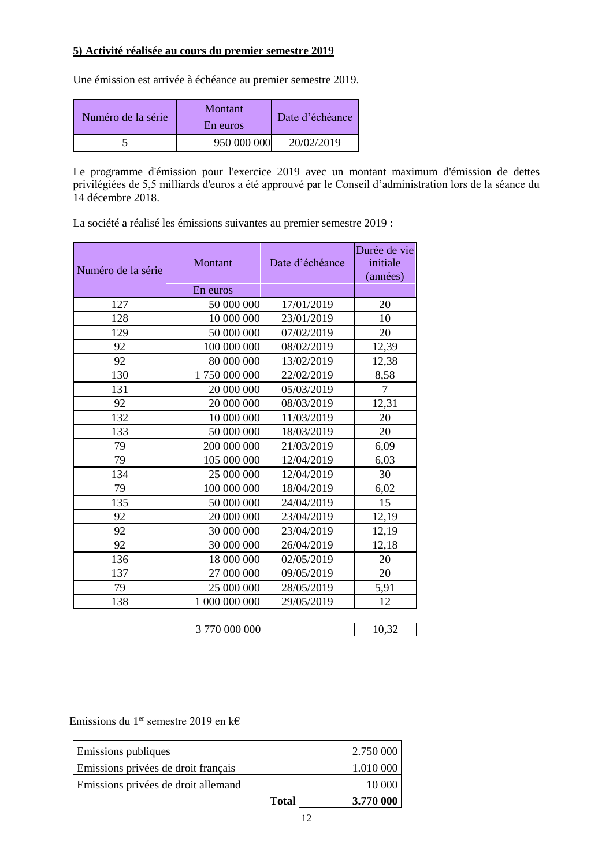#### **5) Activité réalisée au cours du premier semestre 2019**

Une émission est arrivée à échéance au premier semestre 2019.

| Numéro de la série | Montant<br>En euros | Date d'échéance |
|--------------------|---------------------|-----------------|
|                    | 950 000 000         | 20/02/2019      |

Le programme d'émission pour l'exercice 2019 avec un montant maximum d'émission de dettes privilégiées de 5,5 milliards d'euros a été approuvé par le Conseil d'administration lors de la séance du 14 décembre 2018.

La société a réalisé les émissions suivantes au premier semestre 2019 :

| Numéro de la série | Montant       | Date d'échéance | Durée de vie<br>initiale<br>(années) |
|--------------------|---------------|-----------------|--------------------------------------|
|                    | En euros      |                 |                                      |
| 127                | 50 000 000    | 17/01/2019      | 20                                   |
| 128                | 10 000 000    | 23/01/2019      | 10                                   |
| 129                | 50 000 000    | 07/02/2019      | 20                                   |
| 92                 | 100 000 000   | 08/02/2019      | 12,39                                |
| 92                 | 80 000 000    | 13/02/2019      | 12,38                                |
| 130                | 1 750 000 000 | 22/02/2019      | 8,58                                 |
| 131                | 20 000 000    | 05/03/2019      | 7                                    |
| 92                 | 20 000 000    | 08/03/2019      | 12,31                                |
| 132                | 10 000 000    | 11/03/2019      | 20                                   |
| 133                | 50 000 000    | 18/03/2019      | 20                                   |
| 79                 | 200 000 000   | 21/03/2019      | 6,09                                 |
| 79                 | 105 000 000   | 12/04/2019      | 6,03                                 |
| 134                | 25 000 000    | 12/04/2019      | 30                                   |
| 79                 | 100 000 000   | 18/04/2019      | 6,02                                 |
| 135                | 50 000 000    | 24/04/2019      | 15                                   |
| 92                 | 20 000 000    | 23/04/2019      | 12,19                                |
| 92                 | 30 000 000    | 23/04/2019      | 12,19                                |
| 92                 | 30 000 000    | 26/04/2019      | 12,18                                |
| 136                | 18 000 000    | 02/05/2019      | 20                                   |
| 137                | 27 000 000    | 09/05/2019      | 20                                   |
| 79                 | 25 000 000    | 28/05/2019      | 5,91                                 |
| 138                | 1 000 000 000 | 29/05/2019      | 12                                   |
|                    |               |                 |                                      |

3 770 000 000 10,32

Emissions du 1er semestre 2019 en k€

| <b>Emissions publiques</b>          |              | 2.750 000 |
|-------------------------------------|--------------|-----------|
| Emissions privées de droit français |              | 1.010 000 |
| Emissions privées de droit allemand |              | 10 000    |
|                                     | <b>Total</b> | 3.770 000 |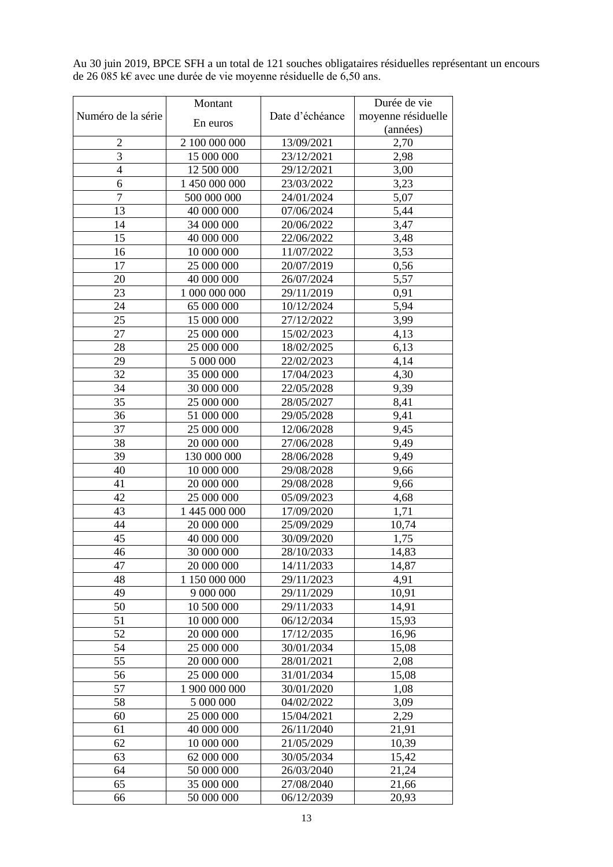|                    | Montant       |                 | Durée de vie       |
|--------------------|---------------|-----------------|--------------------|
| Numéro de la série |               | Date d'échéance | moyenne résiduelle |
|                    | En euros      |                 | (années)           |
| 2                  | 2 100 000 000 | 13/09/2021      | 2,70               |
| $\overline{3}$     | 15 000 000    | 23/12/2021      | 2,98               |
| $\overline{4}$     | 12 500 000    | 29/12/2021      | 3,00               |
| 6                  | 1 450 000 000 | 23/03/2022      | 3,23               |
| $\overline{7}$     | 500 000 000   | 24/01/2024      | 5,07               |
| 13                 | 40 000 000    | 07/06/2024      | 5,44               |
| 14                 | 34 000 000    | 20/06/2022      | 3,47               |
| 15                 | 40 000 000    | 22/06/2022      | 3,48               |
| 16                 | 10 000 000    | 11/07/2022      | 3,53               |
| 17                 | 25 000 000    | 20/07/2019      | 0,56               |
| 20                 | 40 000 000    | 26/07/2024      | 5,57               |
| 23                 | 1 000 000 000 | 29/11/2019      | 0,91               |
| 24                 | 65 000 000    | 10/12/2024      | 5,94               |
| 25                 | 15 000 000    | 27/12/2022      | 3,99               |
| 27                 | 25 000 000    | 15/02/2023      | 4,13               |
| 28                 | 25 000 000    | 18/02/2025      | 6,13               |
| 29                 | 5 000 000     | 22/02/2023      | 4,14               |
| 32                 | 35 000 000    | 17/04/2023      | 4,30               |
| 34                 | 30 000 000    | 22/05/2028      | 9,39               |
| 35                 | 25 000 000    | 28/05/2027      | 8,41               |
| 36                 | 51 000 000    | 29/05/2028      | 9,41               |
| 37                 | 25 000 000    | 12/06/2028      | 9,45               |
| 38                 | 20 000 000    | 27/06/2028      | 9,49               |
| 39                 | 130 000 000   | 28/06/2028      | 9,49               |
| 40                 | 10 000 000    | 29/08/2028      | 9,66               |
| 41                 | 20 000 000    | 29/08/2028      | 9,66               |
| 42                 | 25 000 000    | 05/09/2023      | 4,68               |
| 43                 | 1 445 000 000 | 17/09/2020      | 1,71               |
| 44                 | 20 000 000    | 25/09/2029      | 10,74              |
| 45                 | 40 000 000    | 30/09/2020      | 1,75               |
| 46                 | 30 000 000    | 28/10/2033      | 14,83              |
| 47                 | 20 000 000    | 14/11/2033      | 14,87              |
| 48                 | 1 150 000 000 | 29/11/2023      | 4,91               |
| 49                 | 9 000 000     | 29/11/2029      | 10,91              |
| 50                 | 10 500 000    | 29/11/2033      | 14,91              |
| 51                 | 10 000 000    | 06/12/2034      | 15,93              |
| 52                 | 20 000 000    | 17/12/2035      | 16,96              |
| 54                 | 25 000 000    | 30/01/2034      | 15,08              |
| 55                 | 20 000 000    | 28/01/2021      | 2,08               |
| 56                 | 25 000 000    | 31/01/2034      | 15,08              |
| 57                 | 1 900 000 000 | 30/01/2020      | 1,08               |
| 58                 | 5 000 000     | 04/02/2022      | 3,09               |
| 60                 | 25 000 000    | 15/04/2021      | 2,29               |
| 61                 | 40 000 000    | 26/11/2040      | 21,91              |
| 62                 | 10 000 000    | 21/05/2029      | 10,39              |
| 63                 | 62 000 000    | 30/05/2034      | 15,42              |
| 64                 | 50 000 000    | 26/03/2040      | 21,24              |
| 65                 | 35 000 000    | 27/08/2040      | 21,66              |
| 66                 | 50 000 000    | 06/12/2039      | 20,93              |

Au 30 juin 2019, BPCE SFH a un total de 121 souches obligataires résiduelles représentant un encours de 26 085 k€ avec une durée de vie moyenne résiduelle de 6,50 ans.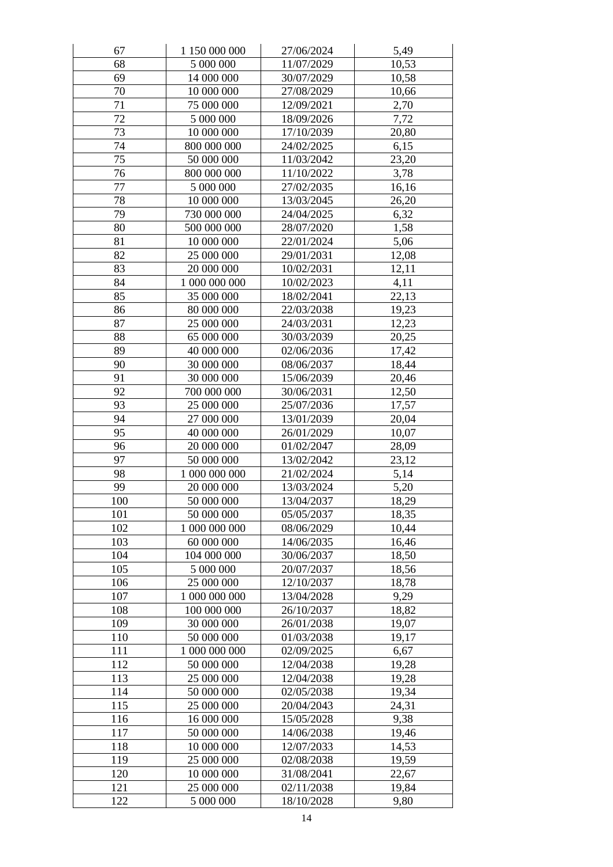| 67       | 1 150 000 000            | 27/06/2024               | 5,49           |
|----------|--------------------------|--------------------------|----------------|
| 68       | 5 000 000                | 11/07/2029               | 10,53          |
| 69       | 14 000 000               | 30/07/2029               | 10,58          |
| 70       | 10 000 000               | 27/08/2029               | 10,66          |
| 71       | 75 000 000               | 12/09/2021               | 2,70           |
| 72       | 5 000 000                | 18/09/2026               | 7,72           |
| 73       | 10 000 000               | 17/10/2039               | 20,80          |
| 74       | 800 000 000              | 24/02/2025               | 6,15           |
| 75       | 50 000 000               | 11/03/2042               | 23,20          |
| 76       | 800 000 000              | 11/10/2022               | 3,78           |
| 77       | 5 000 000                | 27/02/2035               | 16,16          |
| 78       | 10 000 000               | 13/03/2045               | 26,20          |
| 79       | 730 000 000              | 24/04/2025               | 6,32           |
| 80       | 500 000 000              | 28/07/2020               | 1,58           |
| 81       | 10 000 000               | 22/01/2024               | 5,06           |
| 82       | 25 000 000               | 29/01/2031               | 12,08          |
| 83       | 20 000 000               | 10/02/2031               | 12,11          |
| 84       | 1 000 000 000            | 10/02/2023               | 4,11           |
| 85       | 35 000 000               |                          | 22,13          |
| 86       | 80 000 000               | 18/02/2041<br>22/03/2038 | 19,23          |
| 87       | 25 000 000               | 24/03/2031               | 12,23          |
| 88       | 65 000 000               | 30/03/2039               | 20,25          |
| 89       | 40 000 000               |                          |                |
|          |                          | 02/06/2036               | 17,42          |
| 90<br>91 | 30 000 000<br>30 000 000 | 08/06/2037               | 18,44          |
| 92       | 700 000 000              | 15/06/2039               | 20,46<br>12,50 |
| 93       |                          | 30/06/2031               | 17,57          |
| 94       | 25 000 000<br>27 000 000 | 25/07/2036<br>13/01/2039 | 20,04          |
| 95       | 40 000 000               | 26/01/2029               | 10,07          |
| 96       | 20 000 000               | 01/02/2047               | 28,09          |
| 97       | 50 000 000               | 13/02/2042               | 23,12          |
| 98       | 1 000 000 000            | 21/02/2024               | 5,14           |
| 99       | 20 000 000               | 13/03/2024               | 5,20           |
| 100      | 50 000 000               | 13/04/2037               | 18,29          |
| 101      | 50 000 000               | 05/05/2037               | 18,35          |
| 102      | 1 000 000 000            | 08/06/2029               | 10,44          |
| 103      | 60 000 000               | 14/06/2035               | 16,46          |
| 104      | 104 000 000              | 30/06/2037               | 18,50          |
| 105      | 5 000 000                | 20/07/2037               | 18,56          |
| 106      | 25 000 000               | 12/10/2037               | 18,78          |
| 107      | 1 000 000 000            | 13/04/2028               | 9,29           |
| 108      | 100 000 000              | 26/10/2037               | 18,82          |
| 109      | 30 000 000               | 26/01/2038               | 19,07          |
| 110      | 50 000 000               | 01/03/2038               | 19,17          |
| 111      | 1 000 000 000            | 02/09/2025               | 6,67           |
| 112      | 50 000 000               | 12/04/2038               | 19,28          |
| 113      | 25 000 000               | 12/04/2038               | 19,28          |
| 114      | 50 000 000               | 02/05/2038               | 19,34          |
| 115      | 25 000 000               | 20/04/2043               | 24,31          |
| 116      | 16 000 000               | 15/05/2028               | 9,38           |
| 117      | 50 000 000               | 14/06/2038               | 19,46          |
| 118      | 10 000 000               | 12/07/2033               | 14,53          |
| 119      | 25 000 000               | 02/08/2038               | 19,59          |
| 120      | 10 000 000               | 31/08/2041               | 22,67          |
| 121      | 25 000 000               | 02/11/2038               | 19,84          |
| 122      | 5 000 000                | 18/10/2028               | 9,80           |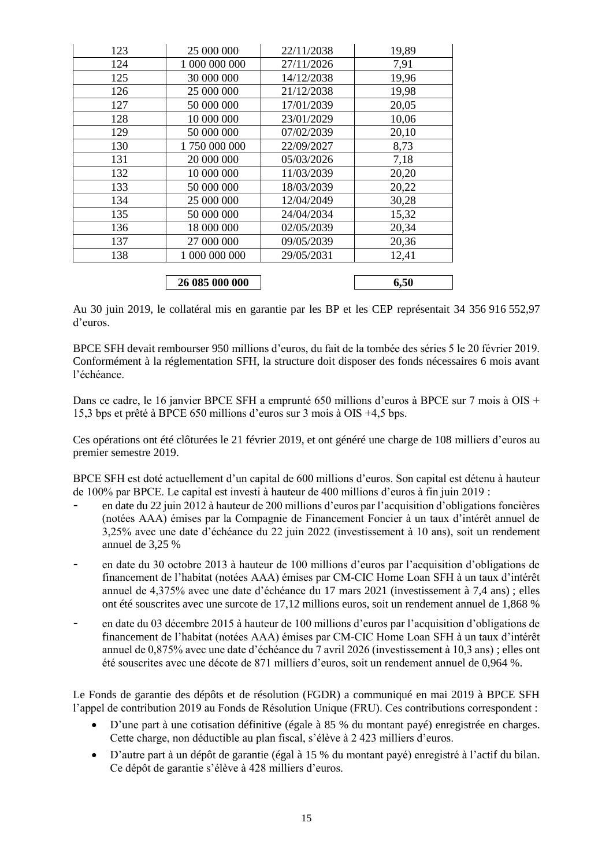|     | 26 085 000 000 |            | 6,50  |
|-----|----------------|------------|-------|
|     |                |            |       |
| 138 | 1 000 000 000  | 29/05/2031 | 12,41 |
| 137 | 27 000 000     | 09/05/2039 | 20,36 |
| 136 | 18 000 000     | 02/05/2039 | 20,34 |
| 135 | 50 000 000     | 24/04/2034 | 15,32 |
| 134 | 25 000 000     | 12/04/2049 | 30,28 |
| 133 | 50 000 000     | 18/03/2039 | 20,22 |
| 132 | 10 000 000     | 11/03/2039 | 20,20 |
| 131 | 20 000 000     | 05/03/2026 | 7,18  |
| 130 | 1750 000 000   | 22/09/2027 | 8,73  |
| 129 | 50 000 000     | 07/02/2039 | 20,10 |
| 128 | 10 000 000     | 23/01/2029 | 10,06 |
| 127 | 50 000 000     | 17/01/2039 | 20,05 |
| 126 | 25 000 000     | 21/12/2038 | 19,98 |
| 125 | 30 000 000     | 14/12/2038 | 19,96 |
| 124 | 1 000 000 000  | 27/11/2026 | 7,91  |
| 123 | 25 000 000     | 22/11/2038 | 19,89 |
|     |                |            |       |

Au 30 juin 2019, le collatéral mis en garantie par les BP et les CEP représentait 34 356 916 552,97 d'euros.

BPCE SFH devait rembourser 950 millions d'euros, du fait de la tombée des séries 5 le 20 février 2019. Conformément à la réglementation SFH, la structure doit disposer des fonds nécessaires 6 mois avant l'échéance.

Dans ce cadre, le 16 janvier BPCE SFH a emprunté 650 millions d'euros à BPCE sur 7 mois à OIS + 15,3 bps et prêté à BPCE 650 millions d'euros sur 3 mois à OIS +4,5 bps.

Ces opérations ont été clôturées le 21 février 2019, et ont généré une charge de 108 milliers d'euros au premier semestre 2019.

BPCE SFH est doté actuellement d'un capital de 600 millions d'euros. Son capital est détenu à hauteur de 100% par BPCE. Le capital est investi à hauteur de 400 millions d'euros à fin juin 2019 :

- en date du 22 juin 2012 à hauteur de 200 millions d'euros par l'acquisition d'obligations foncières (notées AAA) émises par la Compagnie de Financement Foncier à un taux d'intérêt annuel de 3,25% avec une date d'échéance du 22 juin 2022 (investissement à 10 ans), soit un rendement annuel de 3,25 %
- en date du 30 octobre 2013 à hauteur de 100 millions d'euros par l'acquisition d'obligations de financement de l'habitat (notées AAA) émises par CM-CIC Home Loan SFH à un taux d'intérêt annuel de 4,375% avec une date d'échéance du 17 mars 2021 (investissement à 7,4 ans) ; elles ont été souscrites avec une surcote de 17,12 millions euros, soit un rendement annuel de 1,868 %
- en date du 03 décembre 2015 à hauteur de 100 millions d'euros par l'acquisition d'obligations de financement de l'habitat (notées AAA) émises par CM-CIC Home Loan SFH à un taux d'intérêt annuel de 0,875% avec une date d'échéance du 7 avril 2026 (investissement à 10,3 ans) ; elles ont été souscrites avec une décote de 871 milliers d'euros, soit un rendement annuel de 0,964 %.

Le Fonds de garantie des dépôts et de résolution (FGDR) a communiqué en mai 2019 à BPCE SFH l'appel de contribution 2019 au Fonds de Résolution Unique (FRU). Ces contributions correspondent :

- D'une part à une cotisation définitive (égale à 85 % du montant payé) enregistrée en charges. Cette charge, non déductible au plan fiscal, s'élève à 2 423 milliers d'euros.
- D'autre part à un dépôt de garantie (égal à 15 % du montant payé) enregistré à l'actif du bilan. Ce dépôt de garantie s'élève à 428 milliers d'euros.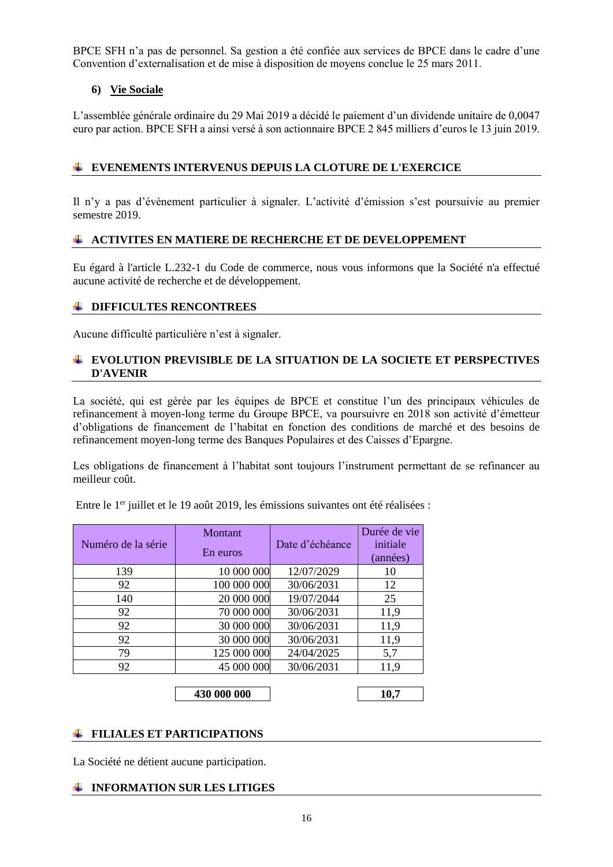BPCE SFH n'a pas de personnel. Sa gestion a été confiée aux services de BPCE dans le cadre d'une Convention d'externalisation et de mise à disposition de moyens conclue le 25 mars 2011.

# **6) Vie Sociale**

L'assemblée générale ordinaire du 29 Mai 2019 a décidé le paiement d'un dividende unitaire de 0,0047 euro par action. BPCE SFH a ainsi versé à son actionnaire BPCE 2 845 milliers d'euros le 13 juin 2019.

# **EVENEMENTS INTERVENUS DEPUIS LA CLOTURE DE L'EXERCICE**

Il n'y a pas d'évènement particulier à signaler. L'activité d'émission s'est poursuivie au premier semestre 2019.

# **ACTIVITES EN MATIERE DE RECHERCHE ET DE DEVELOPPEMENT**

Eu égard à l'article [L.232-1 du Code de commerce,](javascript:%20documentLink() nous vous informons que la Société n'a effectué aucune activité de recherche et de développement.

#### **DIFFICULTES RENCONTREES**

Aucune difficulté particulière n'est à signaler.

# **EVOLUTION PREVISIBLE DE LA SITUATION DE LA SOCIETE ET PERSPECTIVES D'AVENIR**

La société, qui est gérée par les équipes de BPCE et constitue l'un des principaux véhicules de refinancement à moyen-long terme du Groupe BPCE, va poursuivre en 2018 son activité d'émetteur d'obligations de financement de l'habitat en fonction des conditions de marché et des besoins de refinancement moyen-long terme des Banques Populaires et des Caisses d'Epargne.

Les obligations de financement à l'habitat sont toujours l'instrument permettant de se refinancer au meilleur coût.

|  |  | Entre le 1 <sup>er</sup> juillet et le 19 août 2019, les émissions suivantes ont été réalisées : |
|--|--|--------------------------------------------------------------------------------------------------|
|  |  |                                                                                                  |

| Montant  |            | Durée de vie<br>initiale                                                                                                          |
|----------|------------|-----------------------------------------------------------------------------------------------------------------------------------|
| En euros |            | (années)                                                                                                                          |
|          | 12/07/2029 | 10                                                                                                                                |
|          | 30/06/2031 | 12                                                                                                                                |
|          | 19/07/2044 | 25                                                                                                                                |
|          | 30/06/2031 | 11,9                                                                                                                              |
|          | 30/06/2031 | 11,9                                                                                                                              |
|          | 30/06/2031 | 11,9                                                                                                                              |
|          | 24/04/2025 | 5,7                                                                                                                               |
|          | 30/06/2031 | 11,9                                                                                                                              |
|          |            | Date d'échéance<br>10 000 000<br>100 000 000<br>20 000 000<br>70 000 000<br>30 000 000<br>30 000 000<br>125 000 000<br>45 000 000 |

**430 000 000 10,7**

#### **FILIALES ET PARTICIPATIONS**

La Société ne détient aucune participation.

#### **INFORMATION SUR LES LITIGES**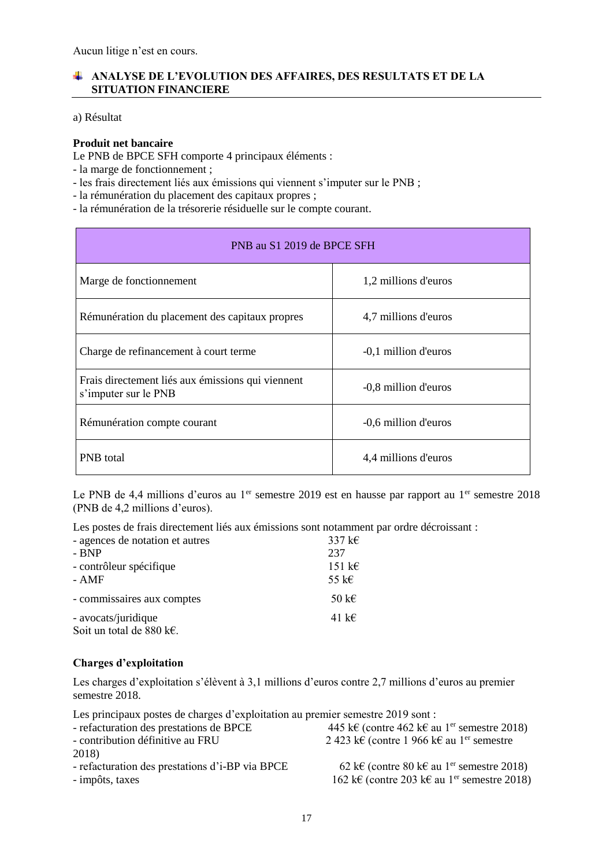Aucun litige n'est en cours.

# **ANALYSE DE L'EVOLUTION DES AFFAIRES, DES RESULTATS ET DE LA SITUATION FINANCIERE**

a) Résultat

# **Produit net bancaire**

Le PNB de BPCE SFH comporte 4 principaux éléments :

- la marge de fonctionnement ;
- les frais directement liés aux émissions qui viennent s'imputer sur le PNB ;
- la rémunération du placement des capitaux propres ;
- la rémunération de la trésorerie résiduelle sur le compte courant.

| PNB au S1 2019 de BPCE SFH                                                |                      |  |  |  |
|---------------------------------------------------------------------------|----------------------|--|--|--|
| Marge de fonctionnement                                                   | 1,2 millions d'euros |  |  |  |
| Rémunération du placement des capitaux propres                            | 4,7 millions d'euros |  |  |  |
| Charge de refinancement à court terme<br>-0,1 million d'euros             |                      |  |  |  |
| Frais directement liés aux émissions qui viennent<br>s'imputer sur le PNB | -0,8 million d'euros |  |  |  |
| -0,6 million d'euros<br>Rémunération compte courant                       |                      |  |  |  |
| PNB total                                                                 | 4,4 millions d'euros |  |  |  |

Le PNB de 4,4 millions d'euros au 1<sup>er</sup> semestre 2019 est en hausse par rapport au 1<sup>er</sup> semestre 2018 (PNB de 4,2 millions d'euros).

Les postes de frais directement liés aux émissions sont notamment par ordre décroissant :

| - agences de notation et autres | 337 $k$ €        |
|---------------------------------|------------------|
| - BNP                           | 237              |
| - contrôleur spécifique         | 151 k $\epsilon$ |
| - AMF                           | 55 k $\epsilon$  |
| - commissaires aux comptes      | 50 k $\epsilon$  |
| - avocats/juridique             | 41 k $\epsilon$  |
| Soit un total de 880 k€.        |                  |

#### **Charges d'exploitation**

Les charges d'exploitation s'élèvent à 3,1 millions d'euros contre 2,7 millions d'euros au premier semestre 2018.

Les principaux postes de charges d'exploitation au premier semestre 2019 sont :

| - refacturation des prestations de BPCE<br>- contribution définitive au FRU | 445 k€ (contre 462 k€ au 1 <sup>er</sup> semestre 2018)<br>2 423 k€ (contre 1 966 k€ au 1 <sup>er</sup> semestre |
|-----------------------------------------------------------------------------|------------------------------------------------------------------------------------------------------------------|
| 2018)                                                                       |                                                                                                                  |
| - refacturation des prestations d'i-BP via BPCE                             | 62 k€ (contre 80 k€ au 1 <sup>er</sup> semestre 2018)                                                            |
| - impôts, taxes                                                             | 162 k€ (contre 203 k€ au 1 <sup>er</sup> semestre 2018)                                                          |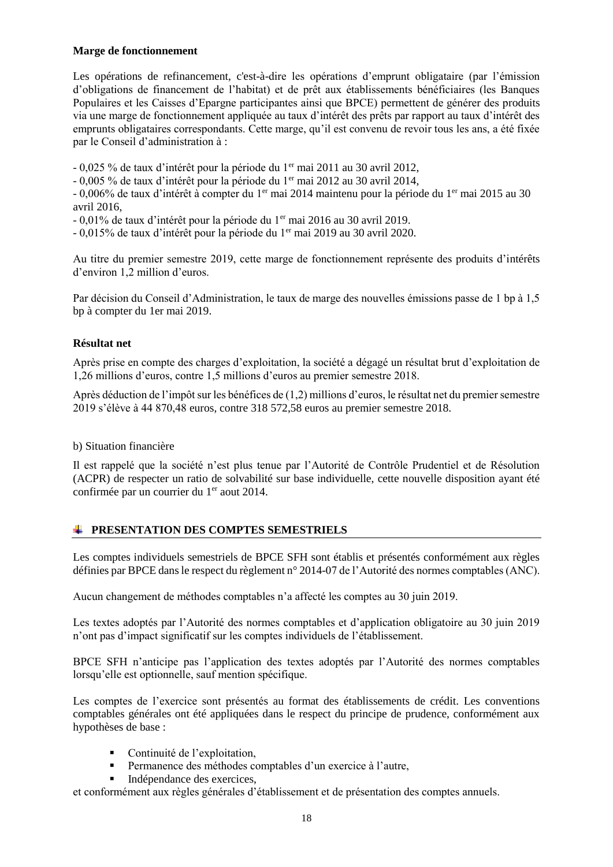# **Marge de fonctionnement**

Les opérations de refinancement, c'est-à-dire les opérations d'emprunt obligataire (par l'émission d'obligations de financement de l'habitat) et de prêt aux établissements bénéficiaires (les Banques Populaires et les Caisses d'Epargne participantes ainsi que BPCE) permettent de générer des produits via une marge de fonctionnement appliquée au taux d'intérêt des prêts par rapport au taux d'intérêt des emprunts obligataires correspondants. Cette marge, qu'il est convenu de revoir tous les ans, a été fixée par le Conseil d'administration à :

- 0,025 % de taux d'intérêt pour la période du 1er mai 2011 au 30 avril 2012,
- 0,005 % de taux d'intérêt pour la période du 1er mai 2012 au 30 avril 2014,

 $-0.006\%$  de taux d'intérêt à compter du 1<sup>er</sup> mai 2014 maintenu pour la période du 1<sup>er</sup> mai 2015 au 30 avril 2016,

- 0,01% de taux d'intérêt pour la période du 1er mai 2016 au 30 avril 2019.
- 0,015% de taux d'intérêt pour la période du 1er mai 2019 au 30 avril 2020.

Au titre du premier semestre 2019, cette marge de fonctionnement représente des produits d'intérêts d'environ 1,2 million d'euros.

Par décision du Conseil d'Administration, le taux de marge des nouvelles émissions passe de 1 bp à 1,5 bp à compter du 1er mai 2019.

# **Résultat net**

Après prise en compte des charges d'exploitation, la société a dégagé un résultat brut d'exploitation de 1,26 millions d'euros, contre 1,5 millions d'euros au premier semestre 2018.

Après déduction de l'impôt sur les bénéfices de (1,2) millions d'euros, le résultat net du premier semestre 2019 s'élève à 44 870,48 euros, contre 318 572,58 euros au premier semestre 2018.

b) Situation financière

Il est rappelé que la société n'est plus tenue par l'Autorité de Contrôle Prudentiel et de Résolution (ACPR) de respecter un ratio de solvabilité sur base individuelle, cette nouvelle disposition ayant été confirmée par un courrier du 1<sup>er</sup> aout 2014.

# **PRESENTATION DES COMPTES SEMESTRIELS**

Les comptes individuels semestriels de BPCE SFH sont établis et présentés conformément aux règles définies par BPCE dans le respect du règlement n° 2014-07 de l'Autorité des normes comptables (ANC).

Aucun changement de méthodes comptables n'a affecté les comptes au 30 juin 2019.

Les textes adoptés par l'Autorité des normes comptables et d'application obligatoire au 30 juin 2019 n'ont pas d'impact significatif sur les comptes individuels de l'établissement.

BPCE SFH n'anticipe pas l'application des textes adoptés par l'Autorité des normes comptables lorsqu'elle est optionnelle, sauf mention spécifique.

Les comptes de l'exercice sont présentés au format des établissements de crédit. Les conventions comptables générales ont été appliquées dans le respect du principe de prudence, conformément aux hypothèses de base :

- Continuité de l'exploitation,
- Permanence des méthodes comptables d'un exercice à l'autre,
- Indépendance des exercices,

et conformément aux règles générales d'établissement et de présentation des comptes annuels.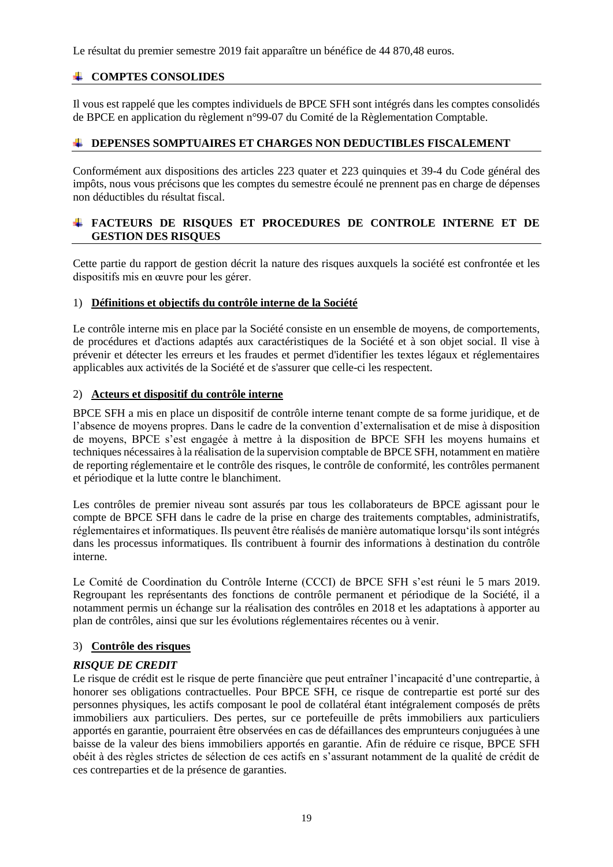Le résultat du premier semestre 2019 fait apparaître un bénéfice de 44 870,48 euros.

# **COMPTES CONSOLIDES**

Il vous est rappelé que les comptes individuels de BPCE SFH sont intégrés dans les comptes consolidés de BPCE en application du règlement n°99-07 du Comité de la Règlementation Comptable.

# **DEPENSES SOMPTUAIRES ET CHARGES NON DEDUCTIBLES FISCALEMENT**

Conformément aux dispositions des articles [223 quater et](javascript:%20documentLink() [223 quinquies et 39-4 du Code général des](javascript:%20documentLink()  [impôts,](javascript:%20documentLink() nous vous précisons que les comptes du semestre écoulé ne prennent pas en charge de dépenses non déductibles du résultat fiscal.

# **FACTEURS DE RISQUES ET PROCEDURES DE CONTROLE INTERNE ET DE GESTION DES RISQUES**

Cette partie du rapport de gestion décrit la nature des risques auxquels la société est confrontée et les dispositifs mis en œuvre pour les gérer.

#### 1) **Définitions et objectifs du contrôle interne de la Société**

Le contrôle interne mis en place par la Société consiste en un ensemble de moyens, de comportements, de procédures et d'actions adaptés aux caractéristiques de la Société et à son objet social. Il vise à prévenir et détecter les erreurs et les fraudes et permet d'identifier les textes légaux et réglementaires applicables aux activités de la Société et de s'assurer que celle-ci les respectent.

# 2) **Acteurs et dispositif du contrôle interne**

BPCE SFH a mis en place un dispositif de contrôle interne tenant compte de sa forme juridique, et de l'absence de moyens propres. Dans le cadre de la convention d'externalisation et de mise à disposition de moyens, BPCE s'est engagée à mettre à la disposition de BPCE SFH les moyens humains et techniques nécessaires à la réalisation de la supervision comptable de BPCE SFH, notamment en matière de reporting réglementaire et le contrôle des risques, le contrôle de conformité, les contrôles permanent et périodique et la lutte contre le blanchiment.

Les contrôles de premier niveau sont assurés par tous les collaborateurs de BPCE agissant pour le compte de BPCE SFH dans le cadre de la prise en charge des traitements comptables, administratifs, réglementaires et informatiques. Ils peuvent être réalisés de manière automatique lorsqu'ils sont intégrés dans les processus informatiques. Ils contribuent à fournir des informations à destination du contrôle interne.

Le Comité de Coordination du Contrôle Interne (CCCI) de BPCE SFH s'est réuni le 5 mars 2019. Regroupant les représentants des fonctions de contrôle permanent et périodique de la Société, il a notamment permis un échange sur la réalisation des contrôles en 2018 et les adaptations à apporter au plan de contrôles, ainsi que sur les évolutions réglementaires récentes ou à venir.

#### 3) **Contrôle des risques**

# *RISQUE DE CREDIT*

Le risque de crédit est le risque de perte financière que peut entraîner l'incapacité d'une contrepartie, à honorer ses obligations contractuelles. Pour BPCE SFH, ce risque de contrepartie est porté sur des personnes physiques, les actifs composant le pool de collatéral étant intégralement composés de prêts immobiliers aux particuliers. Des pertes, sur ce portefeuille de prêts immobiliers aux particuliers apportés en garantie, pourraient être observées en cas de défaillances des emprunteurs conjuguées à une baisse de la valeur des biens immobiliers apportés en garantie. Afin de réduire ce risque, BPCE SFH obéit à des règles strictes de sélection de ces actifs en s'assurant notamment de la qualité de crédit de ces contreparties et de la présence de garanties.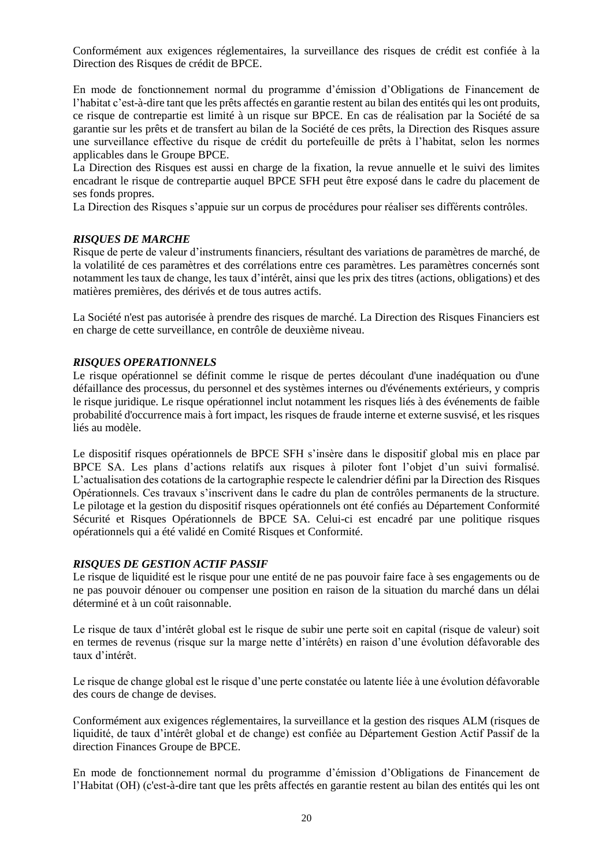Conformément aux exigences réglementaires, la surveillance des risques de crédit est confiée à la Direction des Risques de crédit de BPCE.

En mode de fonctionnement normal du programme d'émission d'Obligations de Financement de l'habitat c'est-à-dire tant que les prêts affectés en garantie restent au bilan des entités qui les ont produits, ce risque de contrepartie est limité à un risque sur BPCE. En cas de réalisation par la Société de sa garantie sur les prêts et de transfert au bilan de la Société de ces prêts, la Direction des Risques assure une surveillance effective du risque de crédit du portefeuille de prêts à l'habitat, selon les normes applicables dans le Groupe BPCE.

La Direction des Risques est aussi en charge de la fixation, la revue annuelle et le suivi des limites encadrant le risque de contrepartie auquel BPCE SFH peut être exposé dans le cadre du placement de ses fonds propres.

La Direction des Risques s'appuie sur un corpus de procédures pour réaliser ses différents contrôles.

#### *RISQUES DE MARCHE*

Risque de perte de valeur d'instruments financiers, résultant des variations de paramètres de marché, de la volatilité de ces paramètres et des corrélations entre ces paramètres. Les paramètres concernés sont notamment les taux de change, les taux d'intérêt, ainsi que les prix des titres (actions, obligations) et des matières premières, des dérivés et de tous autres actifs.

La Société n'est pas autorisée à prendre des risques de marché. La Direction des Risques Financiers est en charge de cette surveillance, en contrôle de deuxième niveau.

#### *RISQUES OPERATIONNELS*

Le risque opérationnel se définit comme le risque de pertes découlant d'une inadéquation ou d'une défaillance des processus, du personnel et des systèmes internes ou d'événements extérieurs, y compris le risque juridique. Le risque opérationnel inclut notamment les risques liés à des événements de faible probabilité d'occurrence mais à fort impact, les risques de fraude interne et externe susvisé, et les risques liés au modèle.

Le dispositif risques opérationnels de BPCE SFH s'insère dans le dispositif global mis en place par BPCE SA. Les plans d'actions relatifs aux risques à piloter font l'objet d'un suivi formalisé. L'actualisation des cotations de la cartographie respecte le calendrier défini par la Direction des Risques Opérationnels. Ces travaux s'inscrivent dans le cadre du plan de contrôles permanents de la structure. Le pilotage et la gestion du dispositif risques opérationnels ont été confiés au Département Conformité Sécurité et Risques Opérationnels de BPCE SA. Celui-ci est encadré par une politique risques opérationnels qui a été validé en Comité Risques et Conformité.

#### *RISQUES DE GESTION ACTIF PASSIF*

Le risque de liquidité est le risque pour une entité de ne pas pouvoir faire face à ses engagements ou de ne pas pouvoir dénouer ou compenser une position en raison de la situation du marché dans un délai déterminé et à un coût raisonnable.

Le risque de taux d'intérêt global est le risque de subir une perte soit en capital (risque de valeur) soit en termes de revenus (risque sur la marge nette d'intérêts) en raison d'une évolution défavorable des taux d'intérêt.

Le risque de change global est le risque d'une perte constatée ou latente liée à une évolution défavorable des cours de change de devises.

Conformément aux exigences réglementaires, la surveillance et la gestion des risques ALM (risques de liquidité, de taux d'intérêt global et de change) est confiée au Département Gestion Actif Passif de la direction Finances Groupe de BPCE.

En mode de fonctionnement normal du programme d'émission d'Obligations de Financement de l'Habitat (OH) (c'est-à-dire tant que les prêts affectés en garantie restent au bilan des entités qui les ont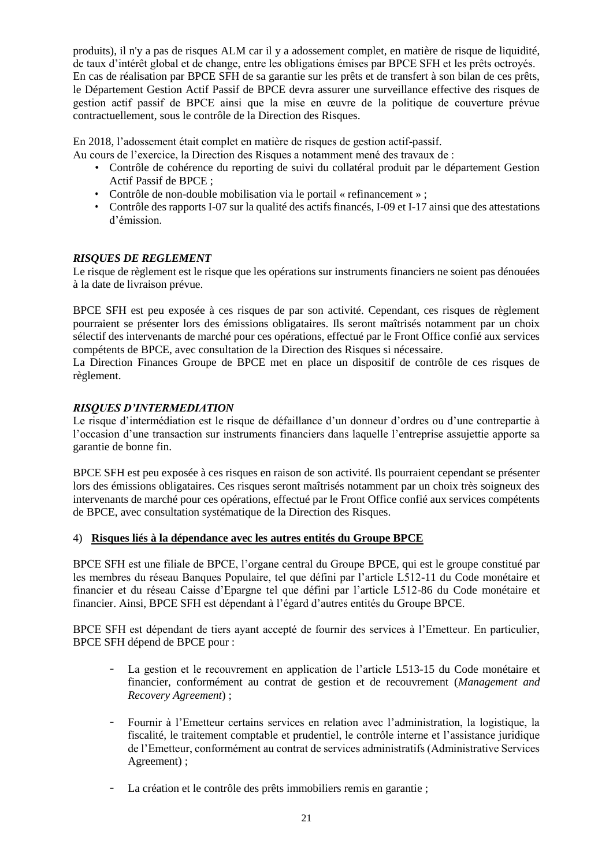produits), il n'y a pas de risques ALM car il y a adossement complet, en matière de risque de liquidité, de taux d'intérêt global et de change, entre les obligations émises par BPCE SFH et les prêts octroyés. En cas de réalisation par BPCE SFH de sa garantie sur les prêts et de transfert à son bilan de ces prêts, le Département Gestion Actif Passif de BPCE devra assurer une surveillance effective des risques de gestion actif passif de BPCE ainsi que la mise en œuvre de la politique de couverture prévue contractuellement, sous le contrôle de la Direction des Risques.

En 2018, l'adossement était complet en matière de risques de gestion actif-passif.

- Au cours de l'exercice, la Direction des Risques a notamment mené des travaux de :
	- Contrôle de cohérence du reporting de suivi du collatéral produit par le département Gestion Actif Passif de BPCE ;
	- Contrôle de non-double mobilisation via le portail « refinancement » ;
	- Contrôle des rapports I-07 sur la qualité des actifs financés, I-09 et I-17 ainsi que des attestations d'émission.

# *RISQUES DE REGLEMENT*

Le risque de règlement est le risque que les opérations sur instruments financiers ne soient pas dénouées à la date de livraison prévue.

BPCE SFH est peu exposée à ces risques de par son activité. Cependant, ces risques de règlement pourraient se présenter lors des émissions obligataires. Ils seront maîtrisés notamment par un choix sélectif des intervenants de marché pour ces opérations, effectué par le Front Office confié aux services compétents de BPCE, avec consultation de la Direction des Risques si nécessaire.

La Direction Finances Groupe de BPCE met en place un dispositif de contrôle de ces risques de règlement.

# *RISQUES D'INTERMEDIATION*

Le risque d'intermédiation est le risque de défaillance d'un donneur d'ordres ou d'une contrepartie à l'occasion d'une transaction sur instruments financiers dans laquelle l'entreprise assujettie apporte sa garantie de bonne fin.

BPCE SFH est peu exposée à ces risques en raison de son activité. Ils pourraient cependant se présenter lors des émissions obligataires. Ces risques seront maîtrisés notamment par un choix très soigneux des intervenants de marché pour ces opérations, effectué par le Front Office confié aux services compétents de BPCE, avec consultation systématique de la Direction des Risques.

#### 4) **Risques liés à la dépendance avec les autres entités du Groupe BPCE**

BPCE SFH est une filiale de BPCE, l'organe central du Groupe BPCE, qui est le groupe constitué par les membres du réseau Banques Populaire, tel que défini par l'article L512-11 du Code monétaire et financier et du réseau Caisse d'Epargne tel que défini par l'article L512-86 du Code monétaire et financier. Ainsi, BPCE SFH est dépendant à l'égard d'autres entités du Groupe BPCE.

BPCE SFH est dépendant de tiers ayant accepté de fournir des services à l'Emetteur. En particulier, BPCE SFH dépend de BPCE pour :

- La gestion et le recouvrement en application de l'article L513-15 du Code monétaire et financier, conformément au contrat de gestion et de recouvrement (*Management and Recovery Agreement*) ;
- Fournir à l'Emetteur certains services en relation avec l'administration, la logistique, la fiscalité, le traitement comptable et prudentiel, le contrôle interne et l'assistance juridique de l'Emetteur, conformément au contrat de services administratifs (Administrative Services Agreement) ;
- La création et le contrôle des prêts immobiliers remis en garantie ;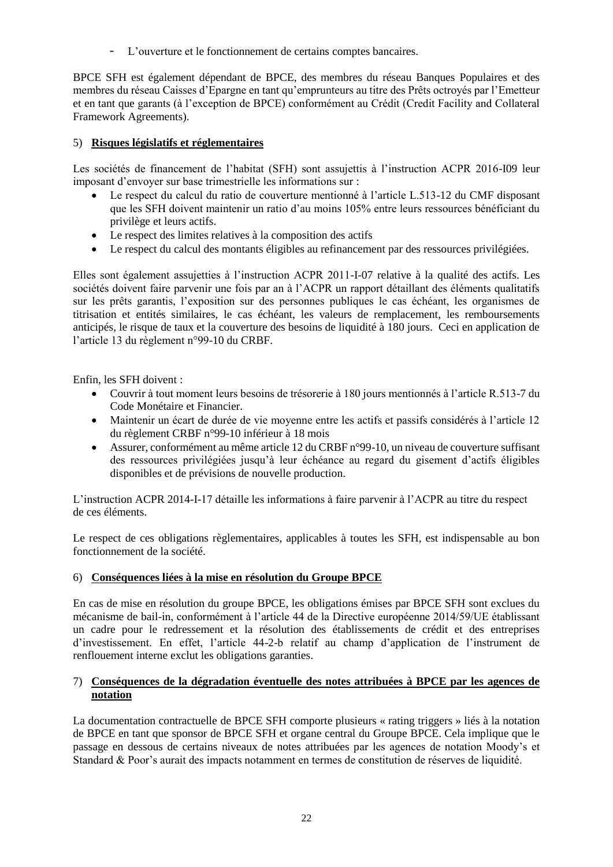- L'ouverture et le fonctionnement de certains comptes bancaires.

BPCE SFH est également dépendant de BPCE, des membres du réseau Banques Populaires et des membres du réseau Caisses d'Epargne en tant qu'emprunteurs au titre des Prêts octroyés par l'Emetteur et en tant que garants (à l'exception de BPCE) conformément au Crédit (Credit Facility and Collateral Framework Agreements).

# 5) **Risques législatifs et réglementaires**

Les sociétés de financement de l'habitat (SFH) sont assujettis à l'instruction ACPR 2016-I09 leur imposant d'envoyer sur base trimestrielle les informations sur :

- Le respect du calcul du ratio de couverture mentionné à l'article L.513-12 du CMF disposant que les SFH doivent maintenir un ratio d'au moins 105% entre leurs ressources bénéficiant du privilège et leurs actifs.
- Le respect des limites relatives à la composition des actifs
- Le respect du calcul des montants éligibles au refinancement par des ressources privilégiées.

Elles sont également assujetties à l'instruction ACPR 2011-I-07 relative à la qualité des actifs. Les sociétés doivent faire parvenir une fois par an à l'ACPR un rapport détaillant des éléments qualitatifs sur les prêts garantis, l'exposition sur des personnes publiques le cas échéant, les organismes de titrisation et entités similaires, le cas échéant, les valeurs de remplacement, les remboursements anticipés, le risque de taux et la couverture des besoins de liquidité à 180 jours. Ceci en application de l'article 13 du règlement n°99-10 du CRBF.

Enfin, les SFH doivent :

- Couvrir à tout moment leurs besoins de trésorerie à 180 jours mentionnés à l'article R.513-7 du Code Monétaire et Financier.
- Maintenir un écart de durée de vie moyenne entre les actifs et passifs considérés à l'article 12 du règlement CRBF n°99-10 inférieur à 18 mois
- Assurer, conformément au même article 12 du CRBF n°99-10, un niveau de couverture suffisant des ressources privilégiées jusqu'à leur échéance au regard du gisement d'actifs éligibles disponibles et de prévisions de nouvelle production.

L'instruction ACPR 2014-I-17 détaille les informations à faire parvenir à l'ACPR au titre du respect de ces éléments.

Le respect de ces obligations règlementaires, applicables à toutes les SFH, est indispensable au bon fonctionnement de la société.

# 6) **Conséquences liées à la mise en résolution du Groupe BPCE**

En cas de mise en résolution du groupe BPCE, les obligations émises par BPCE SFH sont exclues du mécanisme de bail-in, conformément à l'article 44 de la Directive européenne 2014/59/UE établissant un cadre pour le redressement et la résolution des établissements de crédit et des entreprises d'investissement. En effet, l'article 44-2-b relatif au champ d'application de l'instrument de renflouement interne exclut les obligations garanties.

# 7) **Conséquences de la dégradation éventuelle des notes attribuées à BPCE par les agences de notation**

La documentation contractuelle de BPCE SFH comporte plusieurs « rating triggers » liés à la notation de BPCE en tant que sponsor de BPCE SFH et organe central du Groupe BPCE. Cela implique que le passage en dessous de certains niveaux de notes attribuées par les agences de notation Moody's et Standard & Poor's aurait des impacts notamment en termes de constitution de réserves de liquidité.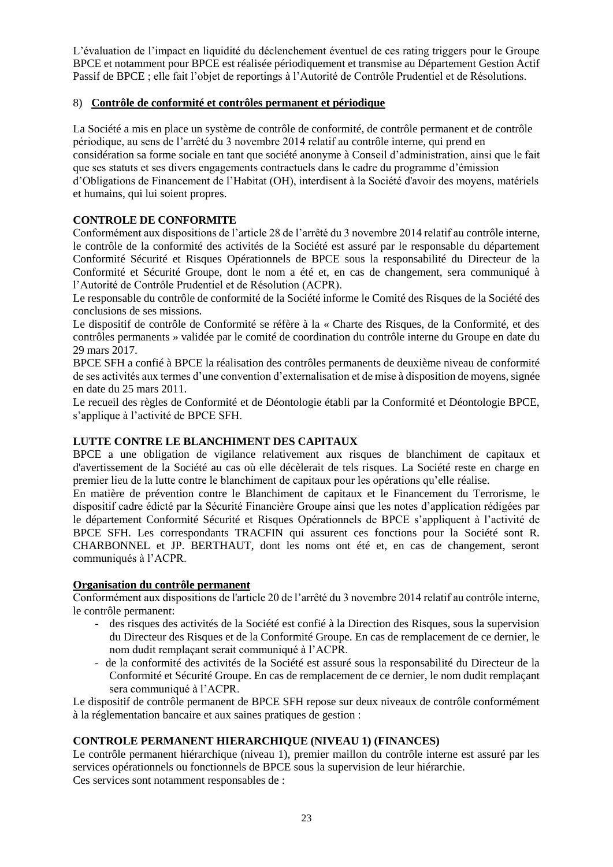L'évaluation de l'impact en liquidité du déclenchement éventuel de ces rating triggers pour le Groupe BPCE et notamment pour BPCE est réalisée périodiquement et transmise au Département Gestion Actif Passif de BPCE ; elle fait l'objet de reportings à l'Autorité de Contrôle Prudentiel et de Résolutions.

# 8) **Contrôle de conformité et contrôles permanent et périodique**

La Société a mis en place un système de contrôle de conformité, de contrôle permanent et de contrôle périodique, au sens de l'arrêté du 3 novembre 2014 relatif au contrôle interne, qui prend en considération sa forme sociale en tant que société anonyme à Conseil d'administration, ainsi que le fait que ses statuts et ses divers engagements contractuels dans le cadre du programme d'émission d'Obligations de Financement de l'Habitat (OH), interdisent à la Société d'avoir des moyens, matériels et humains, qui lui soient propres.

# **CONTROLE DE CONFORMITE**

Conformément aux dispositions de l'article 28 de l'arrêté du 3 novembre 2014 relatif au contrôle interne, le contrôle de la conformité des activités de la Société est assuré par le responsable du département Conformité Sécurité et Risques Opérationnels de BPCE sous la responsabilité du Directeur de la Conformité et Sécurité Groupe, dont le nom a été et, en cas de changement, sera communiqué à l'Autorité de Contrôle Prudentiel et de Résolution (ACPR).

Le responsable du contrôle de conformité de la Société informe le Comité des Risques de la Société des conclusions de ses missions.

Le dispositif de contrôle de Conformité se réfère à la « Charte des Risques, de la Conformité, et des contrôles permanents » validée par le comité de coordination du contrôle interne du Groupe en date du 29 mars 2017.

BPCE SFH a confié à BPCE la réalisation des contrôles permanents de deuxième niveau de conformité de ses activités aux termes d'une convention d'externalisation et de mise à disposition de moyens, signée en date du 25 mars 2011.

Le recueil des règles de Conformité et de Déontologie établi par la Conformité et Déontologie BPCE, s'applique à l'activité de BPCE SFH.

#### **LUTTE CONTRE LE BLANCHIMENT DES CAPITAUX**

BPCE a une obligation de vigilance relativement aux risques de blanchiment de capitaux et d'avertissement de la Société au cas où elle décèlerait de tels risques. La Société reste en charge en premier lieu de la lutte contre le blanchiment de capitaux pour les opérations qu'elle réalise.

En matière de prévention contre le Blanchiment de capitaux et le Financement du Terrorisme, le dispositif cadre édicté par la Sécurité Financière Groupe ainsi que les notes d'application rédigées par le département Conformité Sécurité et Risques Opérationnels de BPCE s'appliquent à l'activité de BPCE SFH. Les correspondants TRACFIN qui assurent ces fonctions pour la Société sont R. CHARBONNEL et JP. BERTHAUT, dont les noms ont été et, en cas de changement, seront communiqués à l'ACPR.

#### **Organisation du contrôle permanent**

Conformément aux dispositions de l'article 20 de l'arrêté du 3 novembre 2014 relatif au contrôle interne, le contrôle permanent:

- des risques des activités de la Société est confié à la Direction des Risques, sous la supervision du Directeur des Risques et de la Conformité Groupe. En cas de remplacement de ce dernier, le nom dudit remplaçant serait communiqué à l'ACPR.
- de la conformité des activités de la Société est assuré sous la responsabilité du Directeur de la Conformité et Sécurité Groupe. En cas de remplacement de ce dernier, le nom dudit remplaçant sera communiqué à l'ACPR.

Le dispositif de contrôle permanent de BPCE SFH repose sur deux niveaux de contrôle conformément à la réglementation bancaire et aux saines pratiques de gestion :

# **CONTROLE PERMANENT HIERARCHIQUE (NIVEAU 1) (FINANCES)**

Le contrôle permanent hiérarchique (niveau 1), premier maillon du contrôle interne est assuré par les services opérationnels ou fonctionnels de BPCE sous la supervision de leur hiérarchie. Ces services sont notamment responsables de :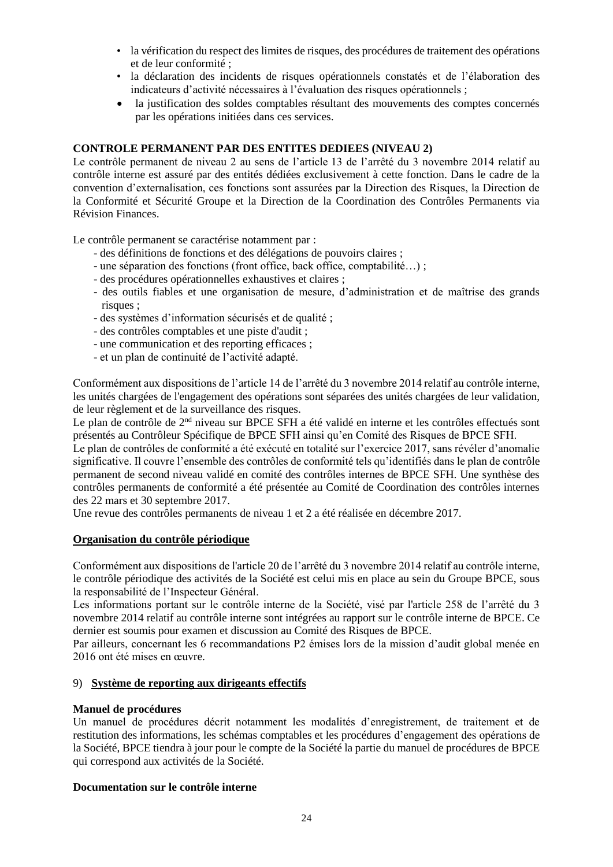- la vérification du respect des limites de risques, des procédures de traitement des opérations et de leur conformité ;
- la déclaration des incidents de risques opérationnels constatés et de l'élaboration des indicateurs d'activité nécessaires à l'évaluation des risques opérationnels ;
- la justification des soldes comptables résultant des mouvements des comptes concernés par les opérations initiées dans ces services.

# **CONTROLE PERMANENT PAR DES ENTITES DEDIEES (NIVEAU 2)**

Le contrôle permanent de niveau 2 au sens de l'article 13 de l'arrêté du 3 novembre 2014 relatif au contrôle interne est assuré par des entités dédiées exclusivement à cette fonction. Dans le cadre de la convention d'externalisation, ces fonctions sont assurées par la Direction des Risques, la Direction de la Conformité et Sécurité Groupe et la Direction de la Coordination des Contrôles Permanents via Révision Finances.

Le contrôle permanent se caractérise notamment par :

- des définitions de fonctions et des délégations de pouvoirs claires ;
- une séparation des fonctions (front office, back office, comptabilité…) ;
- des procédures opérationnelles exhaustives et claires ;
- des outils fiables et une organisation de mesure, d'administration et de maîtrise des grands risques ;
- des systèmes d'information sécurisés et de qualité ;
- des contrôles comptables et une piste d'audit ;
- une communication et des reporting efficaces ;
- et un plan de continuité de l'activité adapté.

Conformément aux dispositions de l'article 14 de l'arrêté du 3 novembre 2014 relatif au contrôle interne, les unités chargées de l'engagement des opérations sont séparées des unités chargées de leur validation, de leur règlement et de la surveillance des risques.

Le plan de contrôle de 2<sup>nd</sup> niveau sur BPCE SFH a été validé en interne et les contrôles effectués sont présentés au Contrôleur Spécifique de BPCE SFH ainsi qu'en Comité des Risques de BPCE SFH.

Le plan de contrôles de conformité a été exécuté en totalité sur l'exercice 2017, sans révéler d'anomalie significative. Il couvre l'ensemble des contrôles de conformité tels qu'identifiés dans le plan de contrôle permanent de second niveau validé en comité des contrôles internes de BPCE SFH. Une synthèse des contrôles permanents de conformité a été présentée au Comité de Coordination des contrôles internes des 22 mars et 30 septembre 2017.

Une revue des contrôles permanents de niveau 1 et 2 a été réalisée en décembre 2017.

#### **Organisation du contrôle périodique**

Conformément aux dispositions de l'article 20 de l'arrêté du 3 novembre 2014 relatif au contrôle interne, le contrôle périodique des activités de la Société est celui mis en place au sein du Groupe BPCE, sous la responsabilité de l'Inspecteur Général.

Les informations portant sur le contrôle interne de la Société, visé par l'article 258 de l'arrêté du 3 novembre 2014 relatif au contrôle interne sont intégrées au rapport sur le contrôle interne de BPCE. Ce dernier est soumis pour examen et discussion au Comité des Risques de BPCE.

Par ailleurs, concernant les 6 recommandations P2 émises lors de la mission d'audit global menée en 2016 ont été mises en œuvre.

#### 9) **Système de reporting aux dirigeants effectifs**

#### **Manuel de procédures**

Un manuel de procédures décrit notamment les modalités d'enregistrement, de traitement et de restitution des informations, les schémas comptables et les procédures d'engagement des opérations de la Société, BPCE tiendra à jour pour le compte de la Société la partie du manuel de procédures de BPCE qui correspond aux activités de la Société.

#### **Documentation sur le contrôle interne**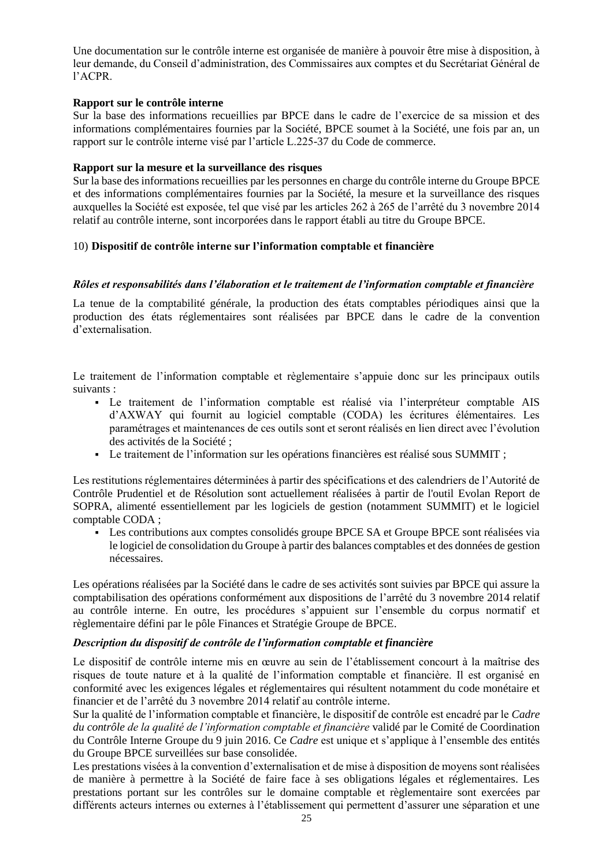Une documentation sur le contrôle interne est organisée de manière à pouvoir être mise à disposition, à leur demande, du Conseil d'administration, des Commissaires aux comptes et du Secrétariat Général de l'ACPR.

#### **Rapport sur le contrôle interne**

Sur la base des informations recueillies par BPCE dans le cadre de l'exercice de sa mission et des informations complémentaires fournies par la Société, BPCE soumet à la Société, une fois par an, un rapport sur le contrôle interne visé par l'article L.225-37 du Code de commerce.

#### **Rapport sur la mesure et la surveillance des risques**

Sur la base des informations recueillies par les personnes en charge du contrôle interne du Groupe BPCE et des informations complémentaires fournies par la Société, la mesure et la surveillance des risques auxquelles la Société est exposée, tel que visé par les articles 262 à 265 de l'arrêté du 3 novembre 2014 relatif au contrôle interne, sont incorporées dans le rapport établi au titre du Groupe BPCE.

# 10) **Dispositif de contrôle interne sur l'information comptable et financière**

# *Rôles et responsabilités dans l'élaboration et le traitement de l'information comptable et financière*

La tenue de la comptabilité générale, la production des états comptables périodiques ainsi que la production des états réglementaires sont réalisées par BPCE dans le cadre de la convention d'externalisation.

Le traitement de l'information comptable et règlementaire s'appuie donc sur les principaux outils suivants :

- Le traitement de l'information comptable est réalisé via l'interpréteur comptable AIS d'AXWAY qui fournit au logiciel comptable (CODA) les écritures élémentaires. Les paramétrages et maintenances de ces outils sont et seront réalisés en lien direct avec l'évolution des activités de la Société ;
- Le traitement de l'information sur les opérations financières est réalisé sous SUMMIT ;

Les restitutions réglementaires déterminées à partir des spécifications et des calendriers de l'Autorité de Contrôle Prudentiel et de Résolution sont actuellement réalisées à partir de l'outil Evolan Report de SOPRA, alimenté essentiellement par les logiciels de gestion (notamment SUMMIT) et le logiciel comptable CODA ;

▪ Les contributions aux comptes consolidés groupe BPCE SA et Groupe BPCE sont réalisées via le logiciel de consolidation du Groupe à partir des balances comptables et des données de gestion nécessaires.

Les opérations réalisées par la Société dans le cadre de ses activités sont suivies par BPCE qui assure la comptabilisation des opérations conformément aux dispositions de l'arrêté du 3 novembre 2014 relatif au contrôle interne. En outre, les procédures s'appuient sur l'ensemble du corpus normatif et règlementaire défini par le pôle Finances et Stratégie Groupe de BPCE.

#### *Description du dispositif de contrôle de l'information comptable et financière*

Le dispositif de contrôle interne mis en œuvre au sein de l'établissement concourt à la maîtrise des risques de toute nature et à la qualité de l'information comptable et financière. Il est organisé en conformité avec les exigences légales et réglementaires qui résultent notamment du code monétaire et financier et de l'arrêté du 3 novembre 2014 relatif au contrôle interne.

Sur la qualité de l'information comptable et financière, le dispositif de contrôle est encadré par le *Cadre du contrôle de la qualité de l'information comptable et financière* validé par le Comité de Coordination du Contrôle Interne Groupe du 9 juin 2016. Ce *Cadre* est unique et s'applique à l'ensemble des entités du Groupe BPCE surveillées sur base consolidée.

Les prestations visées à la convention d'externalisation et de mise à disposition de moyens sont réalisées de manière à permettre à la Société de faire face à ses obligations légales et réglementaires. Les prestations portant sur les contrôles sur le domaine comptable et règlementaire sont exercées par différents acteurs internes ou externes à l'établissement qui permettent d'assurer une séparation et une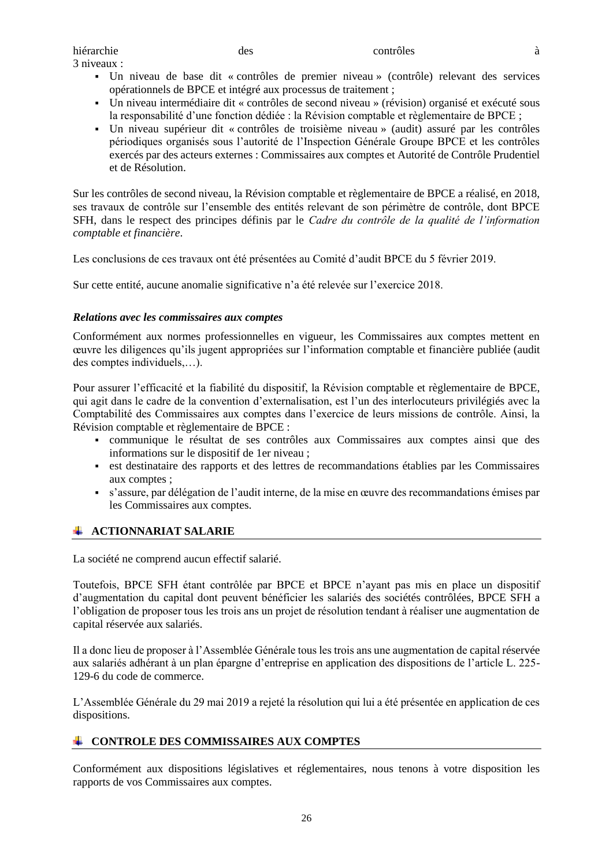3 niveaux :

- Un niveau de base dit « contrôles de premier niveau » (contrôle) relevant des services opérationnels de BPCE et intégré aux processus de traitement ;
- Un niveau intermédiaire dit « contrôles de second niveau » (révision) organisé et exécuté sous la responsabilité d'une fonction dédiée : la Révision comptable et règlementaire de BPCE ;
- Un niveau supérieur dit « contrôles de troisième niveau » (audit) assuré par les contrôles périodiques organisés sous l'autorité de l'Inspection Générale Groupe BPCE et les contrôles exercés par des acteurs externes : Commissaires aux comptes et Autorité de Contrôle Prudentiel et de Résolution.

Sur les contrôles de second niveau, la Révision comptable et règlementaire de BPCE a réalisé, en 2018, ses travaux de contrôle sur l'ensemble des entités relevant de son périmètre de contrôle, dont BPCE SFH, dans le respect des principes définis par le *Cadre du contrôle de la qualité de l'information comptable et financière*.

Les conclusions de ces travaux ont été présentées au Comité d'audit BPCE du 5 février 2019.

Sur cette entité, aucune anomalie significative n'a été relevée sur l'exercice 2018.

# *Relations avec les commissaires aux comptes*

Conformément aux normes professionnelles en vigueur, les Commissaires aux comptes mettent en œuvre les diligences qu'ils jugent appropriées sur l'information comptable et financière publiée (audit des comptes individuels,…).

Pour assurer l'efficacité et la fiabilité du dispositif, la Révision comptable et règlementaire de BPCE, qui agit dans le cadre de la convention d'externalisation, est l'un des interlocuteurs privilégiés avec la Comptabilité des Commissaires aux comptes dans l'exercice de leurs missions de contrôle. Ainsi, la Révision comptable et règlementaire de BPCE :

- communique le résultat de ses contrôles aux Commissaires aux comptes ainsi que des informations sur le dispositif de 1er niveau ;
- est destinataire des rapports et des lettres de recommandations établies par les Commissaires aux comptes ;
- s'assure, par délégation de l'audit interne, de la mise en œuvre des recommandations émises par les Commissaires aux comptes.

# *ACTIONNARIAT SALARIE*

La société ne comprend aucun effectif salarié.

Toutefois, BPCE SFH étant contrôlée par BPCE et BPCE n'ayant pas mis en place un dispositif d'augmentation du capital dont peuvent bénéficier les salariés des sociétés contrôlées, BPCE SFH a l'obligation de proposer tous les trois ans un projet de résolution tendant à réaliser une augmentation de capital réservée aux salariés.

Il a donc lieu de proposer à l'Assemblée Générale tous les trois ans une augmentation de capital réservée aux salariés adhérant à un plan épargne d'entreprise en application des dispositions de l'article L. 225- 129-6 du code de commerce.

L'Assemblée Générale du 29 mai 2019 a rejeté la résolution qui lui a été présentée en application de ces dispositions.

# **CONTROLE DES COMMISSAIRES AUX COMPTES**

Conformément aux dispositions législatives et réglementaires, nous tenons à votre disposition les rapports de vos Commissaires aux comptes.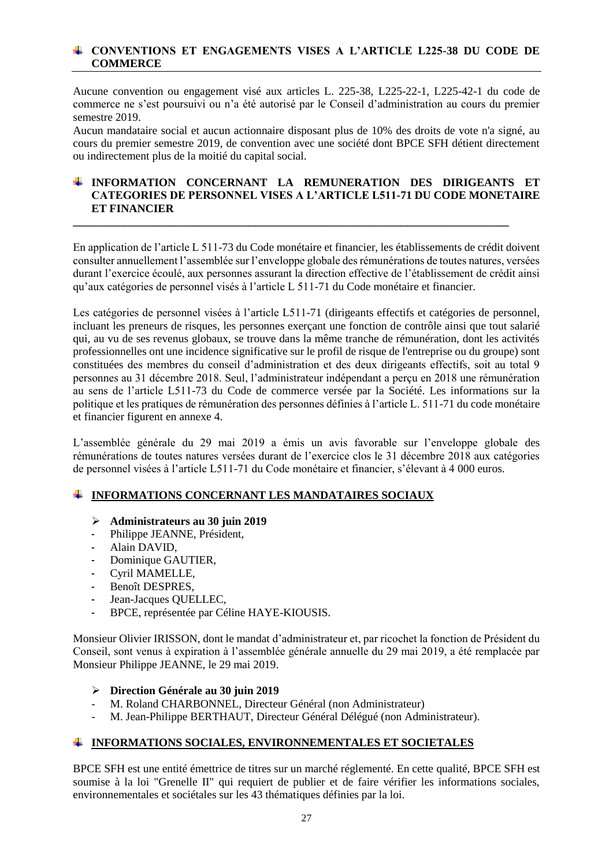# **CONVENTIONS ET ENGAGEMENTS VISES A L'ARTICLE L225-38 DU CODE DE COMMERCE**

Aucune convention ou engagement visé aux articles L. 225-38, L225-22-1, L225-42-1 du code de commerce ne s'est poursuivi ou n'a été autorisé par le Conseil d'administration au cours du premier semestre 2019.

Aucun mandataire social et aucun actionnaire disposant plus de 10% des droits de vote n'a signé, au cours du premier semestre 2019, de convention avec une société dont BPCE SFH détient directement ou indirectement plus de la moitié du capital social.

# **INFORMATION CONCERNANT LA REMUNERATION DES DIRIGEANTS ET CATEGORIES DE PERSONNEL VISES A L'ARTICLE L511-71 DU CODE MONETAIRE ET FINANCIER**

**\_\_\_\_\_\_\_\_\_\_\_\_\_\_\_\_\_\_\_\_\_\_\_\_\_\_\_\_\_\_\_\_\_\_\_\_\_\_\_\_\_\_\_\_\_\_\_\_\_\_\_\_\_\_\_\_\_\_\_\_\_\_\_\_\_\_\_\_\_\_\_\_\_\_\_\_\_**

En application de l'article L 511-73 du Code monétaire et financier, les établissements de crédit doivent consulter annuellement l'assemblée sur l'enveloppe globale des rémunérations de toutes natures, versées durant l'exercice écoulé, aux personnes assurant la direction effective de l'établissement de crédit ainsi qu'aux catégories de personnel visés à l'article L 511-71 du Code monétaire et financier.

Les catégories de personnel visées à l'article L511-71 (dirigeants effectifs et catégories de personnel, incluant les preneurs de risques, les personnes exerçant une fonction de contrôle ainsi que tout salarié qui, au vu de ses revenus globaux, se trouve dans la même tranche de rémunération, dont les activités professionnelles ont une incidence significative sur le profil de risque de l'entreprise ou du groupe) sont constituées des membres du conseil d'administration et des deux dirigeants effectifs, soit au total 9 personnes au 31 décembre 2018. Seul, l'administrateur indépendant a perçu en 2018 une rémunération au sens de l'article L511-73 du Code de commerce versée par la Société. Les informations sur la politique et les pratiques de rémunération des personnes définies à l'article L. 511-71 du code monétaire et financier figurent en annexe 4.

L'assemblée générale du 29 mai 2019 a émis un avis favorable sur l'enveloppe globale des rémunérations de toutes natures versées durant de l'exercice clos le 31 décembre 2018 aux catégories de personnel visées à l'article L511-71 du Code monétaire et financier, s'élevant à 4 000 euros.

# **INFORMATIONS CONCERNANT LES MANDATAIRES SOCIAUX**

- ➢ **Administrateurs au 30 juin 2019**
- Philippe JEANNE, Président,
- Alain DAVID,
- Dominique GAUTIER,
- Cyril MAMELLE,
- Benoît DESPRES.
- Jean-Jacques QUELLEC,
- BPCE, représentée par Céline HAYE-KIOUSIS.

Monsieur Olivier IRISSON, dont le mandat d'administrateur et, par ricochet la fonction de Président du Conseil, sont venus à expiration à l'assemblée générale annuelle du 29 mai 2019, a été remplacée par Monsieur Philippe JEANNE, le 29 mai 2019.

#### ➢ **Direction Générale au 30 juin 2019**

- M. Roland CHARBONNEL, Directeur Général (non Administrateur)
- M. Jean-Philippe BERTHAUT, Directeur Général Délégué (non Administrateur).

# **INFORMATIONS SOCIALES, ENVIRONNEMENTALES ET SOCIETALES**

BPCE SFH est une entité émettrice de titres sur un marché réglementé. En cette qualité, BPCE SFH est soumise à la loi "Grenelle II" qui requiert de publier et de faire vérifier les informations sociales, environnementales et sociétales sur les 43 thématiques définies par la loi.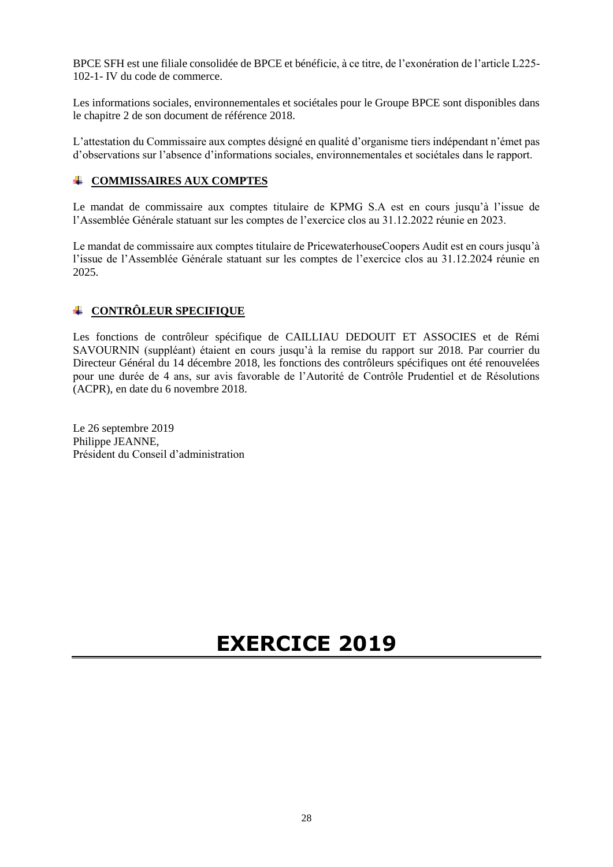BPCE SFH est une filiale consolidée de BPCE et bénéficie, à ce titre, de l'exonération de l'article L225- 102-1- IV du code de commerce.

Les informations sociales, environnementales et sociétales pour le Groupe BPCE sont disponibles dans le chapitre 2 de son document de référence 2018.

L'attestation du Commissaire aux comptes désigné en qualité d'organisme tiers indépendant n'émet pas d'observations sur l'absence d'informations sociales, environnementales et sociétales dans le rapport.

# **COMMISSAIRES AUX COMPTES**

Le mandat de commissaire aux comptes titulaire de KPMG S.A est en cours jusqu'à l'issue de l'Assemblée Générale statuant sur les comptes de l'exercice clos au 31.12.2022 réunie en 2023.

Le mandat de commissaire aux comptes titulaire de PricewaterhouseCoopers Audit est en cours jusqu'à l'issue de l'Assemblée Générale statuant sur les comptes de l'exercice clos au 31.12.2024 réunie en 2025.

# **CONTRÔLEUR SPECIFIQUE**

Les fonctions de contrôleur spécifique de CAILLIAU DEDOUIT ET ASSOCIES et de Rémi SAVOURNIN (suppléant) étaient en cours jusqu'à la remise du rapport sur 2018. Par courrier du Directeur Général du 14 décembre 2018, les fonctions des contrôleurs spécifiques ont été renouvelées pour une durée de 4 ans, sur avis favorable de l'Autorité de Contrôle Prudentiel et de Résolutions (ACPR), en date du 6 novembre 2018.

Le 26 septembre 2019 Philippe JEANNE, Président du Conseil d'administration

# **EXERCICE 2019**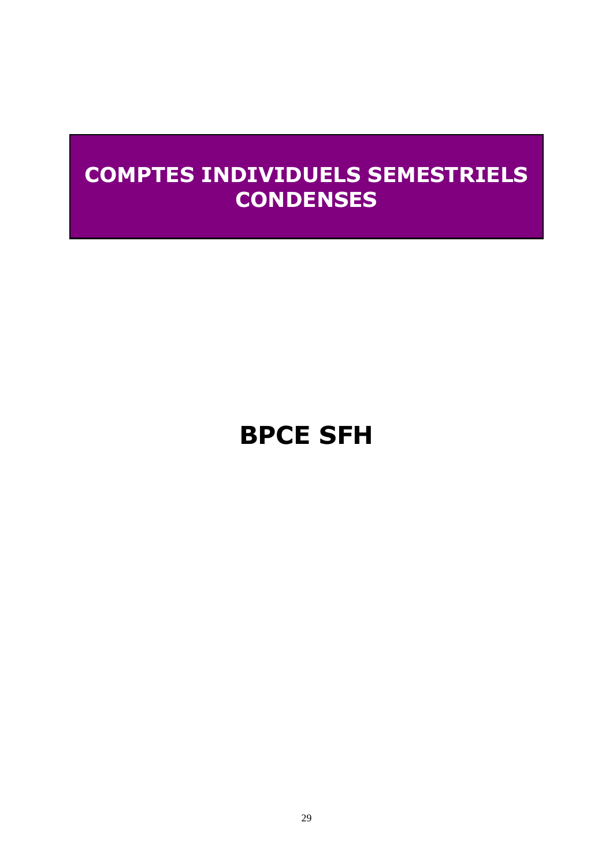# **COMPTES INDIVIDUELS SEMESTRIELS CONDENSES**

# **BPCE SFH**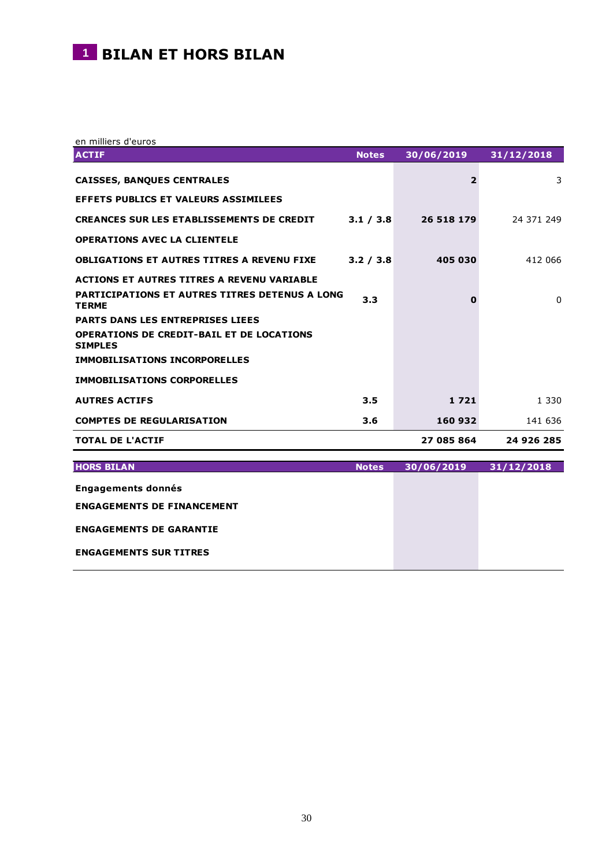# **1 BILAN ET HORS BILAN**

en milliers d'euros

| <b>ACTIF</b>                                                          | <b>Notes</b> | 30/06/2019     | 31/12/2018 |
|-----------------------------------------------------------------------|--------------|----------------|------------|
| <b>CAISSES, BANQUES CENTRALES</b>                                     |              | $\overline{2}$ | 3          |
| <b>EFFETS PUBLICS ET VALEURS ASSIMILEES</b>                           |              |                |            |
| <b>CREANCES SUR LES ETABLISSEMENTS DE CREDIT</b>                      | 3.1 / 3.8    | 26 518 179     | 24 371 249 |
| <b>OPERATIONS AVEC LA CLIENTELE</b>                                   |              |                |            |
| <b>OBLIGATIONS ET AUTRES TITRES A REVENU FIXE</b>                     | 3.2 / 3.8    | 405 030        | 412 066    |
| <b>ACTIONS ET AUTRES TITRES A REVENU VARIABLE</b>                     |              |                |            |
| <b>PARTICIPATIONS ET AUTRES TITRES DETENUS A LONG</b><br><b>TERME</b> | 3.3          | $\mathbf 0$    | 0          |
| <b>PARTS DANS LES ENTREPRISES LIEES</b>                               |              |                |            |
| <b>OPERATIONS DE CREDIT-BAIL ET DE LOCATIONS</b><br><b>SIMPLES</b>    |              |                |            |
| <b>IMMOBILISATIONS INCORPORELLES</b>                                  |              |                |            |
| <b>IMMOBILISATIONS CORPORELLES</b>                                    |              |                |            |
| <b>AUTRES ACTIFS</b>                                                  | 3.5          | 1721           | 1 3 3 0    |
| <b>COMPTES DE REGULARISATION</b>                                      | 3.6          | 160 932        | 141 636    |
| <b>TOTAL DE L'ACTIF</b>                                               |              | 27 085 864     | 24 926 285 |
| <b>HORS BILAN</b>                                                     | <b>Notes</b> | 30/06/2019     | 31/12/2018 |
|                                                                       |              |                |            |
| <b>Engagements donnés</b>                                             |              |                |            |
| <b>ENGAGEMENTS DE FINANCEMENT</b>                                     |              |                |            |
| <b>ENGAGEMENTS DE GARANTIE</b>                                        |              |                |            |
| <b>ENGAGEMENTS SUR TITRES</b>                                         |              |                |            |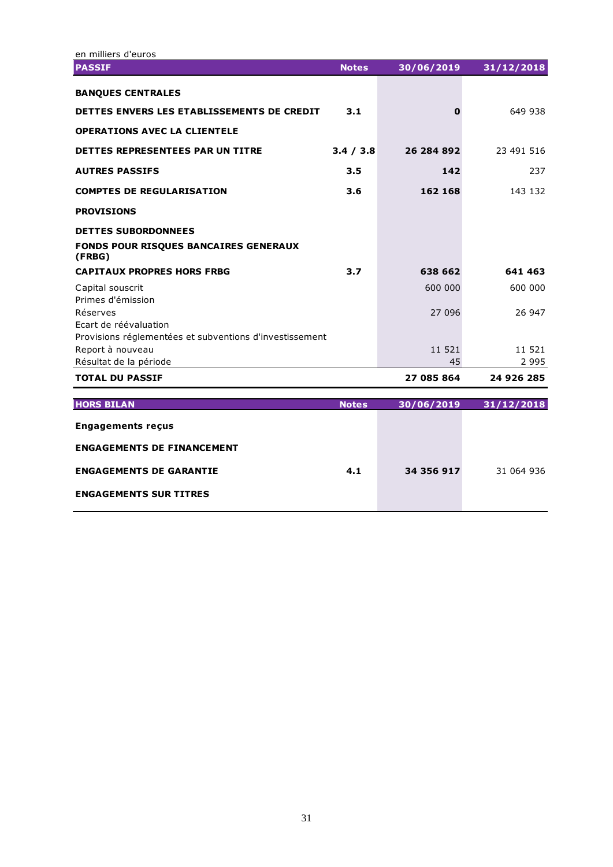| en milliers d'euros                                                              |              |             |            |
|----------------------------------------------------------------------------------|--------------|-------------|------------|
| <b>PASSIF</b>                                                                    | <b>Notes</b> | 30/06/2019  | 31/12/2018 |
| <b>BANQUES CENTRALES</b>                                                         |              |             |            |
| DETTES ENVERS LES ETABLISSEMENTS DE CREDIT                                       | 3.1          | $\mathbf 0$ | 649 938    |
| <b>OPERATIONS AVEC LA CLIENTELE</b>                                              |              |             |            |
| DETTES REPRESENTEES PAR UN TITRE                                                 | 3.4 / 3.8    | 26 284 892  | 23 491 516 |
| <b>AUTRES PASSIFS</b>                                                            | 3.5          | 142         | 237        |
| <b>COMPTES DE REGULARISATION</b>                                                 | 3.6          | 162 168     | 143 132    |
| <b>PROVISIONS</b>                                                                |              |             |            |
| <b>DETTES SUBORDONNEES</b><br>FONDS POUR RISQUES BANCAIRES GENERAUX<br>(FRBG)    |              |             |            |
| <b>CAPITAUX PROPRES HORS FRBG</b>                                                | 3.7          | 638 662     | 641 463    |
| Capital souscrit<br>Primes d'émission                                            |              | 600 000     | 600 000    |
| Réserves                                                                         |              | 27 096      | 26 947     |
| Ecart de réévaluation<br>Provisions réglementées et subventions d'investissement |              |             |            |
| Report à nouveau                                                                 |              | 11 521      | 11 521     |
| Résultat de la période                                                           |              | 45          | 2 9 9 5    |
| <b>TOTAL DU PASSIF</b>                                                           |              | 27 085 864  | 24 926 285 |
| <b>HORS BILAN</b>                                                                | <b>Notes</b> | 30/06/2019  | 31/12/2018 |
| <b>Engagements recus</b>                                                         |              |             |            |
| <b>ENGAGEMENTS DE FINANCEMENT</b>                                                |              |             |            |
| <b>ENGAGEMENTS DE GARANTIE</b>                                                   | 4.1          | 34 356 917  | 31 064 936 |
| <b>ENGAGEMENTS SUR TITRES</b>                                                    |              |             |            |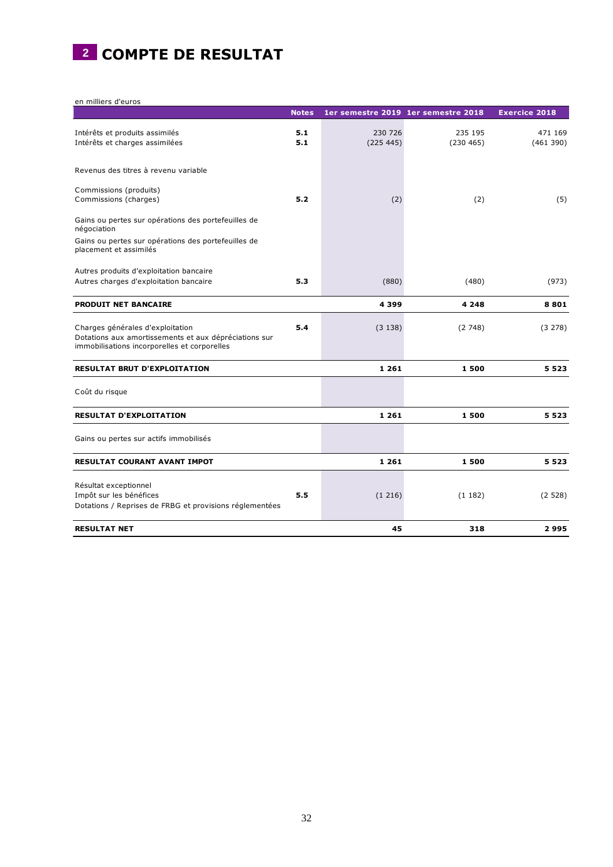

en milliers d'euros

|                                                                                                                                           | <b>Notes</b> |           | 1er semestre 2019 1er semestre 2018 | <b>Exercice 2018</b> |
|-------------------------------------------------------------------------------------------------------------------------------------------|--------------|-----------|-------------------------------------|----------------------|
| Intérêts et produits assimilés                                                                                                            | 5.1          | 230 726   | 235 195                             | 471 169              |
| Intérêts et charges assimilées                                                                                                            | 5.1          | (225 445) | (230 465)                           | (461 390)            |
|                                                                                                                                           |              |           |                                     |                      |
| Revenus des titres à revenu variable                                                                                                      |              |           |                                     |                      |
| Commissions (produits)                                                                                                                    |              |           |                                     |                      |
| Commissions (charges)                                                                                                                     | 5.2          | (2)       | (2)                                 | (5)                  |
| Gains ou pertes sur opérations des portefeuilles de<br>négociation                                                                        |              |           |                                     |                      |
| Gains ou pertes sur opérations des portefeuilles de<br>placement et assimilés                                                             |              |           |                                     |                      |
| Autres produits d'exploitation bancaire                                                                                                   |              |           |                                     |                      |
| Autres charges d'exploitation bancaire                                                                                                    | 5.3          | (880)     | (480)                               | (973)                |
| <b>PRODUIT NET BANCAIRE</b>                                                                                                               |              | 4399      | 4 2 4 8                             | 8801                 |
| Charges générales d'exploitation<br>Dotations aux amortissements et aux dépréciations sur<br>immobilisations incorporelles et corporelles | 5.4          | (3138)    | (2748)                              | (3 278)              |
| <b>RESULTAT BRUT D'EXPLOITATION</b>                                                                                                       |              | 1 2 6 1   | 1500                                | 5 5 2 3              |
| Coût du risque                                                                                                                            |              |           |                                     |                      |
| <b>RESULTAT D'EXPLOITATION</b>                                                                                                            |              | 1 2 6 1   | 1500                                | 5 5 2 3              |
| Gains ou pertes sur actifs immobilisés                                                                                                    |              |           |                                     |                      |
| <b>RESULTAT COURANT AVANT IMPOT</b>                                                                                                       |              | 1 2 6 1   | 1500                                | 5 5 2 3              |
| Résultat exceptionnel                                                                                                                     |              |           |                                     |                      |
| Impôt sur les bénéfices                                                                                                                   | 5.5          | (1216)    | (1182)                              | (2528)               |
| Dotations / Reprises de FRBG et provisions réglementées                                                                                   |              |           |                                     |                      |
| <b>RESULTAT NET</b>                                                                                                                       |              | 45        | 318                                 | 2995                 |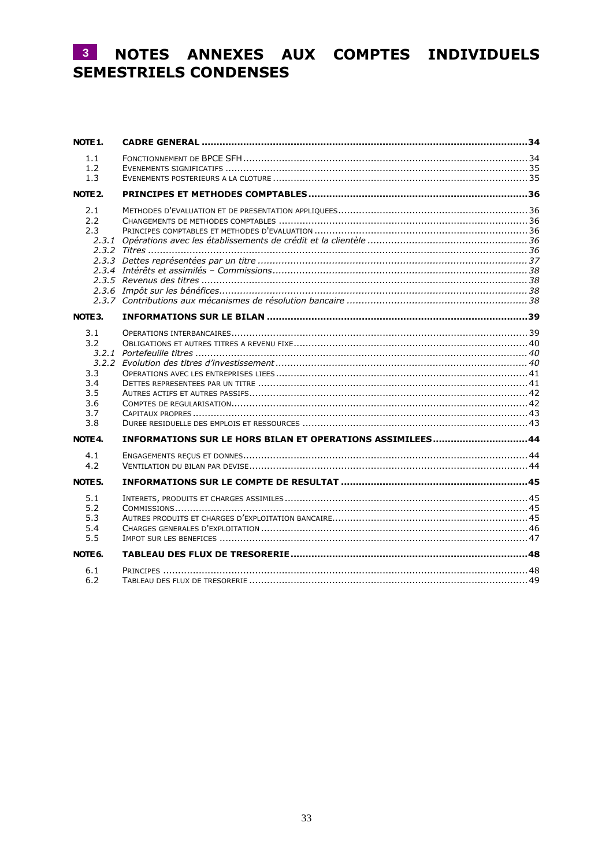# 3 NOTES ANNEXES AUX COMPTES INDIVIDUELS **SEMESTRIELS CONDENSES**

| NOTE 1.                                              |                                                           |  |
|------------------------------------------------------|-----------------------------------------------------------|--|
| 1.1<br>1.2<br>1.3                                    |                                                           |  |
| NOTE 2.                                              |                                                           |  |
| 2.1<br>2.2<br>2.3                                    |                                                           |  |
| NOTE <sub>3</sub> .                                  |                                                           |  |
| 3.1<br>3.2<br>3.3<br>3.4<br>3.5<br>3.6<br>3.7<br>3.8 |                                                           |  |
| NOTE 4.                                              | INFORMATIONS SUR LE HORS BILAN ET OPERATIONS ASSIMILEES44 |  |
| 4.1<br>4.2                                           |                                                           |  |
| NOTE <sub>5</sub> .                                  |                                                           |  |
| 5.1<br>5.2<br>5.3<br>5.4<br>5.5                      |                                                           |  |
| NOTE 6.                                              |                                                           |  |
| 6.1<br>6.2                                           |                                                           |  |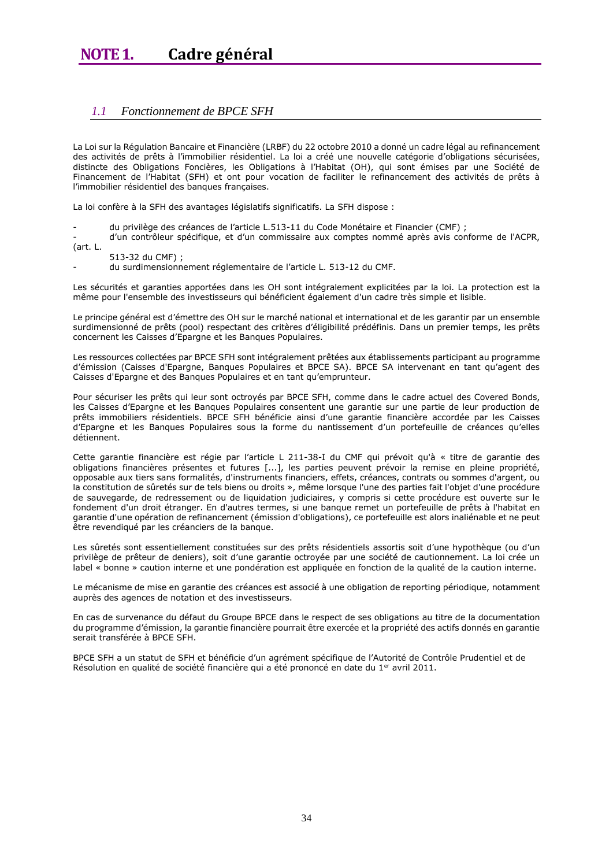#### <span id="page-33-1"></span><span id="page-33-0"></span>*1.1 Fonctionnement de BPCE SFH*

La Loi sur la Régulation Bancaire et Financière (LRBF) du 22 octobre 2010 a donné un cadre légal au refinancement des activités de prêts à l'immobilier résidentiel. La loi a créé une nouvelle catégorie d'obligations sécurisées, distincte des Obligations Foncières, les Obligations à l'Habitat (OH), qui sont émises par une Société de Financement de l'Habitat (SFH) et ont pour vocation de faciliter le refinancement des activités de prêts à l'immobilier résidentiel des banques françaises.

La loi confère à la SFH des avantages législatifs significatifs. La SFH dispose :

du privilège des créances de l'article L.513-11 du Code Monétaire et Financier (CMF) ;

- d'un contrôleur spécifique, et d'un commissaire aux comptes nommé après avis conforme de l'ACPR, (art. L.

513-32 du CMF) ;

- du surdimensionnement réglementaire de l'article L. 513-12 du CMF.

Les sécurités et garanties apportées dans les OH sont intégralement explicitées par la loi. La protection est la même pour l'ensemble des investisseurs qui bénéficient également d'un cadre très simple et lisible.

Le principe général est d'émettre des OH sur le marché national et international et de les garantir par un ensemble surdimensionné de prêts (pool) respectant des critères d'éligibilité prédéfinis. Dans un premier temps, les prêts concernent les Caisses d'Epargne et les Banques Populaires.

Les ressources collectées par BPCE SFH sont intégralement prêtées aux établissements participant au programme d'émission (Caisses d'Epargne, Banques Populaires et BPCE SA). BPCE SA intervenant en tant qu'agent des Caisses d'Epargne et des Banques Populaires et en tant qu'emprunteur.

Pour sécuriser les prêts qui leur sont octroyés par BPCE SFH, comme dans le cadre actuel des Covered Bonds, les Caisses d'Epargne et les Banques Populaires consentent une garantie sur une partie de leur production de prêts immobiliers résidentiels. BPCE SFH bénéficie ainsi d'une garantie financière accordée par les Caisses d'Epargne et les Banques Populaires sous la forme du nantissement d'un portefeuille de créances qu'elles détiennent.

Cette garantie financière est régie par l'article L 211-38-I du CMF qui prévoit qu'à « titre de garantie des obligations financières présentes et futures [...], les parties peuvent prévoir la remise en pleine propriété, opposable aux tiers sans formalités, d'instruments financiers, effets, créances, contrats ou sommes d'argent, ou la constitution de sûretés sur de tels biens ou droits », même lorsque l'une des parties fait l'objet d'une procédure de sauvegarde, de redressement ou de liquidation judiciaires, y compris si cette procédure est ouverte sur le fondement d'un droit étranger. En d'autres termes, si une banque remet un portefeuille de prêts à l'habitat en garantie d'une opération de refinancement (émission d'obligations), ce portefeuille est alors inaliénable et ne peut être revendiqué par les créanciers de la banque.

Les sûretés sont essentiellement constituées sur des prêts résidentiels assortis soit d'une hypothèque (ou d'un privilège de prêteur de deniers), soit d'une garantie octroyée par une société de cautionnement. La loi crée un label « bonne » caution interne et une pondération est appliquée en fonction de la qualité de la caution interne.

Le mécanisme de mise en garantie des créances est associé à une obligation de reporting périodique, notamment auprès des agences de notation et des investisseurs.

En cas de survenance du défaut du Groupe BPCE dans le respect de ses obligations au titre de la documentation du programme d'émission, la garantie financière pourrait être exercée et la propriété des actifs donnés en garantie serait transférée à BPCE SFH.

BPCE SFH a un statut de SFH et bénéficie d'un agrément spécifique de l'Autorité de Contrôle Prudentiel et de Résolution en qualité de société financière qui a été prononcé en date du 1<sup>er</sup> avril 2011.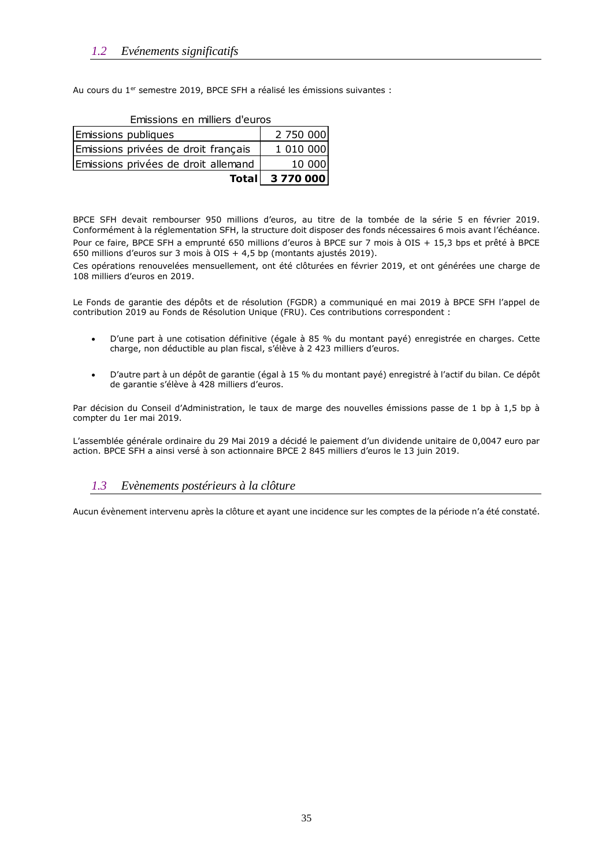<span id="page-34-0"></span>Au cours du 1<sup>er</sup> semestre 2019, BPCE SFH a réalisé les émissions suivantes :

| <b>Total</b>                        | 3770000   |  |  |
|-------------------------------------|-----------|--|--|
| Emissions privées de droit allemand | 10 000    |  |  |
| Emissions privées de droit français | 1 010 000 |  |  |
| Emissions publiques                 | 2 750 000 |  |  |
| ETHISSIOUS ETT THILIETS & EUTOS     |           |  |  |

# Emissions en milliers d'euros

BPCE SFH devait rembourser 950 millions d'euros, au titre de la tombée de la série 5 en février 2019. Conformément à la réglementation SFH, la structure doit disposer des fonds nécessaires 6 mois avant l'échéance. Pour ce faire, BPCE SFH a emprunté 650 millions d'euros à BPCE sur 7 mois à OIS + 15,3 bps et prêté à BPCE 650 millions d'euros sur 3 mois à OIS + 4,5 bp (montants ajustés 2019).

Ces opérations renouvelées mensuellement, ont été clôturées en février 2019, et ont générées une charge de 108 milliers d'euros en 2019.

Le Fonds de garantie des dépôts et de résolution (FGDR) a communiqué en mai 2019 à BPCE SFH l'appel de contribution 2019 au Fonds de Résolution Unique (FRU). Ces contributions correspondent :

- D'une part à une cotisation définitive (égale à 85 % du montant payé) enregistrée en charges. Cette charge, non déductible au plan fiscal, s'élève à 2 423 milliers d'euros.
- D'autre part à un dépôt de garantie (égal à 15 % du montant payé) enregistré à l'actif du bilan. Ce dépôt de garantie s'élève à 428 milliers d'euros.

Par décision du Conseil d'Administration, le taux de marge des nouvelles émissions passe de 1 bp à 1,5 bp à compter du 1er mai 2019.

L'assemblée générale ordinaire du 29 Mai 2019 a décidé le paiement d'un dividende unitaire de 0,0047 euro par action. BPCE SFH a ainsi versé à son actionnaire BPCE 2 845 milliers d'euros le 13 juin 2019.

#### <span id="page-34-1"></span>*1.3 Evènements postérieurs à la clôture*

Aucun évènement intervenu après la clôture et ayant une incidence sur les comptes de la période n'a été constaté.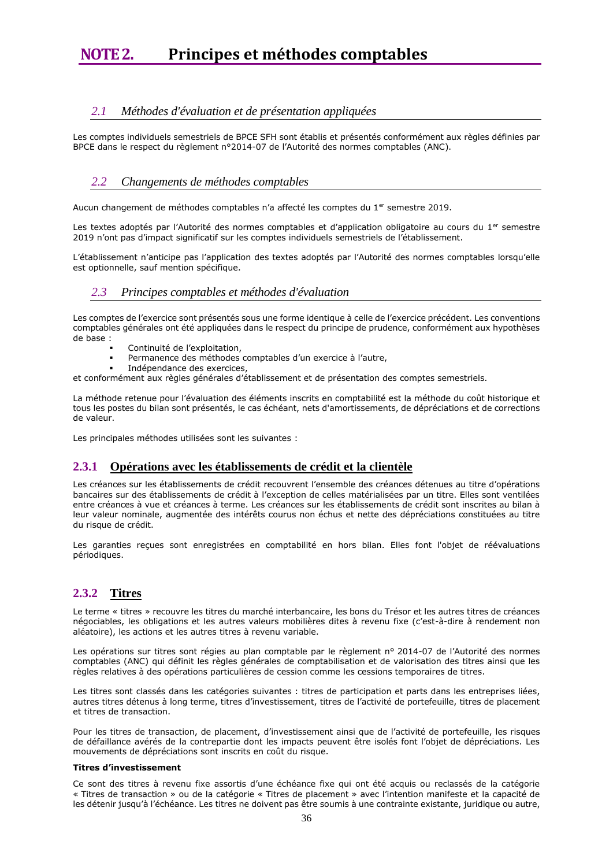# <span id="page-35-0"></span>**NOTE 2. Principes et méthodes comptables**

#### <span id="page-35-1"></span>*2.1 Méthodes d'évaluation et de présentation appliquées*

Les comptes individuels semestriels de BPCE SFH sont établis et présentés conformément aux règles définies par BPCE dans le respect du règlement n°2014-07 de l'Autorité des normes comptables (ANC).

#### <span id="page-35-2"></span>*2.2 Changements de méthodes comptables*

Aucun changement de méthodes comptables n'a affecté les comptes du 1<sup>er</sup> semestre 2019.

Les textes adoptés par l'Autorité des normes comptables et d'application obligatoire au cours du 1<sup>er</sup> semestre 2019 n'ont pas d'impact significatif sur les comptes individuels semestriels de l'établissement.

<span id="page-35-3"></span>L'établissement n'anticipe pas l'application des textes adoptés par l'Autorité des normes comptables lorsqu'elle est optionnelle, sauf mention spécifique.

#### *2.3 Principes comptables et méthodes d'évaluation*

Les comptes de l'exercice sont présentés sous une forme identique à celle de l'exercice précédent. Les conventions comptables générales ont été appliquées dans le respect du principe de prudence, conformément aux hypothèses de base :

- Continuité de l'exploitation,
- Permanence des méthodes comptables d'un exercice à l'autre,
- Indépendance des exercices,

et conformément aux règles générales d'établissement et de présentation des comptes semestriels.

La méthode retenue pour l'évaluation des éléments inscrits en comptabilité est la méthode du coût historique et tous les postes du bilan sont présentés, le cas échéant, nets d'amortissements, de dépréciations et de corrections de valeur.

Les principales méthodes utilisées sont les suivantes :

#### <span id="page-35-4"></span>**2.3.1 Opérations avec les établissements de crédit et la clientèle**

Les créances sur les établissements de crédit recouvrent l'ensemble des créances détenues au titre d'opérations bancaires sur des établissements de crédit à l'exception de celles matérialisées par un titre. Elles sont ventilées entre créances à vue et créances à terme. Les créances sur les établissements de crédit sont inscrites au bilan à leur valeur nominale, augmentée des intérêts courus non échus et nette des dépréciations constituées au titre du risque de crédit.

Les garanties reçues sont enregistrées en comptabilité en hors bilan. Elles font l'objet de réévaluations périodiques.

#### <span id="page-35-5"></span>**2.3.2 Titres**

Le terme « titres » recouvre les titres du marché interbancaire, les bons du Trésor et les autres titres de créances négociables, les obligations et les autres valeurs mobilières dites à revenu fixe (c'est-à-dire à rendement non aléatoire), les actions et les autres titres à revenu variable.

Les opérations sur titres sont régies au plan comptable par le règlement n° 2014-07 de l'Autorité des normes comptables (ANC) qui définit les règles générales de comptabilisation et de valorisation des titres ainsi que les règles relatives à des opérations particulières de cession comme les cessions temporaires de titres.

Les titres sont classés dans les catégories suivantes : titres de participation et parts dans les entreprises liées, autres titres détenus à long terme, titres d'investissement, titres de l'activité de portefeuille, titres de placement et titres de transaction.

Pour les titres de transaction, de placement, d'investissement ainsi que de l'activité de portefeuille, les risques de défaillance avérés de la contrepartie dont les impacts peuvent être isolés font l'objet de dépréciations. Les mouvements de dépréciations sont inscrits en coût du risque.

#### **Titres d'investissement**

Ce sont des titres à revenu fixe assortis d'une échéance fixe qui ont été acquis ou reclassés de la catégorie « Titres de transaction » ou de la catégorie « Titres de placement » avec l'intention manifeste et la capacité de les détenir jusqu'à l'échéance. Les titres ne doivent pas être soumis à une contrainte existante, juridique ou autre,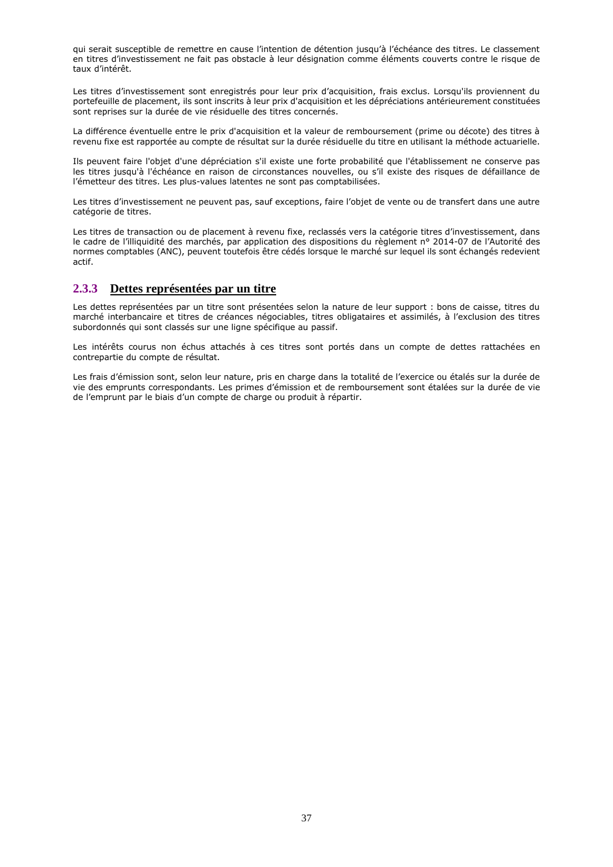qui serait susceptible de remettre en cause l'intention de détention jusqu'à l'échéance des titres. Le classement en titres d'investissement ne fait pas obstacle à leur désignation comme éléments couverts contre le risque de taux d'intérêt.

Les titres d'investissement sont enregistrés pour leur prix d'acquisition, frais exclus. Lorsqu'ils proviennent du portefeuille de placement, ils sont inscrits à leur prix d'acquisition et les dépréciations antérieurement constituées sont reprises sur la durée de vie résiduelle des titres concernés.

La différence éventuelle entre le prix d'acquisition et la valeur de remboursement (prime ou décote) des titres à revenu fixe est rapportée au compte de résultat sur la durée résiduelle du titre en utilisant la méthode actuarielle.

Ils peuvent faire l'objet d'une dépréciation s'il existe une forte probabilité que l'établissement ne conserve pas les titres jusqu'à l'échéance en raison de circonstances nouvelles, ou s'il existe des risques de défaillance de l'émetteur des titres. Les plus-values latentes ne sont pas comptabilisées.

Les titres d'investissement ne peuvent pas, sauf exceptions, faire l'objet de vente ou de transfert dans une autre catégorie de titres.

Les titres de transaction ou de placement à revenu fixe, reclassés vers la catégorie titres d'investissement, dans le cadre de l'illiquidité des marchés, par application des dispositions du règlement n° 2014-07 de l'Autorité des normes comptables (ANC), peuvent toutefois être cédés lorsque le marché sur lequel ils sont échangés redevient actif.

#### <span id="page-36-0"></span>**2.3.3 Dettes représentées par un titre**

Les dettes représentées par un titre sont présentées selon la nature de leur support : bons de caisse, titres du marché interbancaire et titres de créances négociables, titres obligataires et assimilés, à l'exclusion des titres subordonnés qui sont classés sur une ligne spécifique au passif.

Les intérêts courus non échus attachés à ces titres sont portés dans un compte de dettes rattachées en contrepartie du compte de résultat.

Les frais d'émission sont, selon leur nature, pris en charge dans la totalité de l'exercice ou étalés sur la durée de vie des emprunts correspondants. Les primes d'émission et de remboursement sont étalées sur la durée de vie de l'emprunt par le biais d'un compte de charge ou produit à répartir.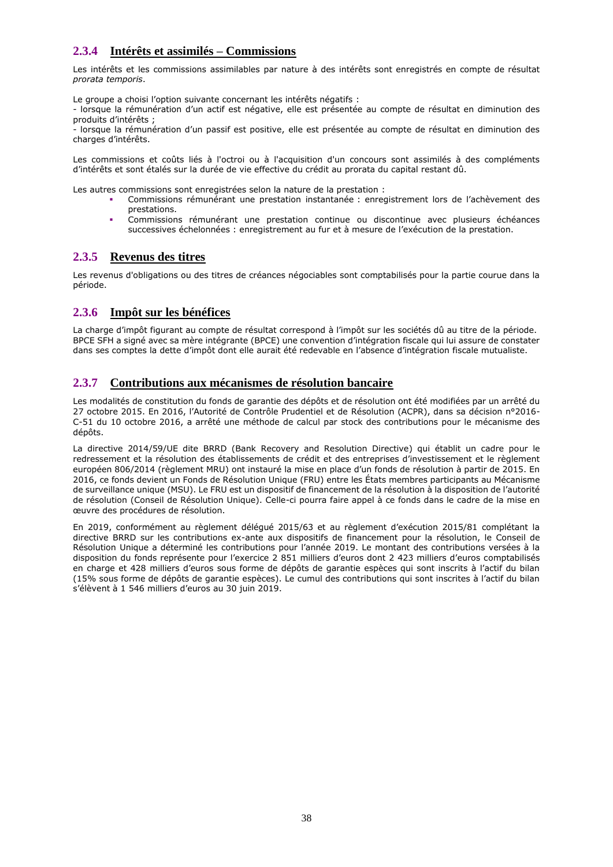# <span id="page-37-0"></span>**2.3.4 Intérêts et assimilés – Commissions**

Les intérêts et les commissions assimilables par nature à des intérêts sont enregistrés en compte de résultat *prorata temporis*.

Le groupe a choisi l'option suivante concernant les intérêts négatifs :

- lorsque la rémunération d'un actif est négative, elle est présentée au compte de résultat en diminution des produits d'intérêts ;

- lorsque la rémunération d'un passif est positive, elle est présentée au compte de résultat en diminution des charges d'intérêts.

Les commissions et coûts liés à l'octroi ou à l'acquisition d'un concours sont assimilés à des compléments d'intérêts et sont étalés sur la durée de vie effective du crédit au prorata du capital restant dû.

Les autres commissions sont enregistrées selon la nature de la prestation :

- Commissions rémunérant une prestation instantanée : enregistrement lors de l'achèvement des prestations.
- Commissions rémunérant une prestation continue ou discontinue avec plusieurs échéances successives échelonnées : enregistrement au fur et à mesure de l'exécution de la prestation.

#### <span id="page-37-1"></span>**2.3.5 Revenus des titres**

Les revenus d'obligations ou des titres de créances négociables sont comptabilisés pour la partie courue dans la période.

# <span id="page-37-2"></span>**2.3.6 Impôt sur les bénéfices**

La charge d'impôt figurant au compte de résultat correspond à l'impôt sur les sociétés dû au titre de la période. BPCE SFH a signé avec sa mère intégrante (BPCE) une convention d'intégration fiscale qui lui assure de constater dans ses comptes la dette d'impôt dont elle aurait été redevable en l'absence d'intégration fiscale mutualiste.

# <span id="page-37-3"></span>**2.3.7 Contributions aux mécanismes de résolution bancaire**

Les modalités de constitution du fonds de garantie des dépôts et de résolution ont été modifiées par un arrêté du 27 octobre 2015. En 2016, l'Autorité de Contrôle Prudentiel et de Résolution (ACPR), dans sa décision n°2016- C-51 du 10 octobre 2016, a arrêté une méthode de calcul par stock des contributions pour le mécanisme des dépôts.

La directive 2014/59/UE dite BRRD (Bank Recovery and Resolution Directive) qui établit un cadre pour le redressement et la résolution des établissements de crédit et des entreprises d'investissement et le règlement européen 806/2014 (règlement MRU) ont instauré la mise en place d'un fonds de résolution à partir de 2015. En 2016, ce fonds devient un Fonds de Résolution Unique (FRU) entre les États membres participants au Mécanisme de surveillance unique (MSU). Le FRU est un dispositif de financement de la résolution à la disposition de l'autorité de résolution (Conseil de Résolution Unique). Celle-ci pourra faire appel à ce fonds dans le cadre de la mise en œuvre des procédures de résolution.

En 2019, conformément au règlement délégué 2015/63 et au règlement d'exécution 2015/81 complétant la directive BRRD sur les contributions ex-ante aux dispositifs de financement pour la résolution, le Conseil de Résolution Unique a déterminé les contributions pour l'année 2019. Le montant des contributions versées à la disposition du fonds représente pour l'exercice 2 851 milliers d'euros dont 2 423 milliers d'euros comptabilisés en charge et 428 milliers d'euros sous forme de dépôts de garantie espèces qui sont inscrits à l'actif du bilan (15% sous forme de dépôts de garantie espèces). Le cumul des contributions qui sont inscrites à l'actif du bilan s'élèvent à 1 546 milliers d'euros au 30 juin 2019.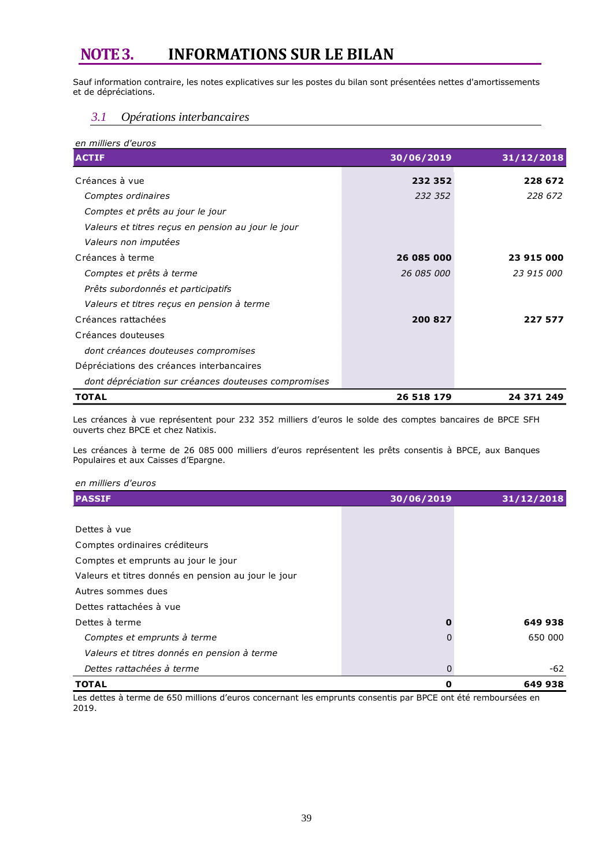# <span id="page-38-0"></span>**NOTE 3. INFORMATIONS SUR LE BILAN**

<span id="page-38-1"></span>Sauf information contraire, les notes explicatives sur les postes du bilan sont présentées nettes d'amortissements et de dépréciations.

#### *3.1 Opérations interbancaires*

| en milliers d'euros                                  |            |            |
|------------------------------------------------------|------------|------------|
| <b>ACTIF</b>                                         | 30/06/2019 | 31/12/2018 |
| Créances à vue                                       | 232 352    | 228 672    |
| Comptes ordinaires                                   | 232 352    | 228 672    |
| Comptes et prêts au jour le jour                     |            |            |
| Valeurs et titres reçus en pension au jour le jour   |            |            |
| Valeurs non imputées                                 |            |            |
| Créances à terme                                     | 26 085 000 | 23 915 000 |
| Comptes et prêts à terme                             | 26 085 000 | 23 915 000 |
| Prêts subordonnés et participatifs                   |            |            |
| Valeurs et titres reçus en pension à terme           |            |            |
| Créances rattachées                                  | 200 827    | 227 577    |
| Créances douteuses                                   |            |            |
| dont créances douteuses compromises                  |            |            |
| Dépréciations des créances interbancaires            |            |            |
| dont dépréciation sur créances douteuses compromises |            |            |
| <b>TOTAL</b>                                         | 26 518 179 | 24 371 249 |

Les créances à vue représentent pour 232 352 milliers d'euros le solde des comptes bancaires de BPCE SFH ouverts chez BPCE et chez Natixis.

Les créances à terme de 26 085 000 milliers d'euros représentent les prêts consentis à BPCE, aux Banques Populaires et aux Caisses d'Epargne.

*en milliers d'euros*

| <b>PASSIF</b>                                       | 30/06/2019 | 31/12/2018 |
|-----------------------------------------------------|------------|------------|
|                                                     |            |            |
| Dettes à vue                                        |            |            |
| Comptes ordinaires créditeurs                       |            |            |
| Comptes et emprunts au jour le jour                 |            |            |
| Valeurs et titres donnés en pension au jour le jour |            |            |
| Autres sommes dues                                  |            |            |
| Dettes rattachées à vue                             |            |            |
| Dettes à terme                                      | 0          | 649 938    |
| Comptes et emprunts à terme                         | 0          | 650 000    |
| Valeurs et titres donnés en pension à terme         |            |            |
| Dettes rattachées à terme                           | 0          | $-62$      |
| <b>TOTAL</b>                                        | 0          | 649 938    |

Les dettes à terme de 650 millions d'euros concernant les emprunts consentis par BPCE ont été remboursées en 2019.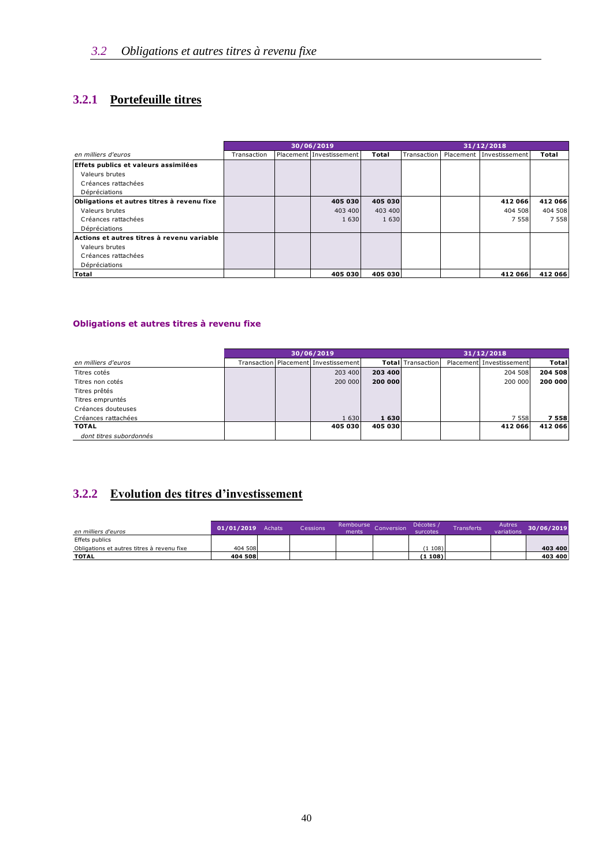# <span id="page-39-1"></span><span id="page-39-0"></span>**3.2.1 Portefeuille titres**

|                                            | 30/06/2019  |  |                          |         | 31/12/2018  |  |                          |         |
|--------------------------------------------|-------------|--|--------------------------|---------|-------------|--|--------------------------|---------|
| en milliers d'euros                        | Transaction |  | Placement Investissement | Total   | Transaction |  | Placement Investissement | Total   |
| Effets publics et valeurs assimilées       |             |  |                          |         |             |  |                          |         |
| Valeurs brutes                             |             |  |                          |         |             |  |                          |         |
| Créances rattachées                        |             |  |                          |         |             |  |                          |         |
| Dépréciations                              |             |  |                          |         |             |  |                          |         |
| Obligations et autres titres à revenu fixe |             |  | 405 030                  | 405 030 |             |  | 412066                   | 412 066 |
| Valeurs brutes                             |             |  | 403 400                  | 403 400 |             |  | 404 508                  | 404 508 |
| Créances rattachées                        |             |  | 1 6 3 0                  | 1 6 3 0 |             |  | 7 5 5 8                  | 7 5 5 8 |
| Dépréciations                              |             |  |                          |         |             |  |                          |         |
| Actions et autres titres à revenu variable |             |  |                          |         |             |  |                          |         |
| Valeurs brutes                             |             |  |                          |         |             |  |                          |         |
| Créances rattachées                        |             |  |                          |         |             |  |                          |         |
| Dépréciations                              |             |  |                          |         |             |  |                          |         |
| <b>Total</b>                               |             |  | 405 030                  | 405 030 |             |  | 412 066                  | 412 066 |

#### **Obligations et autres titres à revenu fixe**

|                         | 30/06/2019<br>31/12/2018 |  |                                          |         |                          |  |                          |              |
|-------------------------|--------------------------|--|------------------------------------------|---------|--------------------------|--|--------------------------|--------------|
| en milliers d'euros     |                          |  | Transaction   Placement   Investissement |         | <b>Total</b> Transaction |  | Placement Investissement | <b>Total</b> |
| Titres cotés            |                          |  | 203 400                                  | 203 400 |                          |  | 204 508                  | 204 508      |
| Titres non cotés        |                          |  | 200 000                                  | 200 000 |                          |  | 200 000                  | 200 000      |
| Titres prêtés           |                          |  |                                          |         |                          |  |                          |              |
| Titres empruntés        |                          |  |                                          |         |                          |  |                          |              |
| Créances douteuses      |                          |  |                                          |         |                          |  |                          |              |
| Créances rattachées     |                          |  | 1 630                                    | 1 630   |                          |  | 7 5 5 8 1                | 7 5 5 8      |
| <b>TOTAL</b>            |                          |  | 405 030                                  | 405 030 |                          |  | 412 066                  | 412 066      |
| dont titres subordonnés |                          |  |                                          |         |                          |  |                          |              |

# <span id="page-39-2"></span>**3.2.2 Evolution des titres d'investissement**

<span id="page-39-3"></span>

| en milliers d'euros                        | 01/01/2019 | Achats | Cessions' | Rembourse<br>ments | Conversion | Décotes /<br>surcotes <sup>1</sup> | Transferts | Autres<br>variations | 30/06/2019 |
|--------------------------------------------|------------|--------|-----------|--------------------|------------|------------------------------------|------------|----------------------|------------|
| Effets publics                             |            |        |           |                    |            |                                    |            |                      |            |
| Obligations et autres titres à revenu fixe | 404 508    |        |           |                    |            | (1108)                             |            |                      | 403 400    |
| <b>TOTAL</b>                               | 404 508    |        |           |                    |            | (1108)                             |            |                      | 403 400    |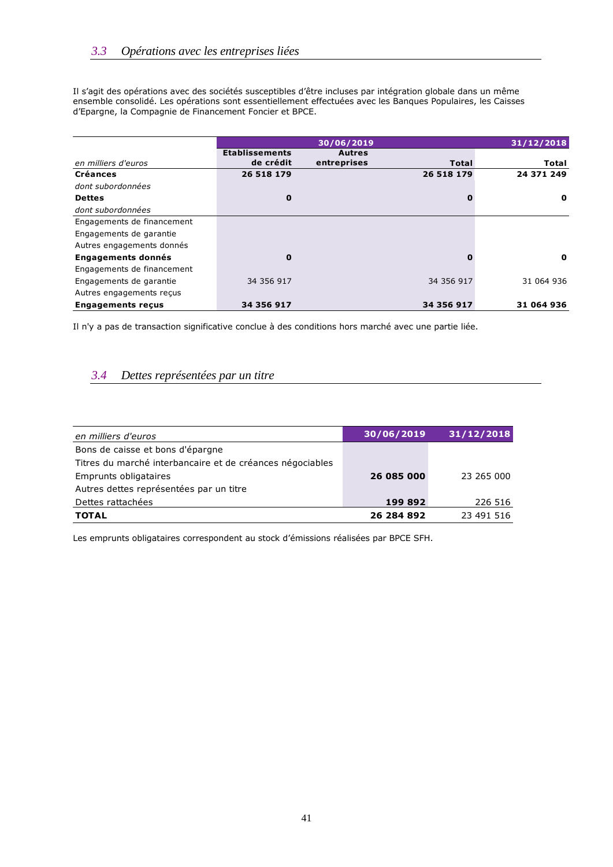Il s'agit des opérations avec des sociétés susceptibles d'être incluses par intégration globale dans un même ensemble consolidé. Les opérations sont essentiellement effectuées avec les Banques Populaires, les Caisses d'Epargne, la Compagnie de Financement Foncier et BPCE.

|                            |                       | 30/06/2019    |            | 31/12/2018   |
|----------------------------|-----------------------|---------------|------------|--------------|
|                            | <b>Etablissements</b> | <b>Autres</b> |            |              |
| en milliers d'euros        | de crédit             | entreprises   | Total      | Total        |
| <b>Créances</b>            | 26 518 179            |               | 26 518 179 | 24 371 249   |
| dont subordonnées          |                       |               |            |              |
| <b>Dettes</b>              | $\mathbf 0$           |               | n          | $\mathbf{o}$ |
| dont subordonnées          |                       |               |            |              |
| Engagements de financement |                       |               |            |              |
| Engagements de garantie    |                       |               |            |              |
| Autres engagements donnés  |                       |               |            |              |
| <b>Engagements donnés</b>  | $\mathbf 0$           |               |            | $\mathbf 0$  |
| Engagements de financement |                       |               |            |              |
| Engagements de garantie    | 34 356 917            |               | 34 356 917 | 31 064 936   |
| Autres engagements reçus   |                       |               |            |              |
| <b>Engagements recus</b>   | 34 356 917            |               | 34 356 917 | 31 064 936   |

Il n'y a pas de transaction significative conclue à des conditions hors marché avec une partie liée.

# <span id="page-40-0"></span>*3.4 Dettes représentées par un titre*

| en milliers d'euros                                       | 30/06/2019 | 31/12/2018 |
|-----------------------------------------------------------|------------|------------|
| Bons de caisse et bons d'épargne                          |            |            |
| Titres du marché interbancaire et de créances négociables |            |            |
| Emprunts obligataires                                     | 26 085 000 | 23 265 000 |
| Autres dettes représentées par un titre                   |            |            |
| Dettes rattachées                                         | 199 892    | 226 516    |
| <b>TOTAL</b>                                              | 26 284 892 | 23 491 516 |

<span id="page-40-1"></span>Les emprunts obligataires correspondent au stock d'émissions réalisées par BPCE SFH.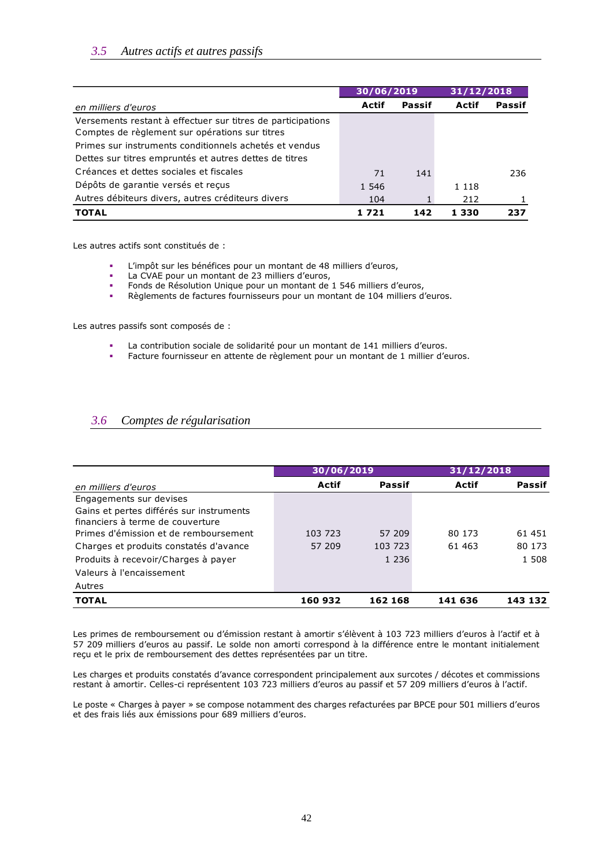|                                                             | 30/06/2019 |               | 31/12/2018   |               |
|-------------------------------------------------------------|------------|---------------|--------------|---------------|
| en milliers d'euros                                         | Actif      | <b>Passif</b> | <b>Actif</b> | <b>Passif</b> |
| Versements restant à effectuer sur titres de participations |            |               |              |               |
| Comptes de règlement sur opérations sur titres              |            |               |              |               |
| Primes sur instruments conditionnels achetés et vendus      |            |               |              |               |
| Dettes sur titres empruntés et autres dettes de titres      |            |               |              |               |
| Créances et dettes sociales et fiscales                     | 71         | 141           |              | 236           |
| Dépôts de garantie versés et reçus                          | 1 5 4 6    |               | 1 1 1 8      |               |
| Autres débiteurs divers, autres créditeurs divers           | 104        |               | 212          |               |
| <b>TOTAL</b>                                                | 1 721      | 142           | 1 330        | 237           |

Les autres actifs sont constitués de :

- L'impôt sur les bénéfices pour un montant de 48 milliers d'euros,
- La CVAE pour un montant de 23 milliers d'euros,
- **EDENS DE RESOLUTION UNIQUE POUR UN montant de 1 546 milliers d'euros,**<br> **EXECUTE DE LA SECUTE DE LA SECUTE DE LA SECUTAT DE LA SECUTAT DE LA SECUTAT DE LA SECUTAT DE LA SECUTAT DE LA**
- Règlements de factures fournisseurs pour un montant de 104 milliers d'euros.

Les autres passifs sont composés de :

- La contribution sociale de solidarité pour un montant de 141 milliers d'euros.
- Facture fournisseur en attente de règlement pour un montant de 1 millier d'euros.

#### <span id="page-41-0"></span>*3.6 Comptes de régularisation*

|                                                                              | 30/06/2019 |               | 31/12/2018 |               |  |
|------------------------------------------------------------------------------|------------|---------------|------------|---------------|--|
| en milliers d'euros                                                          | Actif      | <b>Passif</b> | Actif      | <b>Passif</b> |  |
| Engagements sur devises                                                      |            |               |            |               |  |
| Gains et pertes différés sur instruments<br>financiers à terme de couverture |            |               |            |               |  |
| Primes d'émission et de remboursement                                        | 103 723    | 57 209        | 80 173     | 61 451        |  |
| Charges et produits constatés d'avance                                       | 57 209     | 103 723       | 61 463     | 80 173        |  |
| Produits à recevoir/Charges à payer                                          |            | 1 2 3 6       |            | 1 508         |  |
| Valeurs à l'encaissement                                                     |            |               |            |               |  |
| Autres                                                                       |            |               |            |               |  |
| <b>TOTAL</b>                                                                 | 160 932    | 162 168       | 141 636    | 143 132       |  |

Les primes de remboursement ou d'émission restant à amortir s'élèvent à 103 723 milliers d'euros à l'actif et à 57 209 milliers d'euros au passif. Le solde non amorti correspond à la différence entre le montant initialement reçu et le prix de remboursement des dettes représentées par un titre.

Les charges et produits constatés d'avance correspondent principalement aux surcotes / décotes et commissions restant à amortir. Celles-ci représentent 103 723 milliers d'euros au passif et 57 209 milliers d'euros à l'actif.

Le poste « Charges à payer » se compose notamment des charges refacturées par BPCE pour 501 milliers d'euros et des frais liés aux émissions pour 689 milliers d'euros.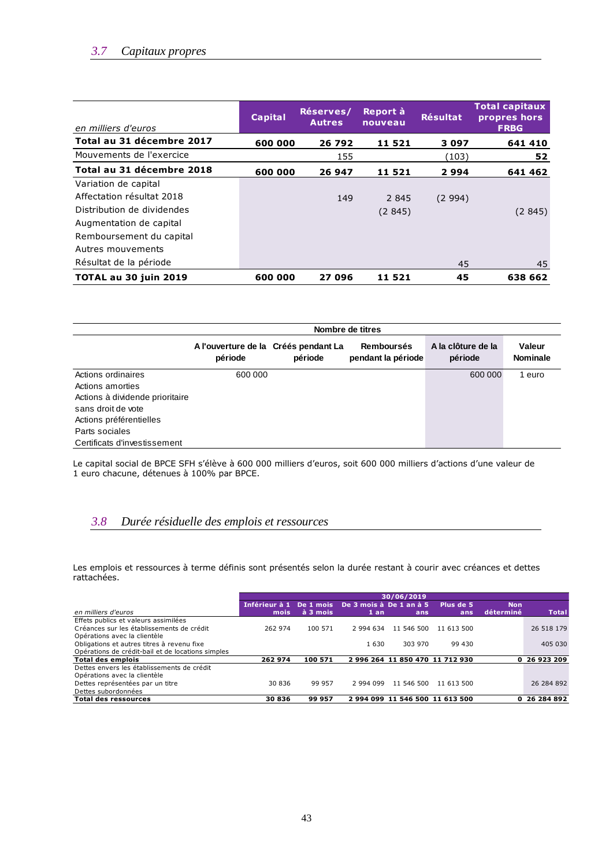# <span id="page-42-0"></span>*3.7 Capitaux propres*

| en milliers d'euros        | Capital | Réserves/<br><b>Autres</b> | Report à<br>nouveau | <b>Résultat</b> | <b>Total capitaux</b><br>propres hors<br><b>FRBG</b> |
|----------------------------|---------|----------------------------|---------------------|-----------------|------------------------------------------------------|
| Total au 31 décembre 2017  | 600 000 | 26 792                     | 11 5 21             | 3097            | 641 410                                              |
| Mouvements de l'exercice   |         | 155                        |                     | (103)           | 52                                                   |
| Total au 31 décembre 2018  | 600 000 | 26 947                     | 11 5 21             | 2994            | 641 462                                              |
| Variation de capital       |         |                            |                     |                 |                                                      |
| Affectation résultat 2018  |         | 149                        | 2 8 4 5             | (2994)          |                                                      |
| Distribution de dividendes |         |                            | (2845)              |                 | (2845)                                               |
| Augmentation de capital    |         |                            |                     |                 |                                                      |
| Remboursement du capital   |         |                            |                     |                 |                                                      |
| Autres mouvements          |         |                            |                     |                 |                                                      |
| Résultat de la période     |         |                            |                     | 45              | 45                                                   |
| TOTAL au 30 juin 2019      | 600 000 | 27 096                     | 11 521              | 45              | 638 662                                              |

|                                 | Nombre de titres                                |         |                                         |                               |                           |  |  |  |  |
|---------------------------------|-------------------------------------------------|---------|-----------------------------------------|-------------------------------|---------------------------|--|--|--|--|
|                                 | A l'ouverture de la Créés pendant La<br>période | période | <b>Remboursés</b><br>pendant la période | A la clôture de la<br>période | Valeur<br><b>Nominale</b> |  |  |  |  |
| Actions ordinaires              | 600 000                                         |         |                                         | 600 000                       | 1 euro                    |  |  |  |  |
| Actions amorties                |                                                 |         |                                         |                               |                           |  |  |  |  |
| Actions à dividende prioritaire |                                                 |         |                                         |                               |                           |  |  |  |  |
| sans droit de vote              |                                                 |         |                                         |                               |                           |  |  |  |  |
| Actions préférentielles         |                                                 |         |                                         |                               |                           |  |  |  |  |
| Parts sociales                  |                                                 |         |                                         |                               |                           |  |  |  |  |
| Certificats d'investissement    |                                                 |         |                                         |                               |                           |  |  |  |  |

Le capital social de BPCE SFH s'élève à 600 000 milliers d'euros, soit 600 000 milliers d'actions d'une valeur de 1 euro chacune, détenues à 100% par BPCE.

# <span id="page-42-1"></span>*3.8 Durée résiduelle des emplois et ressources*

Les emplois et ressources à terme définis sont présentés selon la durée restant à courir avec créances et dettes rattachées.

<span id="page-42-2"></span>

|                                                   |                                                 | 30/06/2019 |           |                              |            |            |               |  |
|---------------------------------------------------|-------------------------------------------------|------------|-----------|------------------------------|------------|------------|---------------|--|
|                                                   | Inférieur à 1 De 1 mois De 3 mois à De 1 an à 5 |            |           |                              | Plus de 5  | <b>Non</b> |               |  |
| en milliers d'euros                               | mois                                            | à 3 mois   | 1an       | ans                          | ans        | déterminé  | <b>Total</b>  |  |
| Effets publics et valeurs assimilées              |                                                 |            |           |                              |            |            |               |  |
| Créances sur les établissements de crédit         | 262 974                                         | 100 571    | 2 994 634 | 11 546 500                   | 11 613 500 |            | 26 518 179    |  |
| Opérations avec la clientèle                      |                                                 |            |           |                              |            |            |               |  |
| Obligations et autres titres à revenu fixe        |                                                 |            | 1630      | 303 970                      | 99 430     |            | 405 030       |  |
| Opérations de crédit-bail et de locations simples |                                                 |            |           |                              |            |            |               |  |
| <b>Total des emplois</b>                          | 262 974                                         | 100 571    |           | 2996 264 11850 470 11712 930 |            |            | 0 26 9 23 209 |  |
| Dettes envers les établissements de crédit        |                                                 |            |           |                              |            |            |               |  |
| Opérations avec la clientèle                      |                                                 |            |           |                              |            |            |               |  |
| Dettes représentées par un titre                  | 30 836                                          | 99 957     | 2 994 099 | 11 546 500                   | 11 613 500 |            | 26 284 892    |  |
| Dettes subordonnées                               |                                                 |            |           |                              |            |            |               |  |
| <b>Total des ressources</b>                       | 30836                                           | 99 957     |           | 2994099 11546500 11613500    |            | 0          | 26 284 892    |  |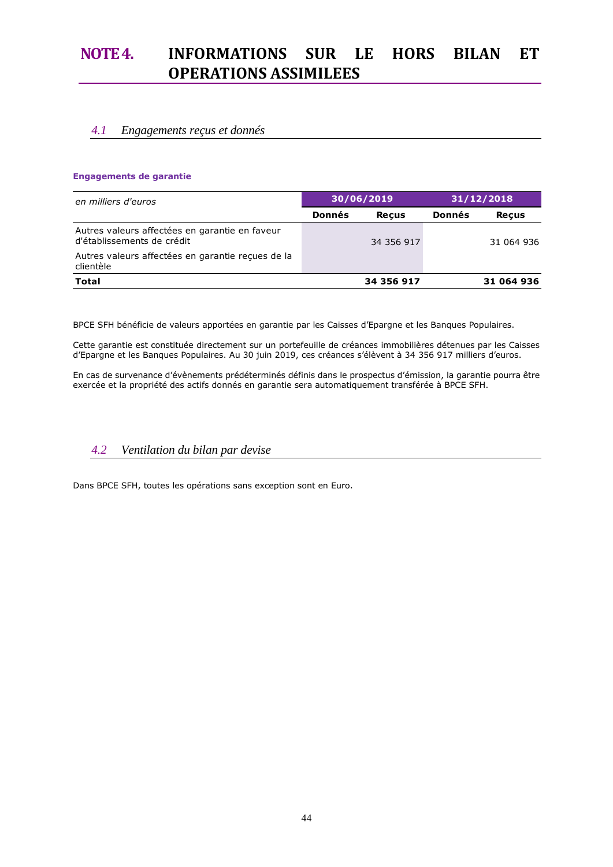# **NOTE 4. INFORMATIONS SUR LE HORS BILAN ET OPERATIONS ASSIMILEES**

# <span id="page-43-0"></span>*4.1 Engagements reçus et donnés*

#### **Engagements de garantie**

| en milliers d'euros                                                          | 30/06/2019 |              | 31/12/2018 |              |
|------------------------------------------------------------------------------|------------|--------------|------------|--------------|
|                                                                              | Donnés     | <b>Recus</b> | Donnés     | <b>Recus</b> |
| Autres valeurs affectées en garantie en faveur<br>d'établissements de crédit |            | 34 356 917   |            | 31 064 936   |
| Autres valeurs affectées en garantie reçues de la<br>clientèle               |            |              |            |              |
| Total                                                                        |            | 34 356 917   |            | 31 064 936   |

BPCE SFH bénéficie de valeurs apportées en garantie par les Caisses d'Epargne et les Banques Populaires.

Cette garantie est constituée directement sur un portefeuille de créances immobilières détenues par les Caisses d'Epargne et les Banques Populaires. Au 30 juin 2019, ces créances s'élèvent à 34 356 917 milliers d'euros.

En cas de survenance d'évènements prédéterminés définis dans le prospectus d'émission, la garantie pourra être exercée et la propriété des actifs donnés en garantie sera automatiquement transférée à BPCE SFH.

<span id="page-43-1"></span>*4.2 Ventilation du bilan par devise*

Dans BPCE SFH, toutes les opérations sans exception sont en Euro.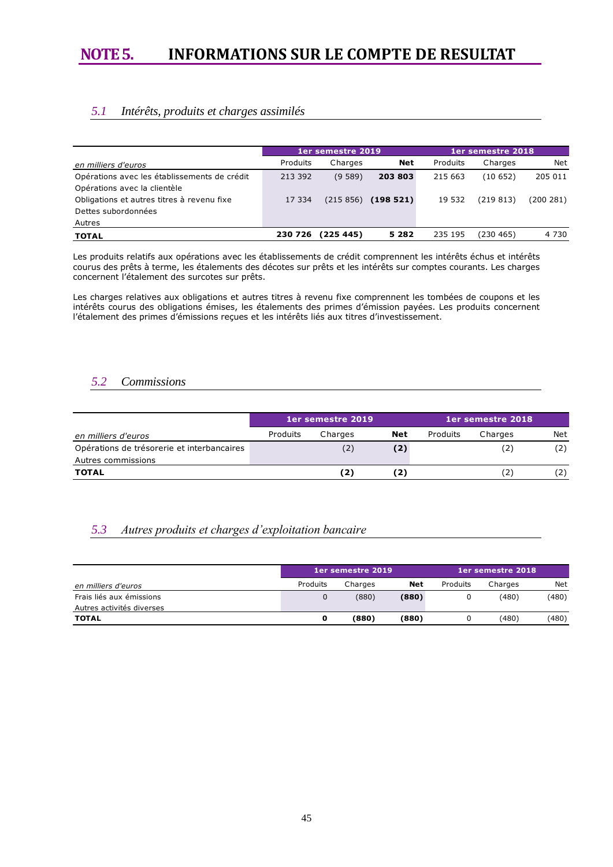# <span id="page-44-0"></span>**NOTE 5. INFORMATIONS SUR LE COMPTE DE RESULTAT**

# <span id="page-44-1"></span>*5.1 Intérêts, produits et charges assimilés*

|                                              | 1er semestre 2019 |           |            |          | 1er semestre 2018 |            |  |
|----------------------------------------------|-------------------|-----------|------------|----------|-------------------|------------|--|
| en milliers d'euros                          | Produits          | Charges   | <b>Net</b> | Produits | Charges           | <b>Net</b> |  |
| Opérations avec les établissements de crédit | 213 392           | (9589)    | 203 803    | 215 663  | (10652)           | 205 011    |  |
| Opérations avec la clientèle                 |                   |           |            |          |                   |            |  |
| Obligations et autres titres à revenu fixe   | 17 334            | (215 856) | (198521)   | 19 532   | (219813)          | (200 281)  |  |
| Dettes subordonnées                          |                   |           |            |          |                   |            |  |
| Autres                                       |                   |           |            |          |                   |            |  |
| <b>TOTAL</b>                                 | 230 726           | (225 445) | 5 2 8 2    | 235 195  | (230 465)         | 4 7 3 0    |  |

Les produits relatifs aux opérations avec les établissements de crédit comprennent les intérêts échus et intérêts courus des prêts à terme, les étalements des décotes sur prêts et les intérêts sur comptes courants. Les charges concernent l'étalement des surcotes sur prêts.

Les charges relatives aux obligations et autres titres à revenu fixe comprennent les tombées de coupons et les intérêts courus des obligations émises, les étalements des primes d'émission payées. Les produits concernent l'étalement des primes d'émissions reçues et les intérêts liés aux titres d'investissement.

#### <span id="page-44-2"></span>*5.2 Commissions*

|                                            | 1er semestre 2019 |         |     | 1er semestre 2018 |         |     |
|--------------------------------------------|-------------------|---------|-----|-------------------|---------|-----|
| en milliers d'euros                        | Produits          | Charges | Net | Produits          | Charges | Net |
| Opérations de trésorerie et interbancaires |                   | (2)     | (2) |                   | 21      | (2) |
| Autres commissions                         |                   |         |     |                   |         |     |
| <b>TOTAL</b>                               |                   | (2)     | .21 |                   | 2       | '2  |

# <span id="page-44-3"></span>*5.3 Autres produits et charges d'exploitation bancaire*

|                           | 1er semestre 2019. |         |            | ' 1er semestre 2018 |         |       |
|---------------------------|--------------------|---------|------------|---------------------|---------|-------|
| en milliers d'euros       | Produits           | Charges | <b>Net</b> | Produits            | Charges | Net   |
| Frais liés aux émissions  | 0                  | (880)   | (880)      |                     | (480)   | (480) |
| Autres activités diverses |                    |         |            |                     |         |       |
| <b>TOTAL</b>              | 0                  | (880)   | (880)      |                     | (480)   | (480) |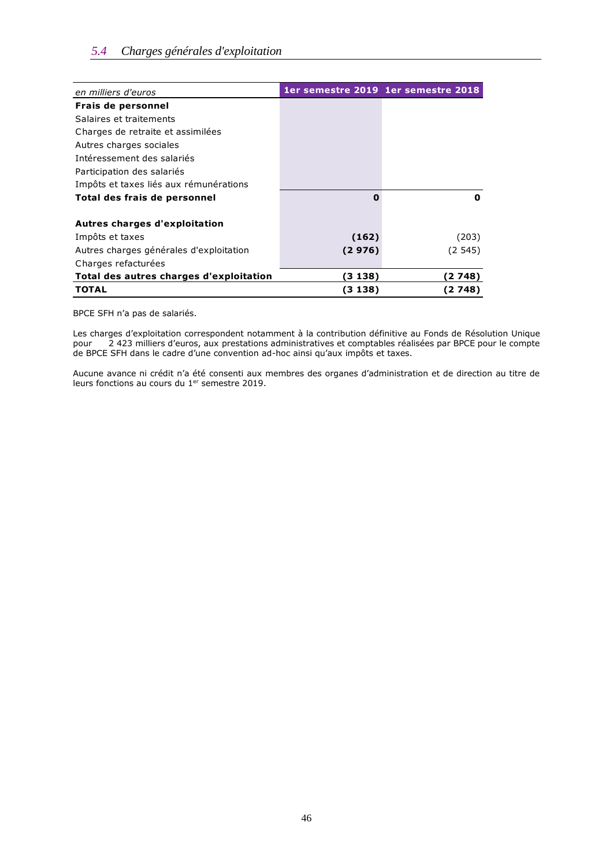<span id="page-45-0"></span>

| en milliers d'euros                     |          | 1er semestre 2019 1er semestre 2018 |
|-----------------------------------------|----------|-------------------------------------|
| Frais de personnel                      |          |                                     |
| Salaires et traitements                 |          |                                     |
| Charges de retraite et assimilées       |          |                                     |
| Autres charges sociales                 |          |                                     |
| Intéressement des salariés              |          |                                     |
| Participation des salariés              |          |                                     |
| Impôts et taxes liés aux rémunérations  |          |                                     |
| Total des frais de personnel            | $\Omega$ | O                                   |
| <b>Autres charges d'exploitation</b>    |          |                                     |
| Impôts et taxes                         | (162)    | (203)                               |
| Autres charges générales d'exploitation | (2976)   | (2545)                              |
| Charges refacturées                     |          |                                     |
| Total des autres charges d'exploitation | (3 138)  | (2 748)                             |
| TOTAL                                   | (3 138)  | (2 748)                             |

BPCE SFH n'a pas de salariés.

Les charges d'exploitation correspondent notamment à la contribution définitive au Fonds de Résolution Unique pour 2 423 milliers d'euros, aux prestations administratives et comptables réalisées par BPCE pour le compte de BPCE SFH dans le cadre d'une convention ad-hoc ainsi qu'aux impôts et taxes.

<span id="page-45-1"></span>Aucune avance ni crédit n'a été consenti aux membres des organes d'administration et de direction au titre de leurs fonctions au cours du 1<sup>er</sup> semestre 2019.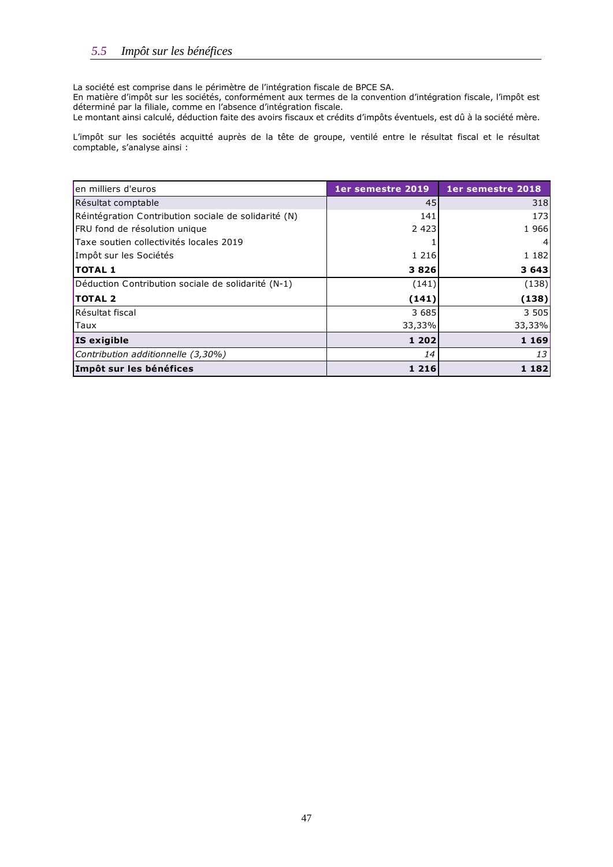La société est comprise dans le périmètre de l'intégration fiscale de BPCE SA.

En matière d'impôt sur les sociétés, conformément aux termes de la convention d'intégration fiscale, l'impôt est déterminé par la filiale, comme en l'absence d'intégration fiscale.

Le montant ainsi calculé, déduction faite des avoirs fiscaux et crédits d'impôts éventuels, est dû à la société mère.

L'impôt sur les sociétés acquitté auprès de la tête de groupe, ventilé entre le résultat fiscal et le résultat comptable, s'analyse ainsi :

| len milliers d'euros                                  | 1er semestre 2019 | 1er semestre 2018 |
|-------------------------------------------------------|-------------------|-------------------|
| Résultat comptable                                    | 45                | 318               |
| (Réintégration Contribution sociale de solidarité (N) | 141               | 173               |
| FRU fond de résolution unique                         | 2 4 2 3           | 1966              |
| lTaxe soutien collectivités locales 2019              |                   | 4                 |
| Impôt sur les Sociétés                                | 1 2 1 6           | 1 1 8 2           |
| <b>TOTAL 1</b>                                        | 3826              | 3 6 4 3           |
| Déduction Contribution sociale de solidarité (N-1)    | (141)             | (138)             |
| <b>TOTAL 2</b>                                        | (141)             | (138)             |
| Résultat fiscal                                       | 3 6 8 5           | 3 5 0 5           |
| Taux                                                  | 33,33%            | 33,33%            |
| <b>IS exigible</b>                                    | 1 202             | 1 1 6 9           |
| Contribution additionnelle (3,30%)                    | 14                | 13                |
| Impôt sur les bénéfices                               | 1 2 1 6           | 1 182             |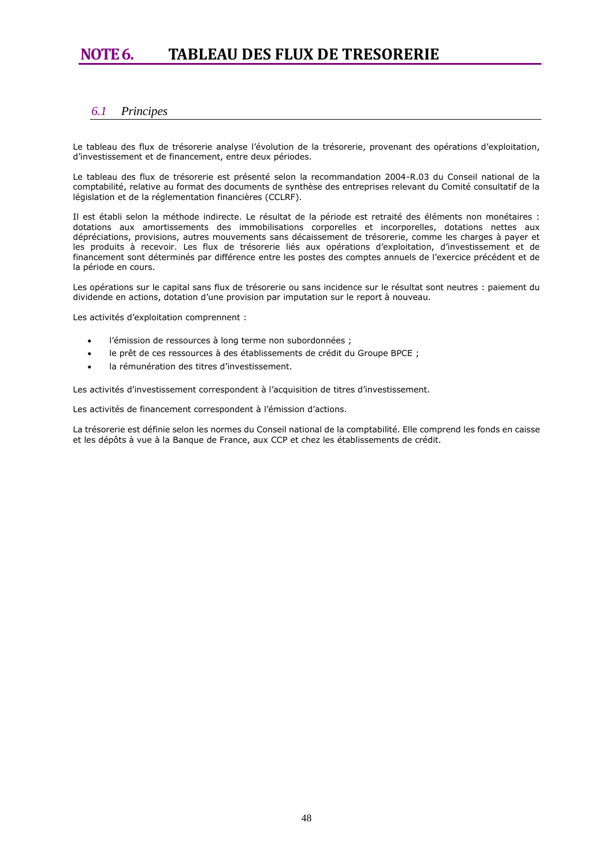# <span id="page-47-0"></span>**NOTE 6. TABLEAU DES FLUX DE TRESORERIE**

#### <span id="page-47-1"></span>*6.1 Principes*

Le tableau des flux de trésorerie analyse l'évolution de la trésorerie, provenant des opérations d'exploitation, d'investissement et de financement, entre deux périodes.

Le tableau des flux de trésorerie est présenté selon la recommandation 2004-R.03 du Conseil national de la comptabilité, relative au format des documents de synthèse des entreprises relevant du Comité consultatif de la législation et de la réglementation financières (CCLRF).

Il est établi selon la méthode indirecte. Le résultat de la période est retraité des éléments non monétaires : dotations aux amortissements des immobilisations corporelles et incorporelles, dotations nettes aux dépréciations, provisions, autres mouvements sans décaissement de trésorerie, comme les charges à payer et les produits à recevoir. Les flux de trésorerie liés aux opérations d'exploitation, d'investissement et de financement sont déterminés par différence entre les postes des comptes annuels de l'exercice précédent et de la période en cours.

Les opérations sur le capital sans flux de trésorerie ou sans incidence sur le résultat sont neutres : paiement du dividende en actions, dotation d'une provision par imputation sur le report à nouveau.

Les activités d'exploitation comprennent :

- l'émission de ressources à long terme non subordonnées ;
- le prêt de ces ressources à des établissements de crédit du Groupe BPCE ;
- la rémunération des titres d'investissement.

Les activités d'investissement correspondent à l'acquisition de titres d'investissement.

Les activités de financement correspondent à l'émission d'actions.

<span id="page-47-2"></span>La trésorerie est définie selon les normes du Conseil national de la comptabilité. Elle comprend les fonds en caisse et les dépôts à vue à la Banque de France, aux CCP et chez les établissements de crédit.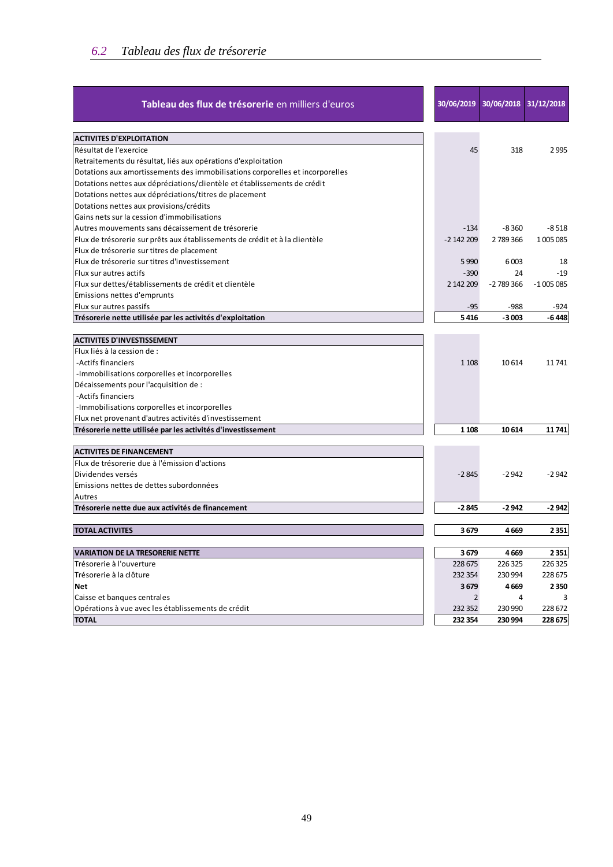| Tableau des flux de trésorerie en milliers d'euros                            | 30/06/2019     | 30/06/2018 31/12/2018 |            |
|-------------------------------------------------------------------------------|----------------|-----------------------|------------|
| <b>ACTIVITES D'EXPLOITATION</b>                                               |                |                       |            |
| Résultat de l'exercice                                                        | 45             | 318                   | 2995       |
| Retraitements du résultat, liés aux opérations d'exploitation                 |                |                       |            |
| Dotations aux amortissements des immobilisations corporelles et incorporelles |                |                       |            |
| Dotations nettes aux dépréciations/clientèle et établissements de crédit      |                |                       |            |
| Dotations nettes aux dépréciations/titres de placement                        |                |                       |            |
| Dotations nettes aux provisions/crédits                                       |                |                       |            |
| Gains nets sur la cession d'immobilisations                                   |                |                       |            |
| Autres mouvements sans décaissement de trésorerie                             | $-134$         | -8360                 | $-8518$    |
| Flux de trésorerie sur prêts aux établissements de crédit et à la clientèle   | $-2$ 142 209   | 2789366               | 1 005 085  |
| Flux de trésorerie sur titres de placement                                    |                |                       |            |
| Flux de trésorerie sur titres d'investissement                                | 5990           | 6003                  | 18         |
| Flux sur autres actifs                                                        | $-390$         | 24                    | $-19$      |
| Flux sur dettes/établissements de crédit et clientèle                         | 2 142 209      | $-2789366$            | $-1005085$ |
| Emissions nettes d'emprunts                                                   |                |                       |            |
| Flux sur autres passifs                                                       | -95            | -988                  | -924       |
| Trésorerie nette utilisée par les activités d'exploitation                    | 5416           | $-3003$               | -6 448     |
| <b>ACTIVITES D'INVESTISSEMENT</b>                                             |                |                       |            |
| Flux liés à la cession de :                                                   |                |                       |            |
| -Actifs financiers                                                            |                |                       | 11 741     |
| -Immobilisations corporelles et incorporelles                                 | 1 1 0 8        | 10614                 |            |
| Décaissements pour l'acquisition de :                                         |                |                       |            |
| -Actifs financiers                                                            |                |                       |            |
| -Immobilisations corporelles et incorporelles                                 |                |                       |            |
| Flux net provenant d'autres activités d'investissement                        |                |                       |            |
| Trésorerie nette utilisée par les activités d'investissement                  | 1 1 0 8        | 10614                 | 11741      |
|                                                                               |                |                       |            |
| <b>ACTIVITES DE FINANCEMENT</b>                                               |                |                       |            |
| Flux de trésorerie due à l'émission d'actions                                 |                |                       |            |
| Dividendes versés                                                             | $-2845$        | $-2942$               | $-2942$    |
| Emissions nettes de dettes subordonnées                                       |                |                       |            |
| Autres                                                                        |                |                       |            |
| Trésorerie nette due aux activités de financement                             | -2845          | $-2942$               | $-2942$    |
| <b>TOTAL ACTIVITES</b>                                                        | 3679           | 4669                  | 2351       |
| <b>VARIATION DE LA TRESORERIE NETTE</b>                                       | 3679           | 4669                  | 2351       |
| Trésorerie à l'ouverture                                                      | 228 675        | 226325                | 226325     |
| Trésorerie à la clôture                                                       | 232 354        | 230 994               | 228 675    |
| <b>Net</b>                                                                    | 3679           | 4669                  | 2350       |
| Caisse et banques centrales                                                   | $\overline{2}$ | 4                     | 3          |
| Opérations à vue avec les établissements de crédit                            | 232 352        | 230 990               | 228 672    |
| <b>TOTAL</b>                                                                  | 232 354        | 230 994               | 228 675    |
|                                                                               |                |                       |            |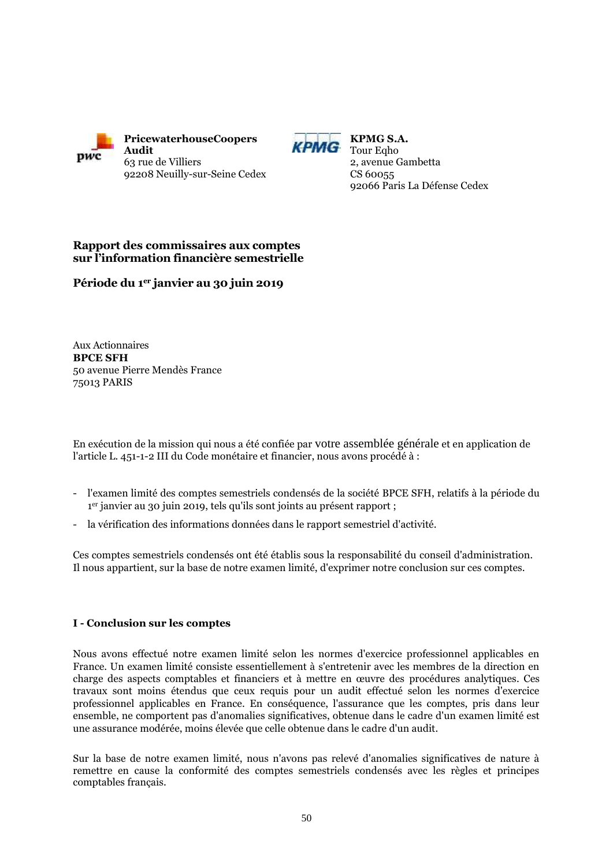



**KPMG S.A.** Tour Egho 2, avenue Gambetta CS 60055 92066 Paris La Défense Cedex

# **Rapport des commissaires aux comptes sur l'information financière semestrielle**

**Période du 1er janvier au 30 juin 2019**

Aux Actionnaires **BPCE SFH** 50 avenue Pierre Mendès France 75013 PARIS

En exécution de la mission qui nous a été confiée par votre assemblée générale et en application de l'article L. 451-1-2 III du Code monétaire et financier, nous avons procédé à :

- l'examen limité des comptes semestriels condensés de la société BPCE SFH, relatifs à la période du 1 er janvier au 30 juin 2019, tels qu'ils sont joints au présent rapport ;
- la vérification des informations données dans le rapport semestriel d'activité.

Ces comptes semestriels condensés ont été établis sous la responsabilité du conseil d'administration*.*  Il nous appartient, sur la base de notre examen limité, d'exprimer notre conclusion sur ces comptes.

#### **I - Conclusion sur les comptes**

Nous avons effectué notre examen limité selon les normes d'exercice professionnel applicables en France. Un examen limité consiste essentiellement à s'entretenir avec les membres de la direction en charge des aspects comptables et financiers et à mettre en œuvre des procédures analytiques. Ces travaux sont moins étendus que ceux requis pour un audit effectué selon les normes d'exercice professionnel applicables en France. En conséquence, l'assurance que les comptes, pris dans leur ensemble, ne comportent pas d'anomalies significatives, obtenue dans le cadre d'un examen limité est une assurance modérée, moins élevée que celle obtenue dans le cadre d'un audit.

Sur la base de notre examen limité, nous n'avons pas relevé d'anomalies significatives de nature à remettre en cause la conformité des comptes semestriels condensés avec les règles et principes comptables français.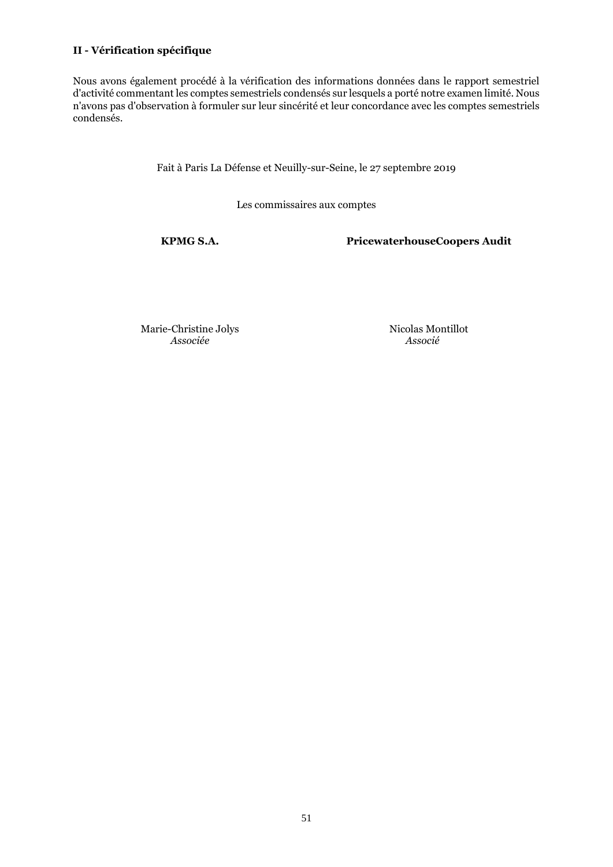#### **II - Vérification spécifique**

Nous avons également procédé à la vérification des informations données dans le rapport semestriel d'activité commentant les comptes semestriels condensés sur lesquels a porté notre examen limité. Nous n'avons pas d'observation à formuler sur leur sincérité et leur concordance avec les comptes semestriels condensés.

Fait à Paris La Défense et Neuilly-sur-Seine, le 27 septembre 2019

Les commissaires aux comptes

**KPMG S.A. PricewaterhouseCoopers Audit**

Marie-Christine Jolys *Associée*

Nicolas Montillot  *Associé*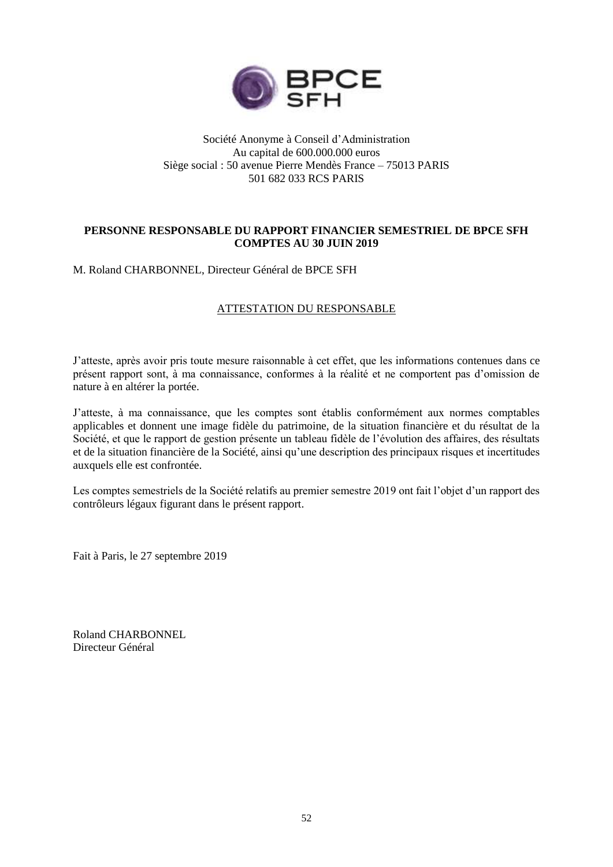

# Société Anonyme à Conseil d'Administration Au capital de 600.000.000 euros Siège social : 50 avenue Pierre Mendès France – 75013 PARIS 501 682 033 RCS PARIS

# **PERSONNE RESPONSABLE DU RAPPORT FINANCIER SEMESTRIEL DE BPCE SFH COMPTES AU 30 JUIN 2019**

M. Roland CHARBONNEL, Directeur Général de BPCE SFH

# ATTESTATION DU RESPONSABLE

J'atteste, après avoir pris toute mesure raisonnable à cet effet, que les informations contenues dans ce présent rapport sont, à ma connaissance, conformes à la réalité et ne comportent pas d'omission de nature à en altérer la portée.

J'atteste, à ma connaissance, que les comptes sont établis conformément aux normes comptables applicables et donnent une image fidèle du patrimoine, de la situation financière et du résultat de la Société, et que le rapport de gestion présente un tableau fidèle de l'évolution des affaires, des résultats et de la situation financière de la Société, ainsi qu'une description des principaux risques et incertitudes auxquels elle est confrontée.

Les comptes semestriels de la Société relatifs au premier semestre 2019 ont fait l'objet d'un rapport des contrôleurs légaux figurant dans le présent rapport.

Fait à Paris, le 27 septembre 2019

Roland CHARBONNEL Directeur Général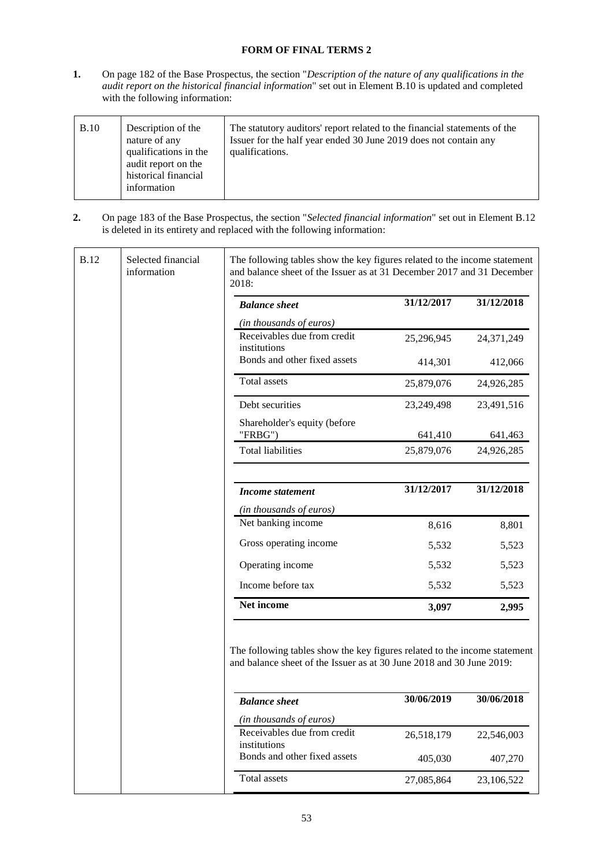#### **FORM OF FINAL TERMS 2**

<span id="page-52-0"></span>**1.** On page 182 of the Base Prospectus, the section "*Description of the nature of any qualifications in the audit report on the historical financial information*" set out in Element B.10 is updated and completed with the following information:

| <b>B.10</b> | Description of the<br>nature of any<br>qualifications in the<br>audit report on the<br>historical financial<br>information | The statutory auditors' report related to the financial statements of the<br>Issuer for the half year ended 30 June 2019 does not contain any<br>qualifications. |
|-------------|----------------------------------------------------------------------------------------------------------------------------|------------------------------------------------------------------------------------------------------------------------------------------------------------------|
|-------------|----------------------------------------------------------------------------------------------------------------------------|------------------------------------------------------------------------------------------------------------------------------------------------------------------|

**2.** On page 183 of the Base Prospectus, the section "*Selected financial information*" set out in Element B.12 is deleted in its entirety and replaced with the following information:

| <b>Balance</b> sheet<br>(in thousands of euros) | 31/12/2017                                                                                                                                                                                                                                                          |                  |
|-------------------------------------------------|---------------------------------------------------------------------------------------------------------------------------------------------------------------------------------------------------------------------------------------------------------------------|------------------|
|                                                 |                                                                                                                                                                                                                                                                     | 31/12/2018       |
|                                                 |                                                                                                                                                                                                                                                                     |                  |
| Receivables due from credit<br>institutions     | 25,296,945                                                                                                                                                                                                                                                          | 24,371,249       |
| Bonds and other fixed assets                    | 414,301                                                                                                                                                                                                                                                             | 412,066          |
|                                                 | 25,879,076                                                                                                                                                                                                                                                          | 24,926,285       |
|                                                 | 23,249,498                                                                                                                                                                                                                                                          | 23,491,516       |
|                                                 |                                                                                                                                                                                                                                                                     | 641,463          |
|                                                 | 25,879,076                                                                                                                                                                                                                                                          | 24,926,285       |
|                                                 |                                                                                                                                                                                                                                                                     |                  |
|                                                 | 31/12/2017                                                                                                                                                                                                                                                          | 31/12/2018       |
|                                                 |                                                                                                                                                                                                                                                                     |                  |
|                                                 | 8,616                                                                                                                                                                                                                                                               | 8,801            |
|                                                 | 5,532                                                                                                                                                                                                                                                               | 5,523            |
|                                                 | 5,532                                                                                                                                                                                                                                                               | 5,523            |
|                                                 | 5,532                                                                                                                                                                                                                                                               | 5,523            |
|                                                 |                                                                                                                                                                                                                                                                     | 2,995            |
|                                                 | Total assets<br>Debt securities<br>Shareholder's equity (before<br>"FRBG")<br><b>Total liabilities</b><br><b>Income statement</b><br>(in thousands of euros)<br>Net banking income<br>Gross operating income<br>Operating income<br>Income before tax<br>Net income | 641,410<br>3,097 |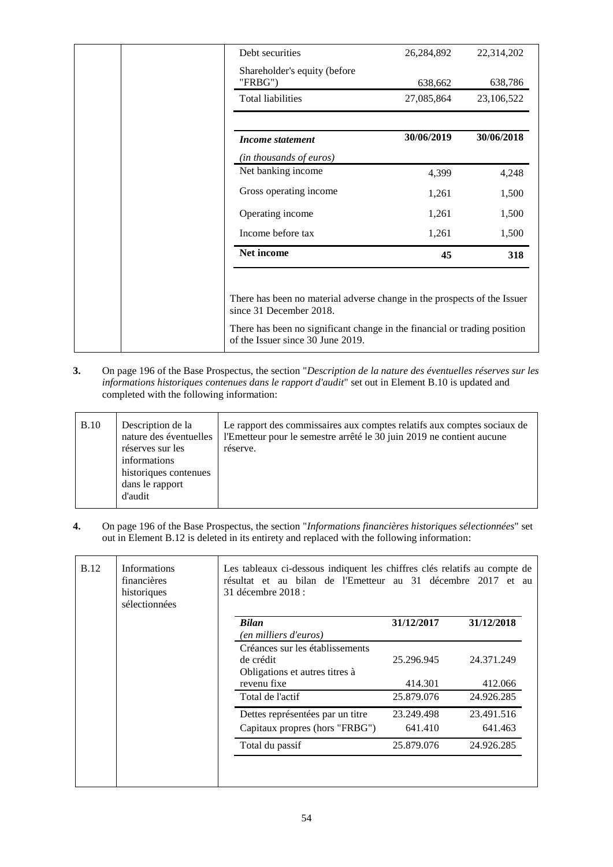| Debt securities                         | 26,284,892 | 22,314,202 |
|-----------------------------------------|------------|------------|
| Shareholder's equity (before<br>"FRBG") | 638,662    | 638,786    |
| Total liabilities                       | 27,085,864 | 23,106,522 |
| Income statement                        | 30/06/2019 | 30/06/2018 |
| (in thousands of euros)                 |            |            |
| Net banking income                      | 4,399      | 4,248      |
| Gross operating income                  | 1,261      | 1,500      |
| Operating income                        | 1,261      | 1,500      |
| Income before tax                       | 1,261      | 1,500      |
| Net income                              | 45         | 318        |

**3.** On page 196 of the Base Prospectus, the section "*Description de la nature des éventuelles réserves sur les informations historiques contenues dans le rapport d'audit*" set out in Element B.10 is updated and completed with the following information:

| B.10 | Description de la<br>nature des éventuelles<br>réserves sur les<br>informations<br>historiques contenues<br>dans le rapport<br>d'audit | Le rapport des commissaires aux comptes relatifs aux comptes sociaux de<br>l'Emetteur pour le semestre arrêté le 30 juin 2019 ne contient aucune<br>réserve. |
|------|----------------------------------------------------------------------------------------------------------------------------------------|--------------------------------------------------------------------------------------------------------------------------------------------------------------|
|------|----------------------------------------------------------------------------------------------------------------------------------------|--------------------------------------------------------------------------------------------------------------------------------------------------------------|

**4.** On page 196 of the Base Prospectus, the section "*Informations financières historiques sélectionnées*" set out in Element B.12 is deleted in its entirety and replaced with the following information:

| <b>B.12</b> | <b>Informations</b><br>financières<br>historiques<br>sélectionnées | Les tableaux ci-dessous indiquent les chiffres clés relatifs au compte de<br>résultat et au bilan de l'Emetteur au 31 décembre 2017 et au<br>31 décembre 2018 : |                       |                       |
|-------------|--------------------------------------------------------------------|-----------------------------------------------------------------------------------------------------------------------------------------------------------------|-----------------------|-----------------------|
|             |                                                                    | <b>Bilan</b>                                                                                                                                                    | 31/12/2017            | 31/12/2018            |
|             |                                                                    | (en milliers d'euros)<br>Créances sur les établissements<br>de crédit<br>Obligations et autres titres à<br>revenu fixe                                          | 25.296.945<br>414.301 | 24.371.249<br>412.066 |
|             |                                                                    | Total de l'actif                                                                                                                                                | 25.879.076            | 24.926.285            |
|             |                                                                    | Dettes représentées par un titre<br>Capitaux propres (hors "FRBG")                                                                                              | 23.249.498<br>641.410 | 23.491.516<br>641.463 |
|             |                                                                    | Total du passif                                                                                                                                                 | 25.879.076            | 24.926.285            |
|             |                                                                    |                                                                                                                                                                 |                       |                       |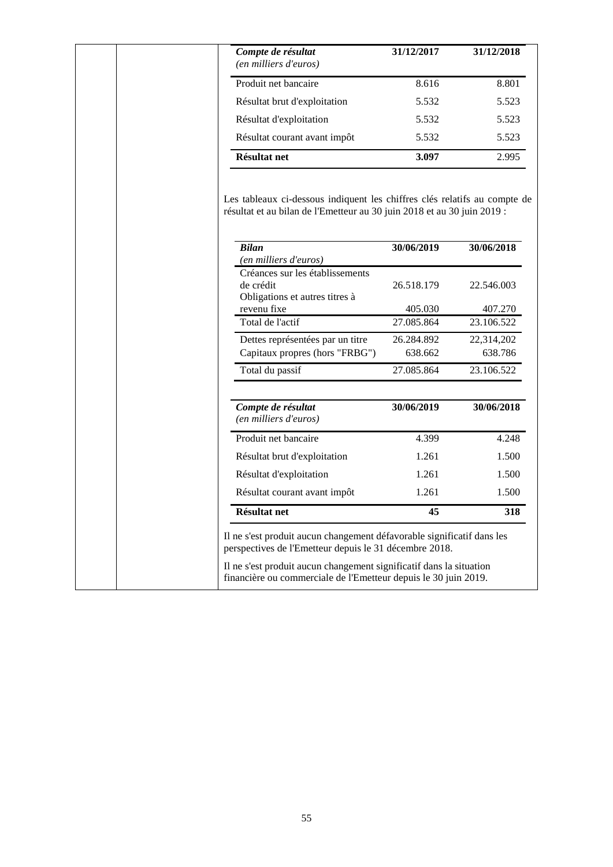| Compte de résultat                                                                                                                                   | 31/12/2017 | 31/12/2018 |
|------------------------------------------------------------------------------------------------------------------------------------------------------|------------|------------|
| (en milliers d'euros)                                                                                                                                |            |            |
| Produit net bancaire                                                                                                                                 | 8.616      | 8.801      |
| Résultat brut d'exploitation                                                                                                                         | 5.532      | 5.523      |
| Résultat d'exploitation                                                                                                                              | 5.532      | 5.523      |
| Résultat courant avant impôt                                                                                                                         | 5.532      | 5.523      |
| Résultat net                                                                                                                                         | 3.097      | 2.995      |
| Les tableaux ci-dessous indiquent les chiffres clés relatifs au compte de<br>résultat et au bilan de l'Emetteur au 30 juin 2018 et au 30 juin 2019 : |            |            |
| <b>Bilan</b>                                                                                                                                         | 30/06/2019 | 30/06/2018 |
| (en milliers d'euros)                                                                                                                                |            |            |
| Créances sur les établissements<br>de crédit                                                                                                         | 26.518.179 | 22.546.003 |
| Obligations et autres titres à                                                                                                                       |            |            |
| revenu fixe                                                                                                                                          | 405.030    | 407.270    |
| Total de l'actif                                                                                                                                     | 27.085.864 | 23.106.522 |
| Dettes représentées par un titre                                                                                                                     | 26.284.892 | 22,314,202 |
|                                                                                                                                                      | 638.662    | 638.786    |
| Capitaux propres (hors "FRBG")                                                                                                                       |            |            |
| Total du passif                                                                                                                                      | 27.085.864 | 23.106.522 |
| Compte de résultat<br>(en milliers d'euros)                                                                                                          | 30/06/2019 | 30/06/2018 |
| Produit net bancaire                                                                                                                                 | 4.399      | 4.248      |
| Résultat brut d'exploitation                                                                                                                         | 1.261      | 1.500      |
| Résultat d'exploitation                                                                                                                              | 1.261      | 1.500      |
| Résultat courant avant impôt                                                                                                                         | 1.261      | 1.500      |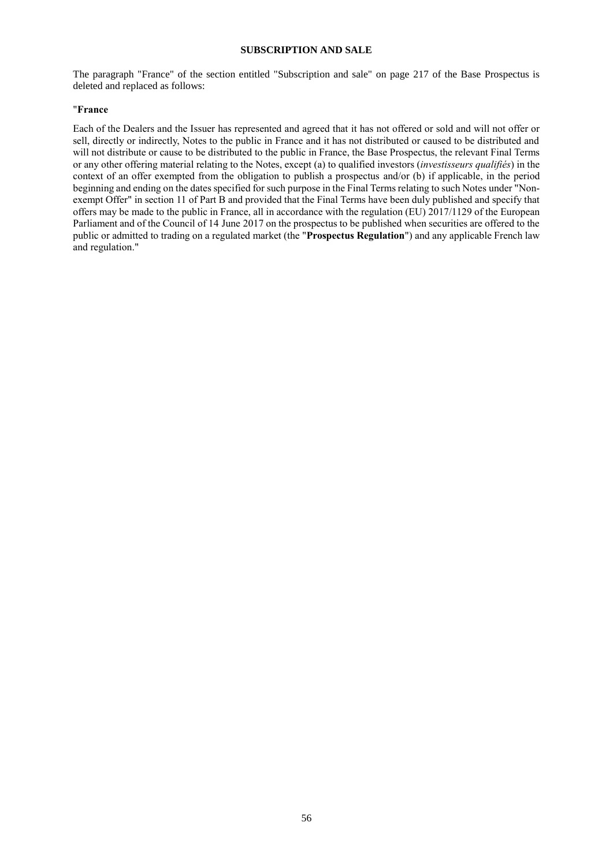#### **SUBSCRIPTION AND SALE**

<span id="page-55-0"></span>The paragraph "France" of the section entitled "Subscription and sale" on page 217 of the Base Prospectus is deleted and replaced as follows:

#### "**France**

Each of the Dealers and the Issuer has represented and agreed that it has not offered or sold and will not offer or sell, directly or indirectly, Notes to the public in France and it has not distributed or caused to be distributed and will not distribute or cause to be distributed to the public in France, the Base Prospectus, the relevant Final Terms or any other offering material relating to the Notes, except (a) to qualified investors (*investisseurs qualifiés*) in the context of an offer exempted from the obligation to publish a prospectus and/or (b) if applicable, in the period beginning and ending on the dates specified for such purpose in the Final Terms relating to such Notes under "Nonexempt Offer" in section 11 of Part B and provided that the Final Terms have been duly published and specify that offers may be made to the public in France, all in accordance with the regulation (EU) 2017/1129 of the European Parliament and of the Council of 14 June 2017 on the prospectus to be published when securities are offered to the public or admitted to trading on a regulated market (the "**Prospectus Regulation**") and any applicable French law and regulation."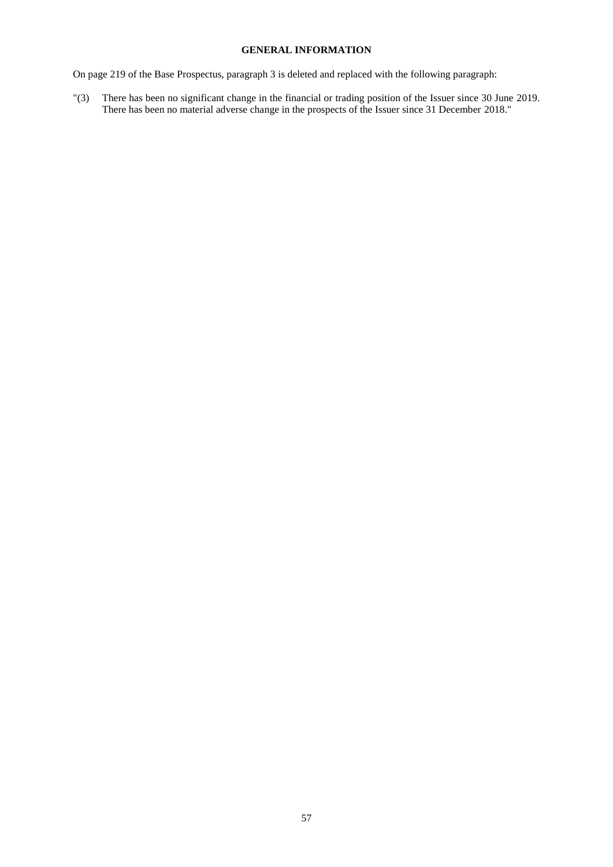#### **GENERAL INFORMATION**

<span id="page-56-0"></span>On page 219 of the Base Prospectus, paragraph 3 is deleted and replaced with the following paragraph:

"(3) There has been no significant change in the financial or trading position of the Issuer since 30 June 2019. There has been no material adverse change in the prospects of the Issuer since 31 December 2018."